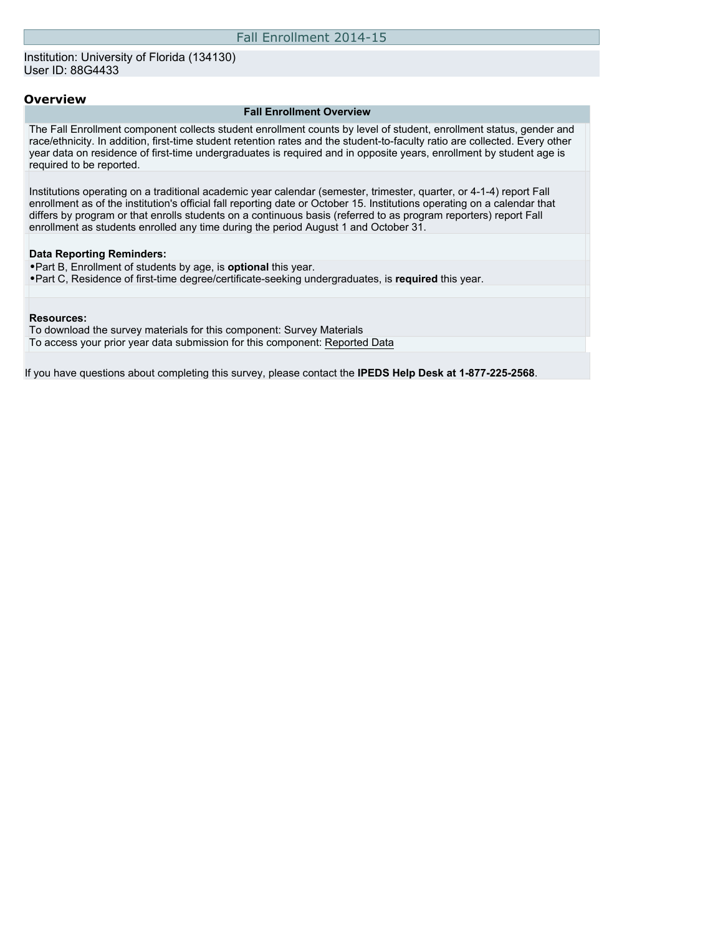#### **Overview**

#### **Fall Enrollment Overview**

The Fall Enrollment component collects student enrollment counts by level of student, enrollment status, gender and race/ethnicity. In addition, first-time student retention rates and the student-to-faculty ratio are collected. Every other year data on residence of first-time undergraduates is required and in opposite years, enrollment by student age is required to be reported.

Institutions operating on a traditional academic year calendar (semester, trimester, quarter, or 4-1-4) report Fall enrollment as of the institution's official fall reporting date or October 15. Institutions operating on a calendar that differs by program or that enrolls students on a continuous basis (referred to as program reporters) report Fall enrollment as students enrolled any time during the period August 1 and October 31.

#### **Data Reporting Reminders:**

•Part B, Enrollment of students by age, is **optional** this year. •Part C, Residence of first-time degree/certificate-seeking undergraduates, is **required** this year.

#### **Resources:**

To download the survey materials for this component: [Survey Materials](https://surveys.nces.ed.gov/ipeds/VisIndex.aspx) To access your prior year data submission for this component: [Reported Data](https://surveys.nces.ed.gov/IPEDS/PriorYearDataRedirect.aspx?survey_id=6)

If you have questions about completing this survey, please contact the **IPEDS Help Desk at 1-877-225-2568**.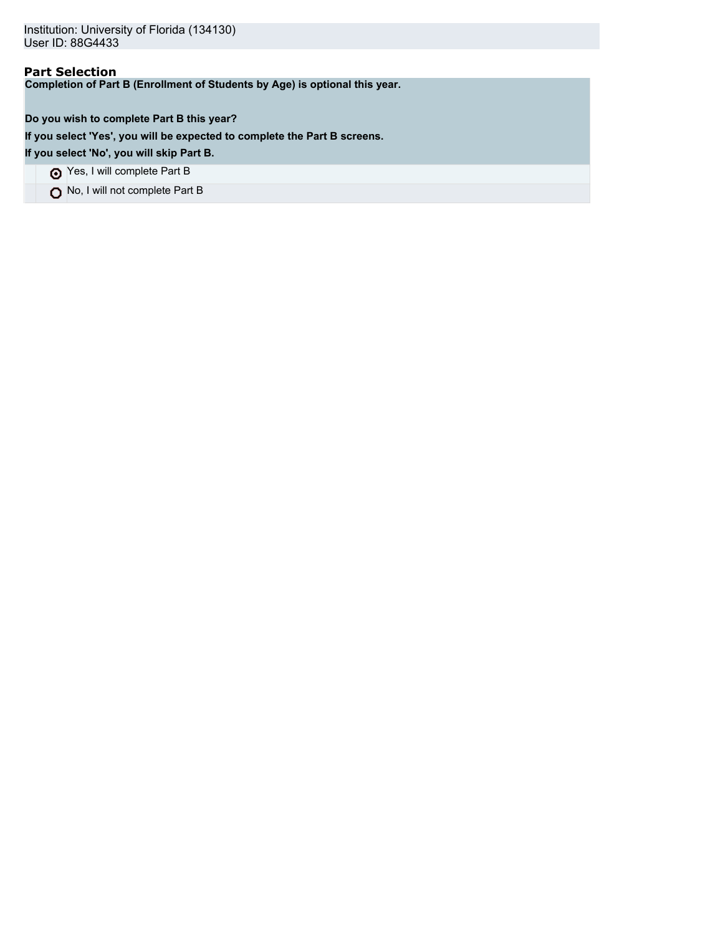# **Part Selection**

**Completion of Part B (Enrollment of Students by Age) is optional this year.**

**Do you wish to complete Part B this year?**

**If you select 'Yes', you will be expected to complete the Part B screens.**

**If you select 'No', you will skip Part B.**

Yes, I will complete Part B

No, I will not complete Part B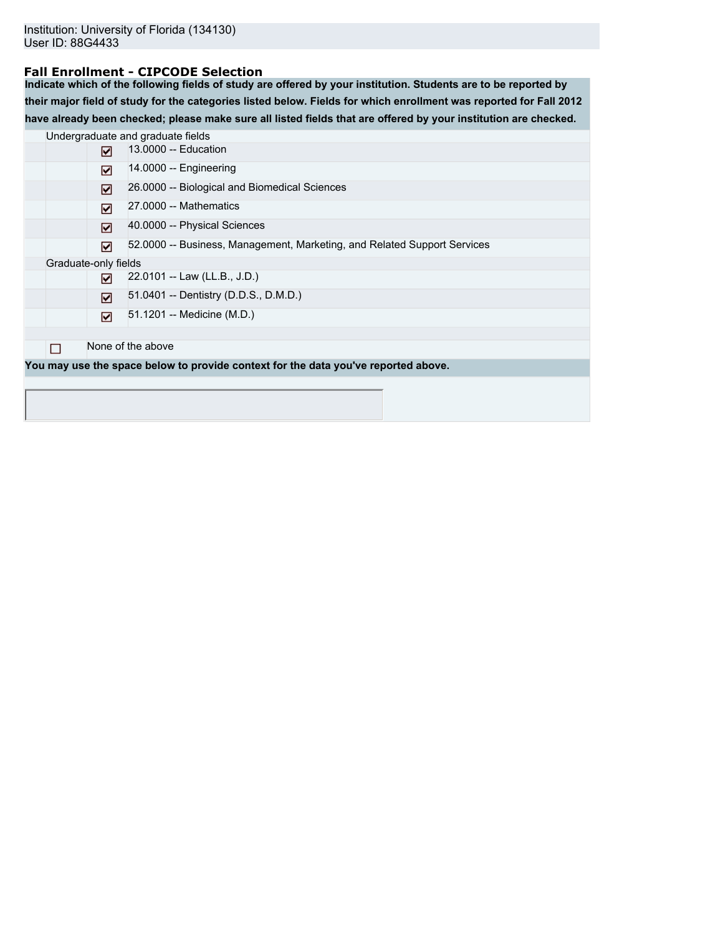## **Fall Enrollment - CIPCODE Selection**

**Indicate which of the following fields of study are offered by your institution. Students are to be reported by their major field of study for the categories listed below. Fields for which enrollment was reported for Fall 2012 have already been checked; please make sure all listed fields that are offered by your institution are checked.**

|   |                      | Undergraduate and graduate fields                                                  |
|---|----------------------|------------------------------------------------------------------------------------|
|   | ⊓                    | 13,0000 -- Education                                                               |
|   | ☑                    | $14.0000 -$ Engineering                                                            |
|   | ⊡                    | 26.0000 -- Biological and Biomedical Sciences                                      |
|   | ☑                    | 27,0000 -- Mathematics                                                             |
|   | ⊡                    | 40.0000 -- Physical Sciences                                                       |
|   | ⊡                    | 52.0000 -- Business, Management, Marketing, and Related Support Services           |
|   | Graduate-only fields |                                                                                    |
|   | 罓                    | 22.0101 -- Law (LL.B., J.D.)                                                       |
|   | М                    | 51.0401 -- Dentistry (D.D.S., D.M.D.)                                              |
|   | ☑                    | 51.1201 -- Medicine (M.D.)                                                         |
|   |                      |                                                                                    |
| П |                      | None of the above                                                                  |
|   |                      | You may use the space below to provide context for the data you've reported above. |
|   |                      |                                                                                    |
|   |                      |                                                                                    |
|   |                      |                                                                                    |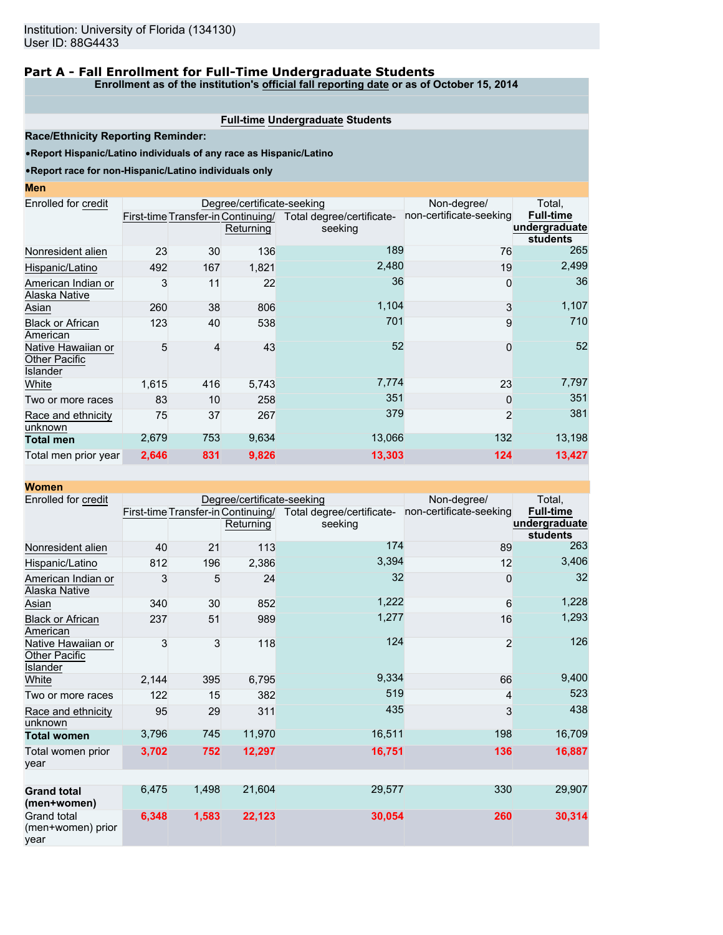# **Part A - Fall Enrollment for Full-Time Undergraduate Students**

**Enrollment as of the institution's official fall reporting date or as of October 15, 2014**

#### **Full-time Undergraduate Students**

**Race/Ethnicity Reporting Reminder:**

•**Report Hispanic/Latino individuals of any race as Hispanic/Latino**

#### •**Report race for non-Hispanic/Latino individuals only**

| Enrolled for credit                                    |       |     | Degree/certificate-seeking         |                           | Non-degree/             | Total.           |
|--------------------------------------------------------|-------|-----|------------------------------------|---------------------------|-------------------------|------------------|
|                                                        |       |     | First-time Transfer-in Continuing/ | Total degree/certificate- | non-certificate-seeking | <b>Full-time</b> |
|                                                        |       |     | Returning                          | seeking                   |                         | undergraduate    |
| Nonresident alien                                      | 23    | 30  | 136                                | 189                       | 76                      | students<br>265  |
|                                                        |       |     |                                    |                           |                         |                  |
| Hispanic/Latino                                        | 492   | 167 | 1,821                              | 2,480                     | 19                      | 2,499            |
| American Indian or<br>Alaska Native                    | 3     | 11  | 22                                 | 36                        | 0                       | 36               |
| Asian                                                  | 260   | 38  | 806                                | 1,104                     | 3                       | 1,107            |
| <b>Black or African</b><br>American                    | 123   | 40  | 538                                | 701                       | 9                       | 710              |
| Native Hawaiian or<br>Other Pacific<br><b>Islander</b> | 5     | 4   | 43                                 | 52                        | $\mathbf{0}$            | 52               |
| White                                                  | 1,615 | 416 | 5,743                              | 7,774                     | 23                      | 7,797            |
| Two or more races                                      | 83    | 10  | 258                                | 351                       | $\Omega$                | 351              |
| Race and ethnicity<br>unknown                          | 75    | 37  | 267                                | 379                       | $\overline{2}$          | 381              |
| <b>Total men</b>                                       | 2,679 | 753 | 9,634                              | 13,066                    | 132                     | 13,198           |
| Total men prior year                                   | 2,646 | 831 | 9,826                              | 13,303                    | 124                     | 13,427           |

| <b>Women</b>                                           |       |       |                                                 |                                      |                         |                                               |
|--------------------------------------------------------|-------|-------|-------------------------------------------------|--------------------------------------|-------------------------|-----------------------------------------------|
| Enrolled for credit                                    |       |       | Degree/certificate-seeking                      | Non-degree/                          | Total,                  |                                               |
|                                                        |       |       | First-time Transfer-in Continuing/<br>Returning | Total degree/certificate-<br>seeking | non-certificate-seeking | <b>Full-time</b><br>undergraduate<br>students |
| Nonresident alien                                      | 40    | 21    | 113                                             | 174                                  | 89                      | 263                                           |
| Hispanic/Latino                                        | 812   | 196   | 2,386                                           | 3,394                                | 12                      | 3,406                                         |
| American Indian or<br>Alaska Native                    | 3     | 5     | 24                                              | 32                                   | 0                       | 32                                            |
| Asian                                                  | 340   | 30    | 852                                             | 1,222                                | 6                       | 1,228                                         |
| <b>Black or African</b><br>American                    | 237   | 51    | 989                                             | 1,277                                | 16                      | 1,293                                         |
| Native Hawaiian or<br><b>Other Pacific</b><br>Islander | 3     | 3     | 118                                             | 124                                  | $\overline{2}$          | 126                                           |
| White                                                  | 2,144 | 395   | 6,795                                           | 9,334                                | 66                      | 9,400                                         |
| Two or more races                                      | 122   | 15    | 382                                             | 519                                  | 4                       | 523                                           |
| Race and ethnicity<br>unknown                          | 95    | 29    | 311                                             | 435                                  | 3                       | 438                                           |
| <b>Total women</b>                                     | 3,796 | 745   | 11,970                                          | 16,511                               | 198                     | 16,709                                        |
| Total women prior<br>vear                              | 3,702 | 752   | 12,297                                          | 16,751                               | 136                     | 16,887                                        |
|                                                        |       |       |                                                 |                                      |                         |                                               |
| <b>Grand total</b><br>(men+women)                      | 6,475 | 1,498 | 21,604                                          | 29,577                               | 330                     | 29,907                                        |
| <b>Grand total</b><br>(men+women) prior<br>year        | 6,348 | 1,583 | 22,123                                          | 30,054                               | 260                     | 30,314                                        |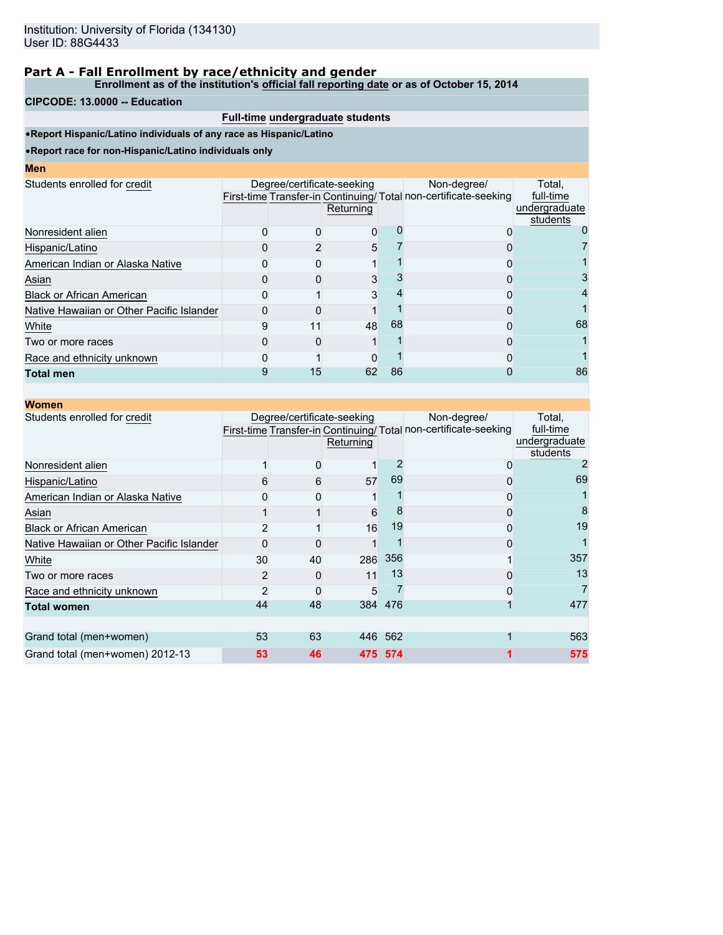#### **Enrollment as of the institution's official fall reporting date or as of October 15, 2014**

### **CIPCODE: 13.0000 -- Education**

## **Full-time undergraduate students**

•**Report Hispanic/Latino individuals of any race as Hispanic/Latino**

| I<br>ш<br>۱<br><b>STATE OF STATE OF STATE OF STATE OF STATE OF STATE OF STATE OF STATE OF STATE OF STATE OF STATE OF STATE OF S</b> |  |  |
|-------------------------------------------------------------------------------------------------------------------------------------|--|--|
|                                                                                                                                     |  |  |

| <b>IVIC II</b>                            |                            |           |    |                                                                                |                                                  |
|-------------------------------------------|----------------------------|-----------|----|--------------------------------------------------------------------------------|--------------------------------------------------|
| Students enrolled for credit              | Degree/certificate-seeking | Returning |    | Non-degree/<br>First-time Transfer-in Continuing/Total non-certificate-seeking | Total.<br>full-time<br>undergraduate<br>students |
| Nonresident alien                         |                            | 0         |    |                                                                                |                                                  |
| Hispanic/Latino                           |                            | 5         |    |                                                                                |                                                  |
| American Indian or Alaska Native          |                            |           |    |                                                                                |                                                  |
| Asian                                     |                            | 3         |    |                                                                                | 3                                                |
| <b>Black or African American</b>          |                            | 3         |    |                                                                                | 4                                                |
| Native Hawaiian or Other Pacific Islander |                            |           |    |                                                                                |                                                  |
| White                                     | 11                         | 48        | 68 |                                                                                | 68                                               |
| Two or more races                         |                            |           |    |                                                                                |                                                  |
| Race and ethnicity unknown                |                            |           |    |                                                                                |                                                  |
| <b>Total men</b>                          | 15                         | 62        | 86 |                                                                                | 86                                               |
|                                           |                            |           |    |                                                                                |                                                  |

| <b>Women</b>                              |    |                            |           |       |                                                                                |                                                  |
|-------------------------------------------|----|----------------------------|-----------|-------|--------------------------------------------------------------------------------|--------------------------------------------------|
| Students enrolled for credit              |    | Degree/certificate-seeking | Returning |       | Non-degree/<br>First-time Transfer-in Continuing/Total non-certificate-seeking | Total,<br>full-time<br>undergraduate<br>students |
| Nonresident alien                         |    |                            |           |       | 0                                                                              |                                                  |
| Hispanic/Latino                           | 6  | 6                          | 57        | 69    | ი                                                                              | 69                                               |
| American Indian or Alaska Native          |    |                            |           |       | Ω                                                                              |                                                  |
| Asian                                     |    |                            | 6         |       | 0                                                                              | 8                                                |
| <b>Black or African American</b>          |    |                            | 16        | 19    | 0                                                                              | 19                                               |
| Native Hawaiian or Other Pacific Islander |    |                            |           |       | ი                                                                              |                                                  |
| White                                     | 30 | 40                         | 286       | 356   |                                                                                | 357                                              |
| Two or more races                         | 2  | O                          | 11        | 13    |                                                                                | 13                                               |
| Race and ethnicity unknown                | 2  |                            | 5         |       |                                                                                |                                                  |
| <b>Total women</b>                        | 44 | 48                         | 384       | 476   |                                                                                | 477                                              |
|                                           |    |                            |           |       |                                                                                |                                                  |
| Grand total (men+women)                   | 53 | 63                         | 446       | - 562 |                                                                                | 563                                              |
| Grand total (men+women) 2012-13           | 53 | 46                         | 475       | 574   |                                                                                | 575                                              |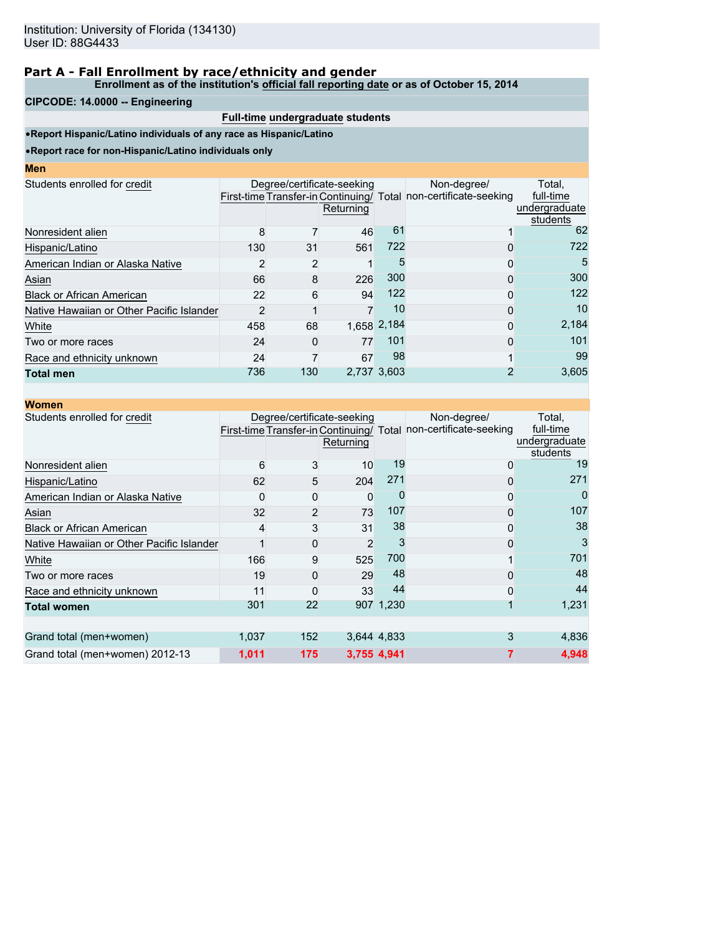#### **Enrollment as of the institution's official fall reporting date or as of October 15, 2014**

#### **CIPCODE: 14.0000 -- Engineering**

# **Full-time undergraduate students**

•**Report Hispanic/Latino individuals of any race as Hispanic/Latino**

| <b>CONTRACTOR</b> |  | <b>STATE OF STATE OF STATE OF STATE OF STATE OF STATE OF STATE OF STATE OF STATE OF STATE OF STATE OF STATE OF S</b> | <b>Contract Contract Contract Contract Contract Contract Contract Contract Contract Contract Contract Contract Co</b> |
|-------------------|--|----------------------------------------------------------------------------------------------------------------------|-----------------------------------------------------------------------------------------------------------------------|
|                   |  |                                                                                                                      |                                                                                                                       |

| Students enrolled for credit              |     |                | Degree/certificate-seeking |             | Non-degree/                                                      | Total,        |
|-------------------------------------------|-----|----------------|----------------------------|-------------|------------------------------------------------------------------|---------------|
|                                           |     |                |                            |             | First-time Transfer-in Continuing/ Total non-certificate-seeking | full-time     |
|                                           |     |                | Returning                  |             |                                                                  | undergraduate |
|                                           |     |                |                            |             |                                                                  | students      |
| Nonresident alien                         | 8   |                | 46                         | 61          |                                                                  | 62            |
| Hispanic/Latino                           | 130 | 31             | 561                        | 722         |                                                                  | 722           |
| American Indian or Alaska Native          |     | $\overline{2}$ |                            | 5           |                                                                  | 5             |
| Asian                                     | 66  | 8              | 226                        | 300         | ი                                                                | 300           |
| <b>Black or African American</b>          | 22  | 6              | 94                         | 122         |                                                                  | 122           |
| Native Hawaiian or Other Pacific Islander | 2   |                |                            | 10          |                                                                  | 10            |
| White                                     | 458 | 68             |                            | 1,658 2,184 | ი                                                                | 2,184         |
| Two or more races                         | 24  | 0              | 77                         | 101         | ი                                                                | 101           |
| Race and ethnicity unknown                | 24  |                | 67                         | 98          |                                                                  | 99            |
| Total men                                 | 736 | 130            |                            | 2,737 3,603 |                                                                  | 3,605         |
|                                           |     |                |                            |             |                                                                  |               |

| <b>Women</b>                              |       |     |                                         |             |                                                                                 |                                                  |
|-------------------------------------------|-------|-----|-----------------------------------------|-------------|---------------------------------------------------------------------------------|--------------------------------------------------|
| Students enrolled for credit              |       |     | Degree/certificate-seeking<br>Returning |             | Non-degree/<br>First-time Transfer-in Continuing/ Total non-certificate-seeking | Total,<br>full-time<br>undergraduate<br>students |
| Nonresident alien                         | 6     | 3   | 10                                      | 19          | 0                                                                               | 19                                               |
| Hispanic/Latino                           | 62    | 5   | 204                                     | 271         | 0                                                                               | 271                                              |
| American Indian or Alaska Native          |       | 0   | 0                                       |             | 0                                                                               |                                                  |
| Asian                                     | 32    | 2   | 73                                      | 107         | 0                                                                               | 107                                              |
| <b>Black or African American</b>          | 4     | 3   | 31                                      | 38          | 0                                                                               | 38                                               |
| Native Hawaiian or Other Pacific Islander |       | 0   | $\overline{2}$                          | 3           | O                                                                               | 3                                                |
| White                                     | 166   | 9   | 525                                     | 700         |                                                                                 | 701                                              |
| Two or more races                         | 19    | 0   | 29                                      | 48          |                                                                                 | 48                                               |
| Race and ethnicity unknown                | 11    | 0   | 33                                      | 44          | 0                                                                               | 44                                               |
| <b>Total women</b>                        | 301   | 22  |                                         | 907 1,230   |                                                                                 | 1,231                                            |
|                                           |       |     |                                         |             |                                                                                 |                                                  |
| Grand total (men+women)                   | 1,037 | 152 |                                         | 3,644 4,833 | 3                                                                               | 4,836                                            |
| Grand total (men+women) 2012-13           | 1,011 | 175 |                                         | 3,755 4,941 |                                                                                 | 4,948                                            |
|                                           |       |     |                                         |             |                                                                                 |                                                  |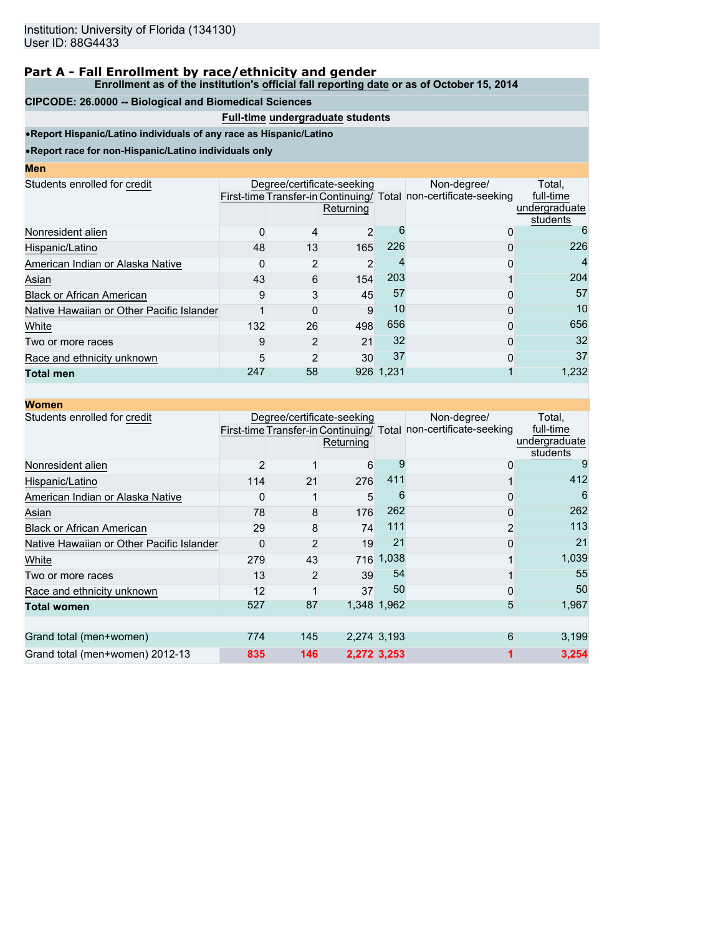#### **Enrollment as of the institution's official fall reporting date or as of October 15, 2014**

#### **CIPCODE: 26.0000 -- Biological and Biomedical Sciences**

# **Full-time undergraduate students**

•**Report Hispanic/Latino individuals of any race as Hispanic/Latino**

•**Report race for non-Hispanic/Latino individuals only**

|                                           |                | Returning |    | Non-degree/                                                                                                          | Total,<br>full-time<br>undergraduate<br>students |
|-------------------------------------------|----------------|-----------|----|----------------------------------------------------------------------------------------------------------------------|--------------------------------------------------|
|                                           | 4              |           | h  |                                                                                                                      | 6                                                |
| 48                                        | 13             | 165       |    |                                                                                                                      | 226                                              |
|                                           | 2              | 2         |    |                                                                                                                      | 4                                                |
| 43                                        | 6              |           |    |                                                                                                                      | 204                                              |
| 9                                         | 3              |           | 57 | 0                                                                                                                    | 57                                               |
| Native Hawaiian or Other Pacific Islander | 0              | 9         | 10 |                                                                                                                      | 10                                               |
| 132                                       | 26             |           |    |                                                                                                                      | 656                                              |
| 9                                         | $\overline{2}$ | 21        |    | 0                                                                                                                    | 32                                               |
| 5                                         | 2              |           | 37 | 0                                                                                                                    | 37                                               |
| 247                                       | 58             |           |    |                                                                                                                      | 1,232                                            |
|                                           |                |           |    | Degree/certificate-seeking<br>First-time Transfer-in Continuing/ Total<br>203<br>154<br>45<br>498<br>30<br>926 1.231 | non-certificate-seeking<br>226<br>656<br>32      |

| <b>Women</b>                              |     |     |                                         |             |                                                                                 |                                                  |
|-------------------------------------------|-----|-----|-----------------------------------------|-------------|---------------------------------------------------------------------------------|--------------------------------------------------|
| Students enrolled for credit              |     |     | Degree/certificate-seeking<br>Returning |             | Non-degree/<br>First-time Transfer-in Continuing/ Total non-certificate-seeking | Total,<br>full-time<br>undergraduate<br>students |
| Nonresident alien                         | 2   |     | 6                                       | 9           | 0                                                                               | 9                                                |
| Hispanic/Latino                           | 114 | 21  | 276                                     | 411         |                                                                                 | 412                                              |
| American Indian or Alaska Native          |     |     | 5                                       | 6           | 0                                                                               | 6                                                |
| Asian                                     | 78  | 8   | 176                                     | 262         | 0                                                                               | 262                                              |
| <b>Black or African American</b>          | 29  | 8   | 74                                      | 111         | 2                                                                               | 113                                              |
| Native Hawaiian or Other Pacific Islander | ŋ   | 2   | 19                                      | 21          | 0                                                                               | 21                                               |
| White                                     | 279 | 43  | 716                                     | 1,038       |                                                                                 | 1,039                                            |
| Two or more races                         | 13  | 2   | 39                                      | 54          |                                                                                 | 55                                               |
| Race and ethnicity unknown                | 12  |     | 37                                      | 50          | 0                                                                               | 50                                               |
| <b>Total women</b>                        | 527 | 87  |                                         | 1,348 1,962 | 5                                                                               | 1,967                                            |
|                                           |     |     |                                         |             |                                                                                 |                                                  |
| Grand total (men+women)                   | 774 | 145 |                                         | 2,274 3,193 | 6                                                                               | 3,199                                            |
| Grand total (men+women) 2012-13           | 835 | 146 |                                         | 2,272 3,253 |                                                                                 | 3,254                                            |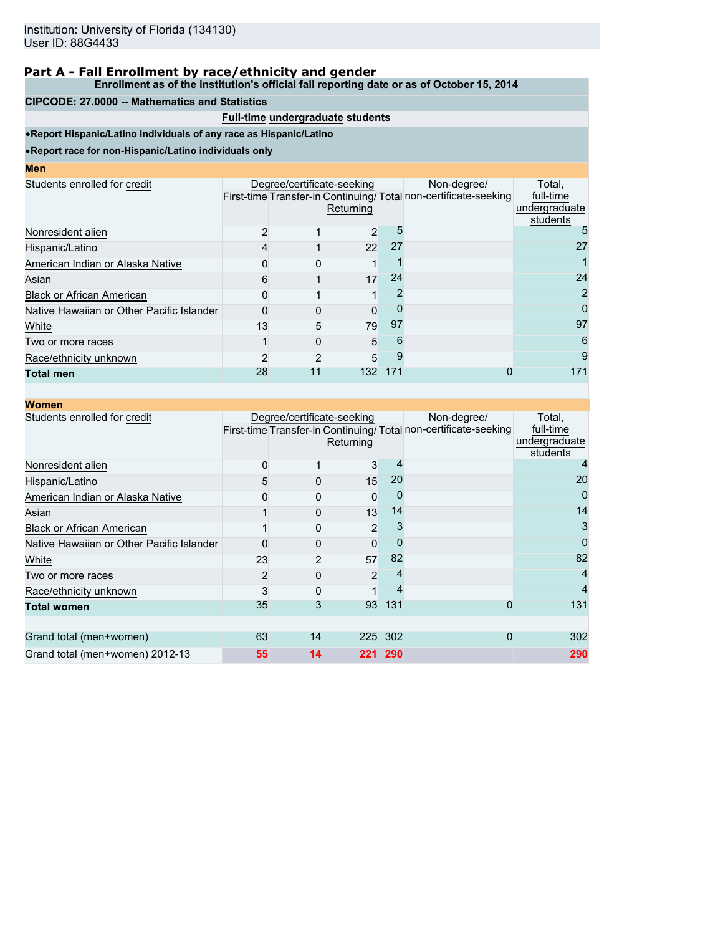**Enrollment as of the institution's official fall reporting date or as of October 15, 2014**

### **CIPCODE: 27.0000 -- Mathematics and Statistics**

# **Full-time undergraduate students**

•**Report Hispanic/Latino individuals of any race as Hispanic/Latino**

| <b>CONTRACTOR</b> |  | <b>STATE OF STATE OF STATE OF STATE OF STATE OF STATE OF STATE OF STATE OF STATE OF STATE OF STATE OF STATE OF S</b> | <b>Contract Contract Contract Contract Contract Contract Contract Contract Contract Contract Contract Contract Co</b> |
|-------------------|--|----------------------------------------------------------------------------------------------------------------------|-----------------------------------------------------------------------------------------------------------------------|
|                   |  |                                                                                                                      |                                                                                                                       |

| Men                                       |    |                            |           |     |                                                                 |                           |
|-------------------------------------------|----|----------------------------|-----------|-----|-----------------------------------------------------------------|---------------------------|
| Students enrolled for credit              |    | Degree/certificate-seeking |           |     | Non-degree/                                                     | Total,                    |
|                                           |    |                            |           |     | First-time Transfer-in Continuing/Total non-certificate-seeking | full-time                 |
|                                           |    |                            | Returning |     |                                                                 | undergraduate<br>students |
| Nonresident alien                         |    |                            | 2         |     |                                                                 |                           |
| Hispanic/Latino                           |    |                            | 22        | 27  |                                                                 | 27                        |
| American Indian or Alaska Native          |    |                            |           |     |                                                                 |                           |
| Asian                                     |    |                            | 17        | 24  |                                                                 | 24                        |
| <b>Black or African American</b>          |    |                            |           |     |                                                                 | 2                         |
| Native Hawaiian or Other Pacific Islander |    |                            |           |     |                                                                 | 0                         |
| White                                     | 13 | 5                          | 79        | 97  |                                                                 | 97                        |
| Two or more races                         |    |                            | 5         |     |                                                                 | 6                         |
| Race/ethnicity unknown                    |    |                            | 5         |     |                                                                 | 9                         |
| <b>Total men</b>                          | 28 | 11                         | 132       | 171 |                                                                 | 171                       |

| <b>Women</b>                              |    |                            |                |     |                                                                                 |                                                  |
|-------------------------------------------|----|----------------------------|----------------|-----|---------------------------------------------------------------------------------|--------------------------------------------------|
| Students enrolled for credit              |    | Degree/certificate-seeking | Returning      |     | Non-degree/<br>First-time Transfer-in Continuing/ Total non-certificate-seeking | Total,<br>full-time<br>undergraduate<br>students |
| Nonresident alien                         | 0  |                            | 3              |     |                                                                                 |                                                  |
| Hispanic/Latino                           | 5  |                            | 15             | 20  |                                                                                 | 20                                               |
| American Indian or Alaska Native          |    |                            | 0              |     |                                                                                 |                                                  |
| Asian                                     |    | 0                          | 13             | 14  |                                                                                 | 14                                               |
| <b>Black or African American</b>          |    | $\Omega$                   | $\overline{2}$ |     |                                                                                 | 3                                                |
| Native Hawaiian or Other Pacific Islander |    |                            | $\Omega$       |     |                                                                                 | 0                                                |
| White                                     | 23 | 2                          | 57             | 82  |                                                                                 | 82                                               |
| Two or more races                         | 2  | 0                          | $\overline{2}$ |     |                                                                                 |                                                  |
| Race/ethnicity unknown                    | 3  | 0                          |                |     |                                                                                 |                                                  |
| <b>Total women</b>                        | 35 | 3                          | 93             | 131 | 0                                                                               | 131                                              |
|                                           |    |                            |                |     |                                                                                 |                                                  |
| Grand total (men+women)                   | 63 | 14                         | 225            | 302 | 0                                                                               | 302                                              |
| Grand total (men+women) 2012-13           | 55 | 14                         | 221            | 290 |                                                                                 | 290                                              |
|                                           |    |                            |                |     |                                                                                 |                                                  |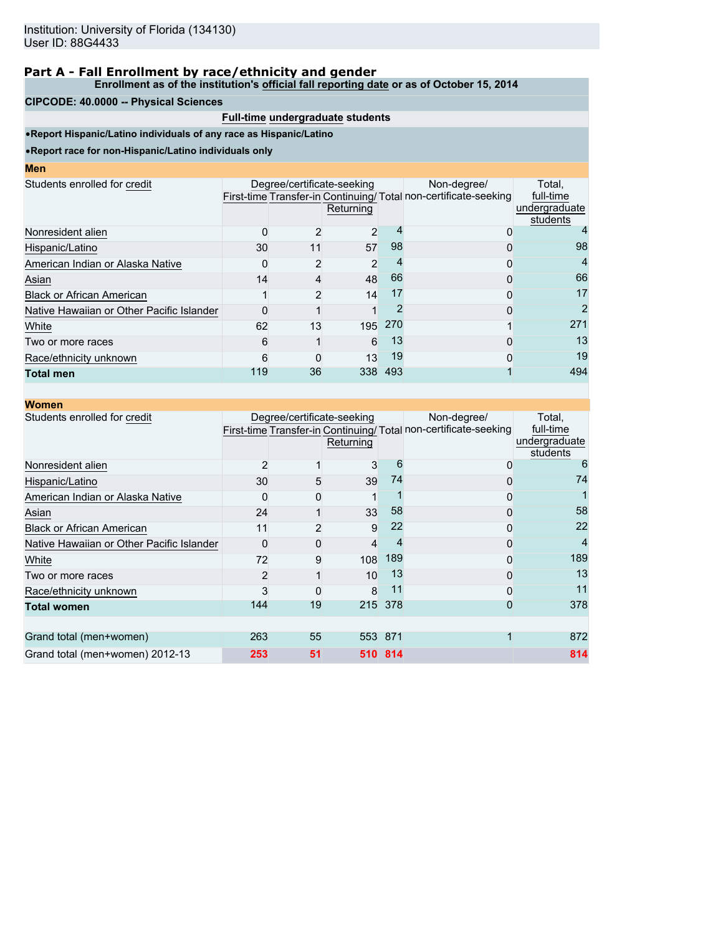#### **Enrollment as of the institution's official fall reporting date or as of October 15, 2014**

#### **CIPCODE: 40.0000 -- Physical Sciences**

## **Full-time undergraduate students**

•**Report Hispanic/Latino individuals of any race as Hispanic/Latino**

| I<br>ш<br>۱<br><b>STATE OF STATE OF STATE OF STATE OF STATE OF STATE OF STATE OF STATE OF STATE OF STATE OF STATE OF STATE OF S</b> |  |  |
|-------------------------------------------------------------------------------------------------------------------------------------|--|--|
|                                                                                                                                     |  |  |

| Students enrolled for credit<br>Degree/certificate-seeking<br>Non-degree/<br>First-time Transfer-in Continuing/Total non-certificate-seeking<br>Returning<br>0<br>0<br>98<br>30<br>57<br>11 |                                                  |
|---------------------------------------------------------------------------------------------------------------------------------------------------------------------------------------------|--------------------------------------------------|
| Nonresident alien<br>Hispanic/Latino                                                                                                                                                        | Total.<br>full-time<br>undergraduate<br>students |
|                                                                                                                                                                                             |                                                  |
|                                                                                                                                                                                             | 98                                               |
| American Indian or Alaska Native<br>2                                                                                                                                                       | 4                                                |
| 66<br>48<br>Asian<br>14<br>0                                                                                                                                                                | 66                                               |
| 17<br><b>Black or African American</b><br>14<br>0                                                                                                                                           | 17                                               |
| Native Hawaiian or Other Pacific Islander                                                                                                                                                   | 2                                                |
| 270<br>62<br>13<br>195<br>White                                                                                                                                                             | 271                                              |
| 13<br>6<br>6<br>0<br>Two or more races                                                                                                                                                      | 13                                               |
| 19<br>13<br>Race/ethnicity unknown<br>6<br>0                                                                                                                                                | 19                                               |
| 36<br>119<br>338<br>493<br>Total men                                                                                                                                                        | 494                                              |

| <b>Women</b>                              |                |                            |           |         |                                                                                |                                                  |
|-------------------------------------------|----------------|----------------------------|-----------|---------|--------------------------------------------------------------------------------|--------------------------------------------------|
| Students enrolled for credit              |                | Degree/certificate-seeking | Returning |         | Non-degree/<br>First-time Transfer-in Continuing/Total non-certificate-seeking | Total,<br>full-time<br>undergraduate<br>students |
| Nonresident alien                         | $\overline{2}$ |                            | 3         | 6       | 0                                                                              | 6                                                |
| Hispanic/Latino                           | 30             | 5                          | 39        | 74      | 0                                                                              | 74                                               |
| American Indian or Alaska Native          |                |                            |           |         | 0                                                                              |                                                  |
| Asian                                     | 24             |                            | 33        | 58      | 0                                                                              | 58                                               |
| <b>Black or African American</b>          | 11             |                            | 9         | 22      | 0                                                                              | 22                                               |
| Native Hawaiian or Other Pacific Islander | $\Omega$       |                            | 4         | 4       | 0                                                                              | 4                                                |
| White                                     | 72             | 9                          | 108       | 189     | ი                                                                              | 189                                              |
| Two or more races                         | $\overline{2}$ |                            | 10        | 13      | 0                                                                              | 13                                               |
| Race/ethnicity unknown                    | 3              |                            | 8         | 11      | 0                                                                              | 11                                               |
| <b>Total women</b>                        | 144            | 19                         | 215       | 378     | 0                                                                              | 378                                              |
|                                           |                |                            |           |         |                                                                                |                                                  |
| Grand total (men+women)                   | 263            | 55                         |           | 553 871 |                                                                                | 872                                              |
| Grand total (men+women) 2012-13           | 253            | 51                         |           | 510 814 |                                                                                | 814                                              |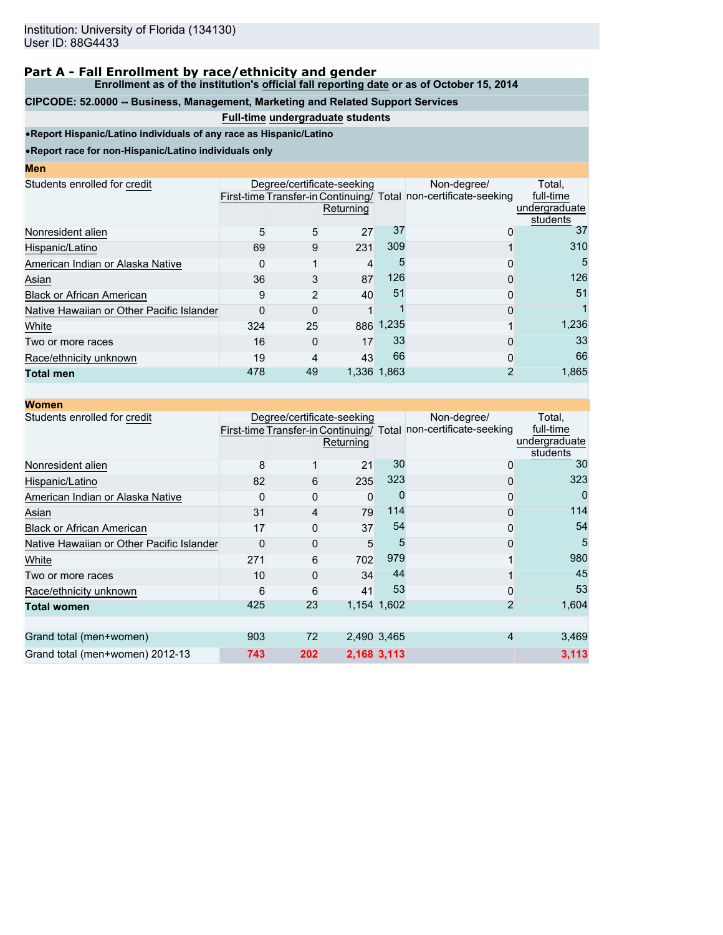**Enrollment as of the institution's official fall reporting date or as of October 15, 2014**

## **CIPCODE: 52.0000 -- Business, Management, Marketing and Related Support Services**

# **Full-time undergraduate students**

•**Report Hispanic/Latino individuals of any race as Hispanic/Latino**

| I<br>ш<br>۱<br><b>STATE OF STATE OF STATE OF STATE OF STATE OF STATE OF STATE OF STATE OF STATE OF STATE OF STATE OF STATE OF S</b> |  |  |
|-------------------------------------------------------------------------------------------------------------------------------------|--|--|
|                                                                                                                                     |  |  |

| шы                                        |     |          |                                         |             |                                                                                 |                                                  |
|-------------------------------------------|-----|----------|-----------------------------------------|-------------|---------------------------------------------------------------------------------|--------------------------------------------------|
| Students enrolled for credit              |     |          | Degree/certificate-seeking<br>Returning |             | Non-degree/<br>First-time Transfer-in Continuing/ Total non-certificate-seeking | Total.<br>full-time<br>undergraduate<br>students |
| Nonresident alien                         | 5   | 5        | 27                                      | 37          | 0                                                                               | 37                                               |
| Hispanic/Latino                           | 69  | 9        | 231                                     | 309         |                                                                                 | 310                                              |
| American Indian or Alaska Native          |     |          | 4                                       | h.          | 0                                                                               | 5                                                |
| Asian                                     | 36  | 3        | 87                                      | 126         | 0                                                                               | 126                                              |
| <b>Black or African American</b>          | 9   | 2        | 40                                      | 51          | 0                                                                               | 51                                               |
| Native Hawaiian or Other Pacific Islander |     | 0        |                                         |             | 0                                                                               |                                                  |
| White                                     | 324 | 25       |                                         | 886 1,235   |                                                                                 | 1,236                                            |
| Two or more races                         | 16  | $\Omega$ | 17                                      | 33          | 0                                                                               | 33                                               |
| Race/ethnicity unknown                    | 19  | 4        | 43                                      | 66          | 0                                                                               | 66                                               |
| <b>Total men</b>                          | 478 | 49       |                                         | 1,336 1,863 | 2                                                                               | 1,865                                            |
|                                           |     |          |                                         |             |                                                                                 |                                                  |

| <b>Women</b>                              |     |     |                                         |             |                                                                                 |                                                  |
|-------------------------------------------|-----|-----|-----------------------------------------|-------------|---------------------------------------------------------------------------------|--------------------------------------------------|
| Students enrolled for credit              |     |     | Degree/certificate-seeking<br>Returning |             | Non-degree/<br>First-time Transfer-in Continuing/ Total non-certificate-seeking | Total,<br>full-time<br>undergraduate<br>students |
| Nonresident alien                         | 8   |     | 21                                      | 30          | 0                                                                               | 30                                               |
| Hispanic/Latino                           | 82  | 6   | 235                                     | 323         | 0                                                                               | 323                                              |
| American Indian or Alaska Native          |     | 0   | 0                                       |             | 0                                                                               |                                                  |
| Asian                                     | 31  | 4   | 79                                      | 114         | 0                                                                               | 114                                              |
| <b>Black or African American</b>          | 17  | 0   | 37                                      | 54          | 0                                                                               | 54                                               |
| Native Hawaiian or Other Pacific Islander | ŋ   | 0   | 5                                       | 5           | 0                                                                               | 5                                                |
| White                                     | 271 | 6   | 702                                     | 979         |                                                                                 | 980                                              |
| Two or more races                         | 10  | 0   | 34                                      | 44          |                                                                                 | 45                                               |
| Race/ethnicity unknown                    | 6   | 6   | 41                                      | 53          | 0                                                                               | 53                                               |
| <b>Total women</b>                        | 425 | 23  |                                         | 1,154 1,602 | $\overline{2}$                                                                  | 1,604                                            |
|                                           |     |     |                                         |             |                                                                                 |                                                  |
| Grand total (men+women)                   | 903 | 72  |                                         | 2,490 3,465 | 4                                                                               | 3,469                                            |
| Grand total (men+women) 2012-13           | 743 | 202 |                                         | 2,168 3,113 |                                                                                 | 3,113                                            |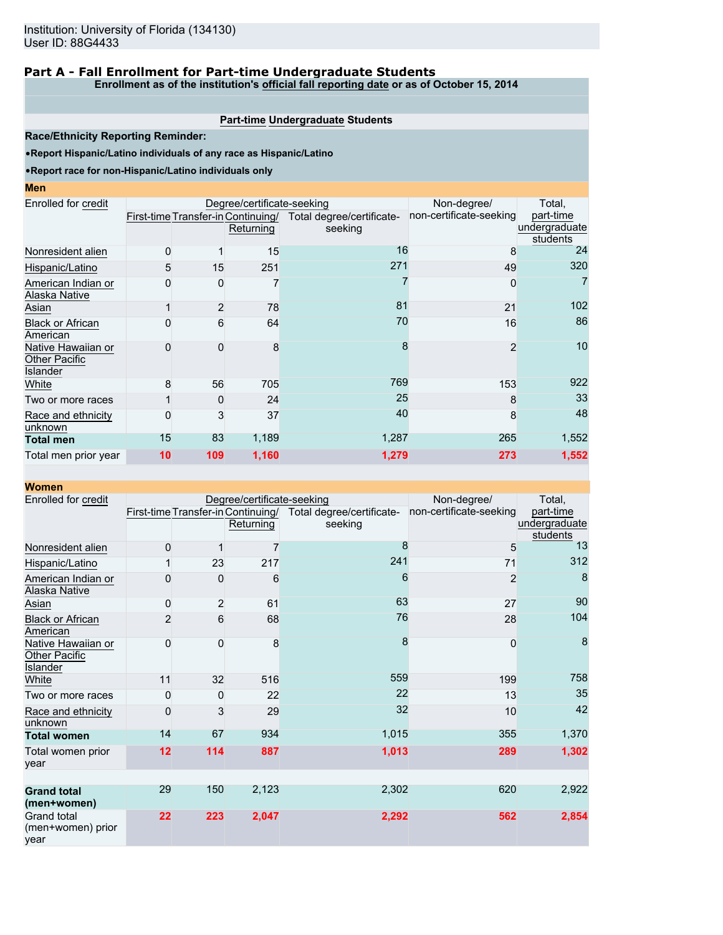# **Part A - Fall Enrollment for Part-time Undergraduate Students**

**Enrollment as of the institution's official fall reporting date or as of October 15, 2014**

## **Part-time Undergraduate Students**

**Race/Ethnicity Reporting Reminder:**

•**Report Hispanic/Latino individuals of any race as Hispanic/Latino**

#### •**Report race for non-Hispanic/Latino individuals only**

| Enrolled for credit                                    |    |                | Degree/certificate-seeking |                                                              | Non-degree/             | Total,        |
|--------------------------------------------------------|----|----------------|----------------------------|--------------------------------------------------------------|-------------------------|---------------|
|                                                        |    |                |                            | First-time Transfer-in Continuing/ Total degree/certificate- | non-certificate-seeking | part-time     |
|                                                        |    |                | Returning                  | seeking                                                      |                         | undergraduate |
|                                                        |    |                |                            | 16                                                           |                         | students      |
| Nonresident alien                                      | 0  |                | 15                         |                                                              | 8                       | 24            |
| Hispanic/Latino                                        | 5  | 15             | 251                        | 271                                                          | 49                      | 320           |
| American Indian or<br>Alaska Native                    | 0  | 0              |                            |                                                              | 0                       | 7             |
| Asian                                                  |    | $\overline{2}$ | 78                         | 81                                                           | 21                      | 102           |
| <b>Black or African</b><br>American                    | ი  | 6              | 64                         | 70                                                           | 16                      | 86            |
| Native Hawaiian or<br><b>Other Pacific</b><br>Islander |    | 0              | 8                          | 8                                                            | $\overline{2}$          | 10            |
| White                                                  | 8  | 56             | 705                        | 769                                                          | 153                     | 922           |
| Two or more races                                      |    | 0              | 24                         | 25                                                           | 8                       | 33            |
| Race and ethnicity<br>unknown                          | 0  | 3              | 37                         | 40                                                           | 8                       | 48            |
| <b>Total men</b>                                       | 15 | 83             | 1,189                      | 1,287                                                        | 265                     | 1,552         |
| Total men prior year                                   | 10 | 109            | 1,160                      | 1,279                                                        | 273                     | 1,552         |

| <b>Women</b>                                           |                |                         |                                                 |                                      |                         |                                        |
|--------------------------------------------------------|----------------|-------------------------|-------------------------------------------------|--------------------------------------|-------------------------|----------------------------------------|
| Enrolled for credit                                    |                |                         | Degree/certificate-seeking                      | Non-degree/                          | Total,                  |                                        |
|                                                        |                |                         | First-time Transfer-in Continuing/<br>Returning | Total degree/certificate-<br>seeking | non-certificate-seeking | part-time<br>undergraduate<br>students |
| Nonresident alien                                      | 0              |                         | 7                                               | 8                                    | 5                       | 13                                     |
| Hispanic/Latino                                        |                | 23                      | 217                                             | 241                                  | 71                      | 312                                    |
| American Indian or<br>Alaska Native                    | 0              | 0                       | 6                                               | 6                                    | $\overline{2}$          | 8                                      |
| Asian                                                  | 0              | $\overline{\mathbf{c}}$ | 61                                              | 63                                   | 27                      | 90                                     |
| <b>Black or African</b><br>American                    | $\overline{2}$ | 6                       | 68                                              | 76                                   | 28                      | 104                                    |
| Native Hawaiian or<br>Other Pacific<br><b>Islander</b> | 0              | $\Omega$                | 8                                               | 8                                    | $\mathbf{0}$            | 8                                      |
| White                                                  | 11             | 32                      | 516                                             | 559                                  | 199                     | 758                                    |
| Two or more races                                      | 0              | 0                       | 22                                              | 22                                   | 13                      | 35                                     |
| Race and ethnicity<br>unknown                          | 0              | 3                       | 29                                              | 32                                   | 10                      | 42                                     |
| <b>Total women</b>                                     | 14             | 67                      | 934                                             | 1,015                                | 355                     | 1,370                                  |
| Total women prior<br>year                              | 12             | 114                     | 887                                             | 1,013                                | 289                     | 1,302                                  |
|                                                        |                |                         |                                                 |                                      |                         |                                        |
| <b>Grand total</b><br>(men+women)                      | 29             | 150                     | 2,123                                           | 2,302                                | 620                     | 2,922                                  |
| Grand total<br>(men+women) prior<br>year               | 22             | 223                     | 2,047                                           | 2,292                                | 562                     | 2,854                                  |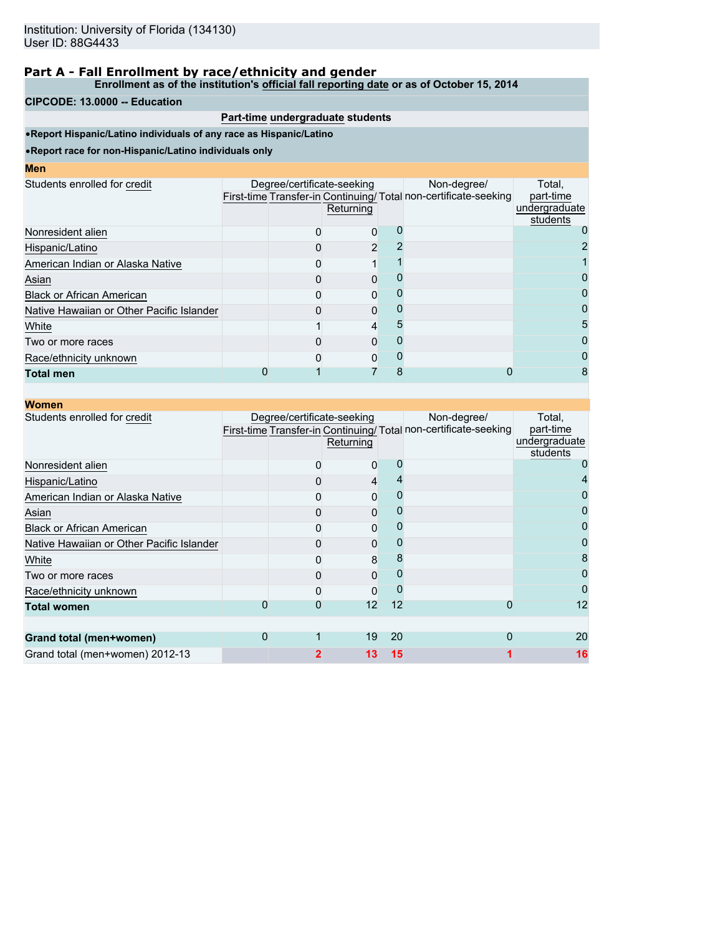**Enrollment as of the institution's official fall reporting date or as of October 15, 2014**

#### **CIPCODE: 13.0000 -- Education**

## **Part-time undergraduate students**

•**Report Hispanic/Latino individuals of any race as Hispanic/Latino**

| <b>Men</b>                                |                            |           |   |                                                                                |                                                  |
|-------------------------------------------|----------------------------|-----------|---|--------------------------------------------------------------------------------|--------------------------------------------------|
| Students enrolled for credit              | Degree/certificate-seeking | Returning |   | Non-degree/<br>First-time Transfer-in Continuing/Total non-certificate-seeking | Total,<br>part-time<br>undergraduate<br>students |
| Nonresident alien                         |                            | 0         |   |                                                                                |                                                  |
| Hispanic/Latino                           |                            | 2         |   |                                                                                |                                                  |
| American Indian or Alaska Native          |                            |           |   |                                                                                |                                                  |
| Asian                                     |                            | $\Omega$  |   |                                                                                | 0                                                |
| <b>Black or African American</b>          |                            | 0         |   |                                                                                |                                                  |
| Native Hawaiian or Other Pacific Islander |                            | $\Omega$  |   |                                                                                | 0                                                |
| White                                     |                            | 4         |   |                                                                                | 5                                                |
| Two or more races                         |                            | 0         |   |                                                                                | 0                                                |
| Race/ethnicity unknown                    |                            | 0         |   |                                                                                |                                                  |
| <b>Total men</b>                          |                            |           | 8 |                                                                                | 8                                                |

|   | Returning |                            | Non-degree/                                      | Total,<br>part-time<br>undergraduate<br>students                                        |
|---|-----------|----------------------------|--------------------------------------------------|-----------------------------------------------------------------------------------------|
|   |           |                            |                                                  |                                                                                         |
|   |           |                            |                                                  |                                                                                         |
|   |           |                            |                                                  |                                                                                         |
|   |           |                            |                                                  |                                                                                         |
|   |           |                            |                                                  |                                                                                         |
|   |           |                            |                                                  |                                                                                         |
|   |           |                            |                                                  |                                                                                         |
|   |           |                            |                                                  |                                                                                         |
|   | 0         |                            |                                                  | 0                                                                                       |
| 0 |           |                            |                                                  | 12                                                                                      |
|   |           |                            |                                                  |                                                                                         |
|   |           |                            | 0                                                | 20                                                                                      |
|   |           |                            |                                                  | 16                                                                                      |
|   | 0<br>0    | Degree/certificate-seeking | 0<br>4<br>0<br>0<br>0<br>0<br>8<br>0<br>12<br>19 | First-time Transfer-in Continuing/ Total non-certificate-seeking<br>12<br>0<br>20<br>15 |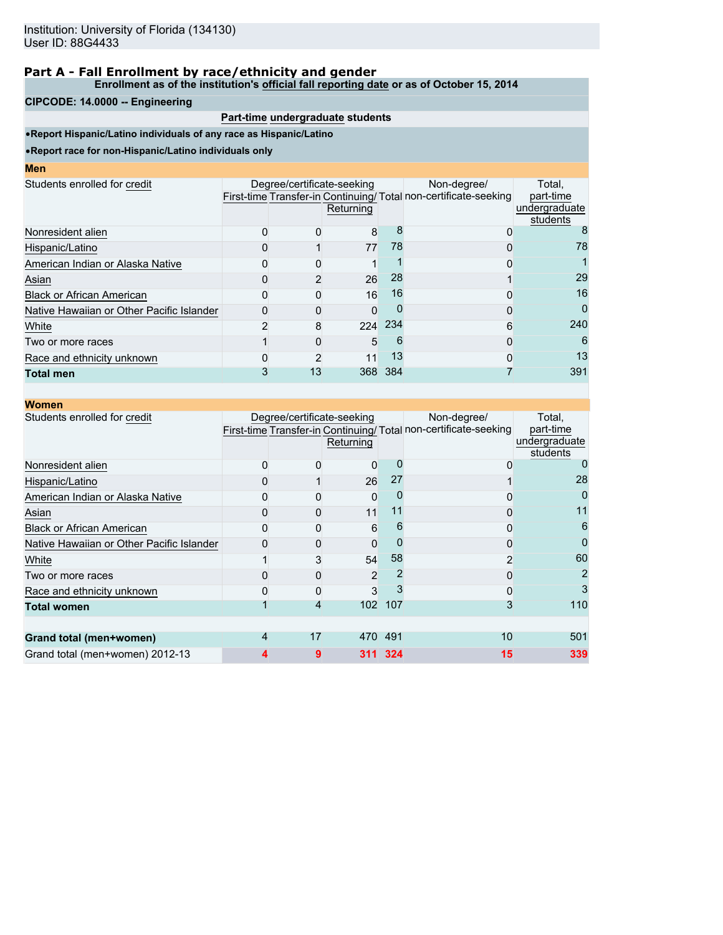**Enrollment as of the institution's official fall reporting date or as of October 15, 2014**

#### **CIPCODE: 14.0000 -- Engineering**

# **Part-time undergraduate students**

•**Report Hispanic/Latino individuals of any race as Hispanic/Latino**

| <b>CONTRACTOR</b> |  | <b>STATE OF STATE OF STATE OF STATE OF STATE OF STATE OF STATE OF STATE OF STATE OF STATE OF STATE OF STATE OF S</b> | <b>Contract Contract Contract Contract Contract Contract Contract Contract Contract Contract Contract Contract Co</b> |
|-------------------|--|----------------------------------------------------------------------------------------------------------------------|-----------------------------------------------------------------------------------------------------------------------|
|                   |  |                                                                                                                      |                                                                                                                       |

| .                                         |    |                                         |     |                                                                                |                                                  |
|-------------------------------------------|----|-----------------------------------------|-----|--------------------------------------------------------------------------------|--------------------------------------------------|
| Students enrolled for credit              |    | Degree/certificate-seeking<br>Returning |     | Non-degree/<br>First-time Transfer-in Continuing/Total non-certificate-seeking | Total.<br>part-time<br>undergraduate<br>students |
| Nonresident alien                         |    | 8                                       |     |                                                                                |                                                  |
| Hispanic/Latino                           |    | 77                                      | 78  |                                                                                | 78                                               |
| American Indian or Alaska Native          |    |                                         |     |                                                                                |                                                  |
| Asian                                     |    | 26                                      | 28  |                                                                                | 29                                               |
| <b>Black or African American</b>          |    | 16                                      | 16  |                                                                                | 16                                               |
| Native Hawaiian or Other Pacific Islander |    |                                         |     |                                                                                | $\Omega$                                         |
| White                                     | 8  | 224                                     | 234 | 6                                                                              | 240                                              |
| Two or more races                         |    | 5                                       | 6   | O                                                                              | 6                                                |
| Race and ethnicity unknown                |    |                                         | 13  |                                                                                | 13                                               |
| <b>Total men</b>                          | 13 | 368                                     | 384 |                                                                                | 391                                              |
|                                           |    |                                         |     |                                                                                |                                                  |

| <b>Women</b>                              |   |                            |                |         |                                                                                |                                                  |
|-------------------------------------------|---|----------------------------|----------------|---------|--------------------------------------------------------------------------------|--------------------------------------------------|
| Students enrolled for credit              |   | Degree/certificate-seeking | Returning      |         | Non-degree/<br>First-time Transfer-in Continuing/Total non-certificate-seeking | Total,<br>part-time<br>undergraduate<br>students |
| Nonresident alien                         |   |                            | 0              |         | 0                                                                              |                                                  |
| Hispanic/Latino                           |   |                            | 26             | 27      |                                                                                | 28                                               |
| American Indian or Alaska Native          |   |                            | 0              |         |                                                                                |                                                  |
| Asian                                     |   |                            | 11             | 11      | 0                                                                              | 11                                               |
| <b>Black or African American</b>          |   |                            | 6              | 6       | 0                                                                              | 6                                                |
| Native Hawaiian or Other Pacific Islander |   |                            | 0              |         | ი                                                                              | 0                                                |
| White                                     |   |                            | 54             | 58      | 2                                                                              | 60                                               |
| Two or more races                         |   |                            | $\overline{2}$ |         |                                                                                | 2                                                |
| Race and ethnicity unknown                |   |                            | 3              |         | ი                                                                              | 3                                                |
| <b>Total women</b>                        |   |                            | 102            | 107     | 3                                                                              | 110                                              |
|                                           |   |                            |                |         |                                                                                |                                                  |
| Grand total (men+women)                   | 4 | 17                         |                | 470 491 | 10                                                                             | 501                                              |
| Grand total (men+women) 2012-13           |   | 9                          |                | 311 324 | 15                                                                             | 339                                              |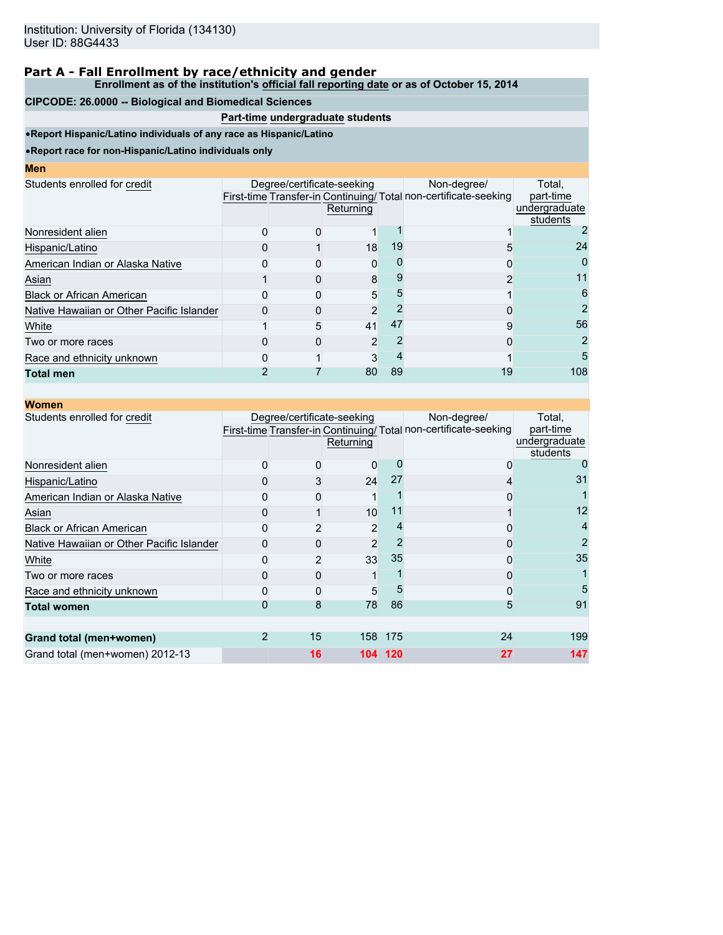#### **Enrollment as of the institution's official fall reporting date or as of October 15, 2014**

#### **CIPCODE: 26.0000 -- Biological and Biomedical Sciences**

# **Part-time undergraduate students**

•**Report Hispanic/Latino individuals of any race as Hispanic/Latino**

| w. | ٠ |  |
|----|---|--|
|    |   |  |

|                                           | Returning |                            | Non-degree/                                         | Total.<br>part-time<br>undergraduate<br>students                |
|-------------------------------------------|-----------|----------------------------|-----------------------------------------------------|-----------------------------------------------------------------|
|                                           |           |                            |                                                     |                                                                 |
|                                           |           | 19                         |                                                     | 24                                                              |
|                                           |           |                            |                                                     | 0                                                               |
|                                           |           |                            |                                                     | 11                                                              |
|                                           |           |                            |                                                     | 6                                                               |
|                                           |           |                            |                                                     | 2                                                               |
| 5                                         |           | 47                         | 9                                                   | 56                                                              |
|                                           |           |                            |                                                     | 2                                                               |
|                                           |           |                            |                                                     | 5                                                               |
|                                           |           | 89                         | 19                                                  | 108                                                             |
| Native Hawaiian or Other Pacific Islander |           | Degree/certificate-seeking | 18<br>$\Omega$<br>8<br>5<br>2<br>41<br>2<br>3<br>80 | First-time Transfer-in Continuing/Total non-certificate-seeking |

| <b>Women</b>                              |   |                            |                |         |                                                                                |                                                  |
|-------------------------------------------|---|----------------------------|----------------|---------|--------------------------------------------------------------------------------|--------------------------------------------------|
| Students enrolled for credit              |   | Degree/certificate-seeking | Returning      |         | Non-degree/<br>First-time Transfer-in Continuing/Total non-certificate-seeking | Total,<br>part-time<br>undergraduate<br>students |
| Nonresident alien                         |   |                            | 0              |         | 0                                                                              |                                                  |
| Hispanic/Latino                           |   | 3                          | 24             | 27      | 4                                                                              | 31                                               |
| American Indian or Alaska Native          |   |                            |                |         | ი                                                                              |                                                  |
| Asian                                     |   |                            | 10             |         |                                                                                | 12                                               |
| <b>Black or African American</b>          |   |                            | 2              |         |                                                                                |                                                  |
| Native Hawaiian or Other Pacific Islander |   |                            | $\overline{2}$ |         | 0                                                                              | 2                                                |
| White                                     |   |                            | 33             | 35      |                                                                                | 35                                               |
| Two or more races                         |   |                            |                |         |                                                                                |                                                  |
| Race and ethnicity unknown                |   |                            | 5              | 5       | 0                                                                              | 5                                                |
| <b>Total women</b>                        |   | 8                          | 78             | 86      | 5                                                                              | 91                                               |
|                                           |   |                            |                |         |                                                                                |                                                  |
| Grand total (men+women)                   | 2 | 15                         |                | 158 175 | 24                                                                             | 199                                              |
| Grand total (men+women) 2012-13           |   | 16                         | 104            | 120     | 27                                                                             | 147                                              |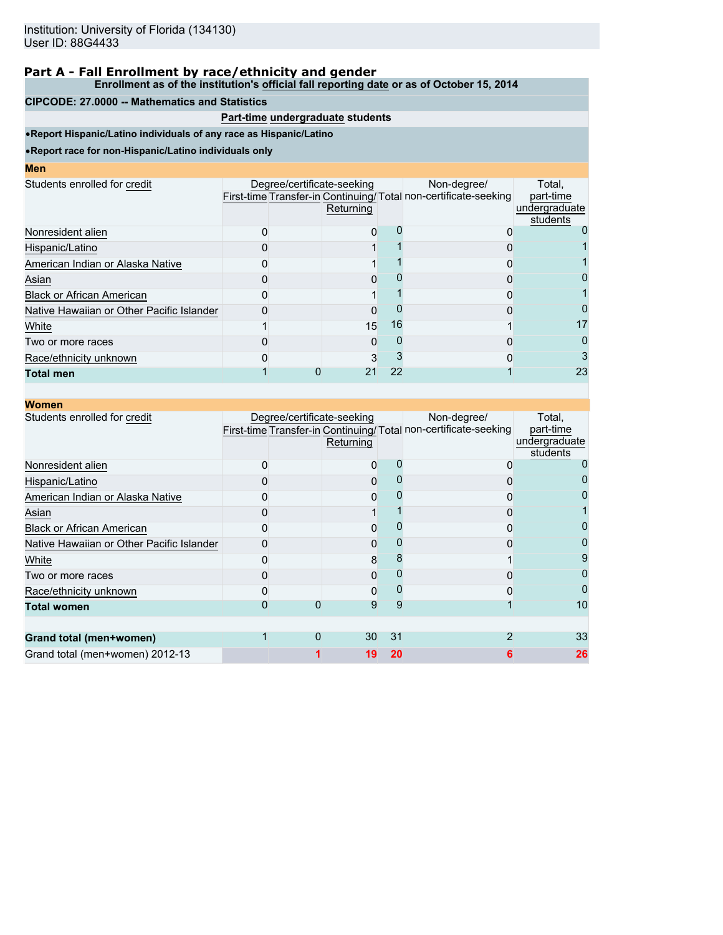#### **Enrollment as of the institution's official fall reporting date or as of October 15, 2014**

#### **CIPCODE: 27.0000 -- Mathematics and Statistics**

# **Part-time undergraduate students**

•**Report Hispanic/Latino individuals of any race as Hispanic/Latino**

| Men                                       |  |                                         |    |                                                                                |                                                  |
|-------------------------------------------|--|-----------------------------------------|----|--------------------------------------------------------------------------------|--------------------------------------------------|
| Students enrolled for credit              |  | Degree/certificate-seeking<br>Returning |    | Non-degree/<br>First-time Transfer-in Continuing/Total non-certificate-seeking | Total,<br>part-time<br>undergraduate<br>students |
| Nonresident alien                         |  |                                         |    |                                                                                |                                                  |
| Hispanic/Latino                           |  |                                         |    |                                                                                |                                                  |
| American Indian or Alaska Native          |  |                                         |    |                                                                                |                                                  |
| Asian                                     |  |                                         |    |                                                                                |                                                  |
| <b>Black or African American</b>          |  |                                         |    |                                                                                |                                                  |
| Native Hawaiian or Other Pacific Islander |  |                                         |    |                                                                                |                                                  |
| White                                     |  | 15                                      | 16 |                                                                                | 17                                               |
| Two or more races                         |  |                                         |    |                                                                                | 0                                                |
| Race/ethnicity unknown                    |  |                                         |    |                                                                                | 3                                                |
| <b>Total men</b>                          |  |                                         | 22 |                                                                                | 23                                               |

| <b>Women</b>                              |  |                                         |    |                                                                                |                                                  |
|-------------------------------------------|--|-----------------------------------------|----|--------------------------------------------------------------------------------|--------------------------------------------------|
| Students enrolled for credit              |  | Degree/certificate-seeking<br>Returning |    | Non-degree/<br>First-time Transfer-in Continuing/Total non-certificate-seeking | Total,<br>part-time<br>undergraduate<br>students |
| Nonresident alien                         |  |                                         |    |                                                                                |                                                  |
| Hispanic/Latino                           |  |                                         |    |                                                                                |                                                  |
| American Indian or Alaska Native          |  |                                         |    |                                                                                |                                                  |
| Asian                                     |  |                                         |    |                                                                                |                                                  |
| <b>Black or African American</b>          |  |                                         |    |                                                                                |                                                  |
| Native Hawaiian or Other Pacific Islander |  |                                         |    |                                                                                |                                                  |
| White                                     |  | 8                                       |    |                                                                                |                                                  |
| Two or more races                         |  |                                         |    |                                                                                |                                                  |
| Race/ethnicity unknown                    |  | 0                                       |    |                                                                                |                                                  |
| <b>Total women</b>                        |  | 9                                       | 9  |                                                                                | 10                                               |
| <b>Grand total (men+women)</b>            |  | 30                                      | 31 |                                                                                | 33                                               |
| Grand total (men+women) 2012-13           |  | 19                                      | 20 |                                                                                | 26                                               |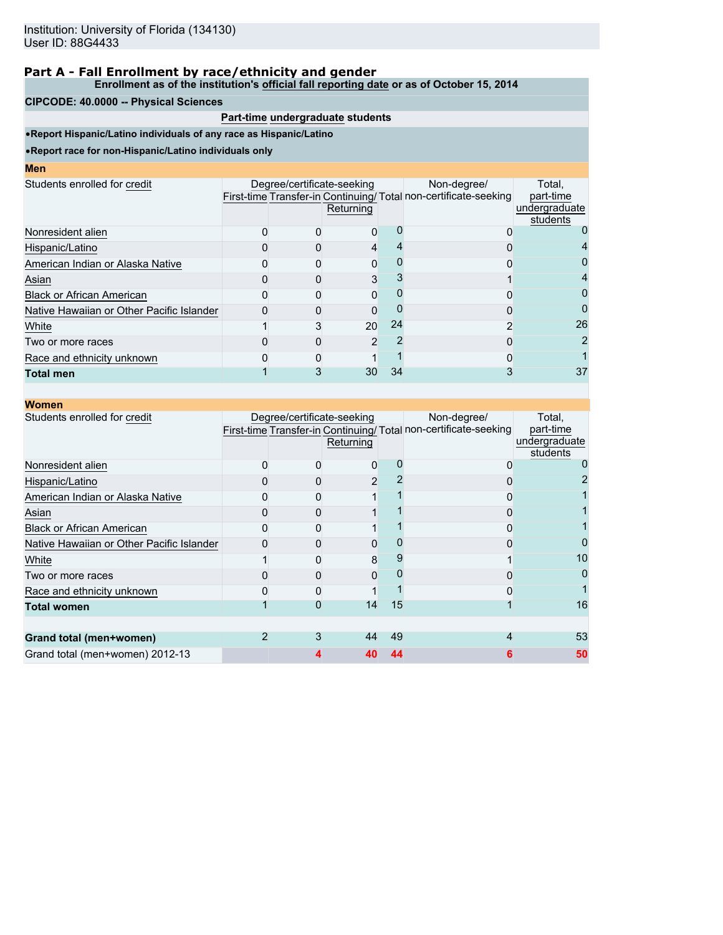#### **Enrollment as of the institution's official fall reporting date or as of October 15, 2014**

#### **CIPCODE: 40.0000 -- Physical Sciences**

## **Part-time undergraduate students**

•**Report Hispanic/Latino individuals of any race as Hispanic/Latino**

| <b>CONTRACTOR</b> |  | <b>Contract Contract Contract Contract Contract Contract Contract Contract Contract Contract Contract Contract Co</b><br><b>Contract Contract Contract Contract Contract Contract Contract Contract Contract Contract Contract Contract Co</b> |  |
|-------------------|--|------------------------------------------------------------------------------------------------------------------------------------------------------------------------------------------------------------------------------------------------|--|

| Students enrolled for credit              | Degree/certificate-seeking | Returning |    | Non-degree/<br>First-time Transfer-in Continuing/Total non-certificate-seeking | Total.<br>part-time<br>undergraduate<br>students |
|-------------------------------------------|----------------------------|-----------|----|--------------------------------------------------------------------------------|--------------------------------------------------|
| Nonresident alien                         |                            |           |    |                                                                                |                                                  |
| Hispanic/Latino                           |                            | 4         |    |                                                                                |                                                  |
| American Indian or Alaska Native          |                            |           |    |                                                                                |                                                  |
| Asian                                     |                            |           |    |                                                                                | 4                                                |
| <b>Black or African American</b>          |                            |           |    |                                                                                | 0                                                |
| Native Hawaiian or Other Pacific Islander |                            |           |    |                                                                                | $\Omega$                                         |
| White                                     |                            | 20        | 24 |                                                                                | 26                                               |
| Two or more races                         |                            | 2         |    |                                                                                | 2                                                |
| Race and ethnicity unknown                |                            |           |    |                                                                                |                                                  |
| <b>Total men</b>                          |                            | 30        | 34 |                                                                                | 37                                               |
|                                           |                            |           |    |                                                                                |                                                  |

| <b>Women</b>                              |                            |           |    |                                                                                |                                                  |
|-------------------------------------------|----------------------------|-----------|----|--------------------------------------------------------------------------------|--------------------------------------------------|
| Students enrolled for credit              | Degree/certificate-seeking | Returning |    | Non-degree/<br>First-time Transfer-in Continuing/Total non-certificate-seeking | Total,<br>part-time<br>undergraduate<br>students |
| Nonresident alien                         |                            | 0         |    |                                                                                |                                                  |
| Hispanic/Latino                           |                            | 2         |    |                                                                                |                                                  |
| American Indian or Alaska Native          |                            |           |    |                                                                                |                                                  |
| Asian                                     |                            |           |    |                                                                                |                                                  |
| <b>Black or African American</b>          |                            |           |    |                                                                                |                                                  |
| Native Hawaiian or Other Pacific Islander |                            |           |    |                                                                                |                                                  |
| White                                     |                            | 8         |    |                                                                                | 10                                               |
| Two or more races                         |                            |           |    |                                                                                |                                                  |
| Race and ethnicity unknown                |                            |           |    |                                                                                |                                                  |
| <b>Total women</b>                        |                            | 14        | 15 |                                                                                | 16                                               |
|                                           |                            |           |    |                                                                                |                                                  |
| Grand total (men+women)                   | 3                          | 44        | 49 |                                                                                | 53                                               |
| Grand total (men+women) 2012-13           |                            |           | 44 | 6                                                                              | 50                                               |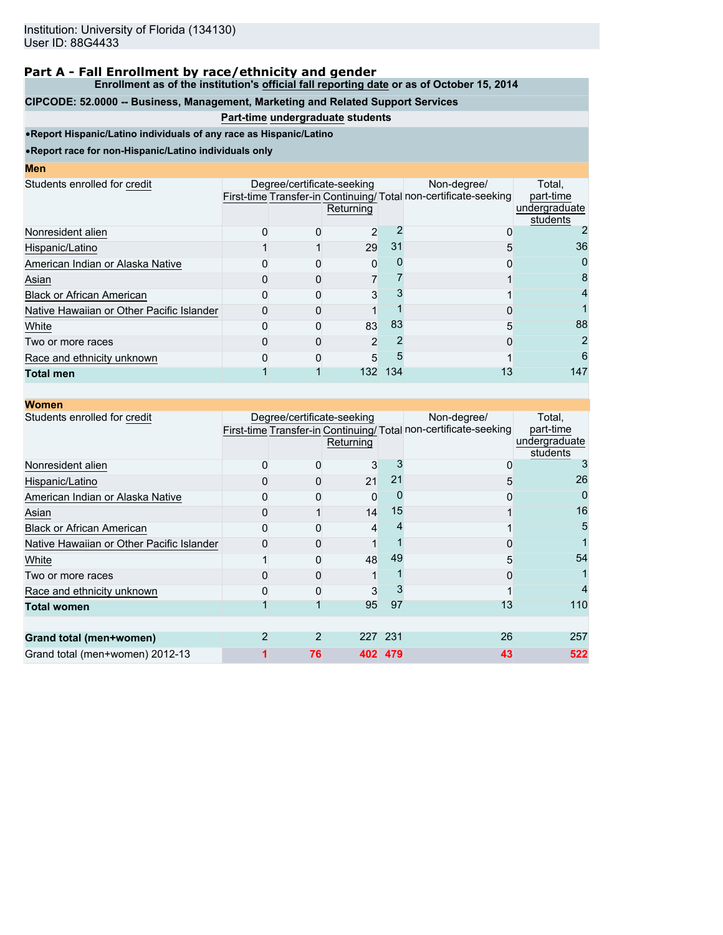**Enrollment as of the institution's official fall reporting date or as of October 15, 2014**

# **CIPCODE: 52.0000 -- Business, Management, Marketing and Related Support Services**

## **Part-time undergraduate students**

•**Report Hispanic/Latino individuals of any race as Hispanic/Latino**

| <b>STATE OF STATE OF STATE OF STATE OF STATE OF STATE OF STATE OF STATE OF STATE OF STATE OF STATE OF STATE OF S</b> |  | <b>Contract Contract Contract Contract Contract Contract Contract Contract Contract Contract Contract Contract Co</b><br><b>Contract Contract Contract Contract Contract Contract Contract Contract Contract Contract Contract Contract Co</b> |  |
|----------------------------------------------------------------------------------------------------------------------|--|------------------------------------------------------------------------------------------------------------------------------------------------------------------------------------------------------------------------------------------------|--|
|                                                                                                                      |  |                                                                                                                                                                                                                                                |  |

|  | Returning      |                            | Non-degree/     | Total.<br>part-time<br>undergraduate<br>students                                 |
|--|----------------|----------------------------|-----------------|----------------------------------------------------------------------------------|
|  | 2              |                            |                 |                                                                                  |
|  |                | 31                         |                 | 36                                                                               |
|  | 0              |                            |                 | 0                                                                                |
|  |                |                            |                 | 8                                                                                |
|  | 3              |                            |                 | 4                                                                                |
|  |                |                            |                 |                                                                                  |
|  |                | 83                         |                 | 88                                                                               |
|  | $\mathfrak{p}$ |                            |                 | 2                                                                                |
|  | 5              |                            |                 | 6                                                                                |
|  |                | 134                        |                 | 147                                                                              |
|  |                | Degree/certificate-seeking | 29<br>83<br>132 | First-time Transfer-in Continuing/ Total non-certificate-seeking<br>5<br>5<br>13 |

| <b>Women</b>                              |                            |           |         |                                                                                 |                                                  |
|-------------------------------------------|----------------------------|-----------|---------|---------------------------------------------------------------------------------|--------------------------------------------------|
| Students enrolled for credit              | Degree/certificate-seeking | Returning |         | Non-degree/<br>First-time Transfer-in Continuing/ Total non-certificate-seeking | Total,<br>part-time<br>undergraduate<br>students |
| Nonresident alien                         |                            | 3         |         | O                                                                               | 3                                                |
| Hispanic/Latino                           |                            | 21        | 21      | 5                                                                               | 26                                               |
| American Indian or Alaska Native          |                            | 0         |         | 0                                                                               |                                                  |
| Asian                                     |                            | 14        | 15      |                                                                                 | 16                                               |
| <b>Black or African American</b>          |                            | 4         |         |                                                                                 | 5                                                |
| Native Hawaiian or Other Pacific Islander |                            |           |         |                                                                                 |                                                  |
| White                                     |                            | 48        | 49      | 5                                                                               | 54                                               |
| Two or more races                         |                            |           |         |                                                                                 |                                                  |
| Race and ethnicity unknown                |                            |           |         |                                                                                 |                                                  |
| <b>Total women</b>                        |                            | 95        | 97      | 13                                                                              | 110                                              |
|                                           |                            |           |         |                                                                                 |                                                  |
| Grand total (men+women)                   | 2                          |           | 227 231 | 26                                                                              | 257                                              |
| Grand total (men+women) 2012-13           | 76                         |           | 402 479 | 43                                                                              | 522                                              |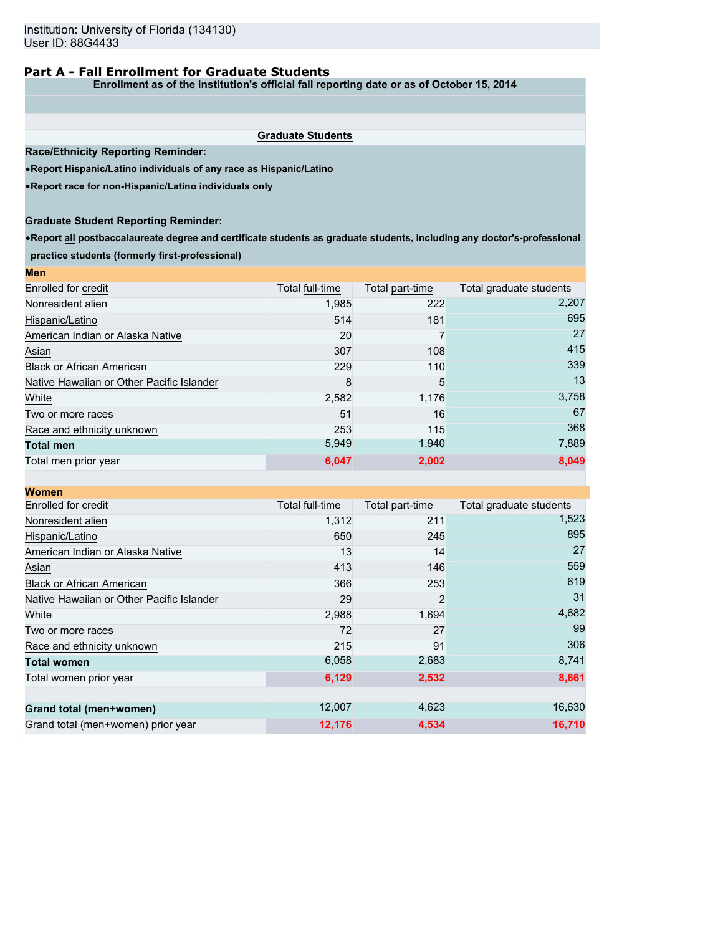## **Part A - Fall Enrollment for Graduate Students**

**Enrollment as of the institution's official fall reporting date or as of October 15, 2014**

**Graduate Students**

**Race/Ethnicity Reporting Reminder:**

•**Report Hispanic/Latino individuals of any race as Hispanic/Latino**

•**Report race for non-Hispanic/Latino individuals only**

## **Graduate Student Reporting Reminder:**

•**Report all postbaccalaureate degree and certificate students as graduate students, including any doctor's-professional practice students (formerly first-professional)**

| <b>Men</b>                                |                 |                 |                         |
|-------------------------------------------|-----------------|-----------------|-------------------------|
| Enrolled for credit                       | Total full-time | Total part-time | Total graduate students |
| Nonresident alien                         | 1,985           | 222             | 2,207                   |
| Hispanic/Latino                           | 514             | 181             | 695                     |
| American Indian or Alaska Native          | 20              |                 | 27                      |
| Asian                                     | 307             | 108             | 415                     |
| <b>Black or African American</b>          | 229             | 110             | 339                     |
| Native Hawaiian or Other Pacific Islander | 8               | 5               | 13                      |
| White                                     | 2,582           | 1,176           | 3,758                   |
| Two or more races                         | 51              | 16              | 67                      |
| Race and ethnicity unknown                | 253             | 115             | 368                     |
| <b>Total men</b>                          | 5,949           | 1,940           | 7,889                   |
| Total men prior year                      | 6,047           | 2,002           | 8,049                   |

| <b>Women</b>                              |                 |                 |                         |
|-------------------------------------------|-----------------|-----------------|-------------------------|
| Enrolled for credit                       | Total full-time | Total part-time | Total graduate students |
| Nonresident alien                         | 1,312           | 211             | 1,523                   |
| Hispanic/Latino                           | 650             | 245             | 895                     |
| American Indian or Alaska Native          | 13              | 14              | 27                      |
| Asian                                     | 413             | 146             | 559                     |
| <b>Black or African American</b>          | 366             | 253             | 619                     |
| Native Hawaiian or Other Pacific Islander | 29              | $\overline{2}$  | 31                      |
| White                                     | 2,988           | 1,694           | 4,682                   |
| Two or more races                         | 72              | 27              | 99                      |
| Race and ethnicity unknown                | 215             | 91              | 306                     |
| <b>Total women</b>                        | 6,058           | 2,683           | 8,741                   |
| Total women prior year                    | 6,129           | 2,532           | 8,661                   |
|                                           | 12,007          | 4,623           | 16,630                  |
| Grand total (men+women)                   |                 |                 |                         |
| Grand total (men+women) prior year        | 12,176          | 4,534           | 16.710                  |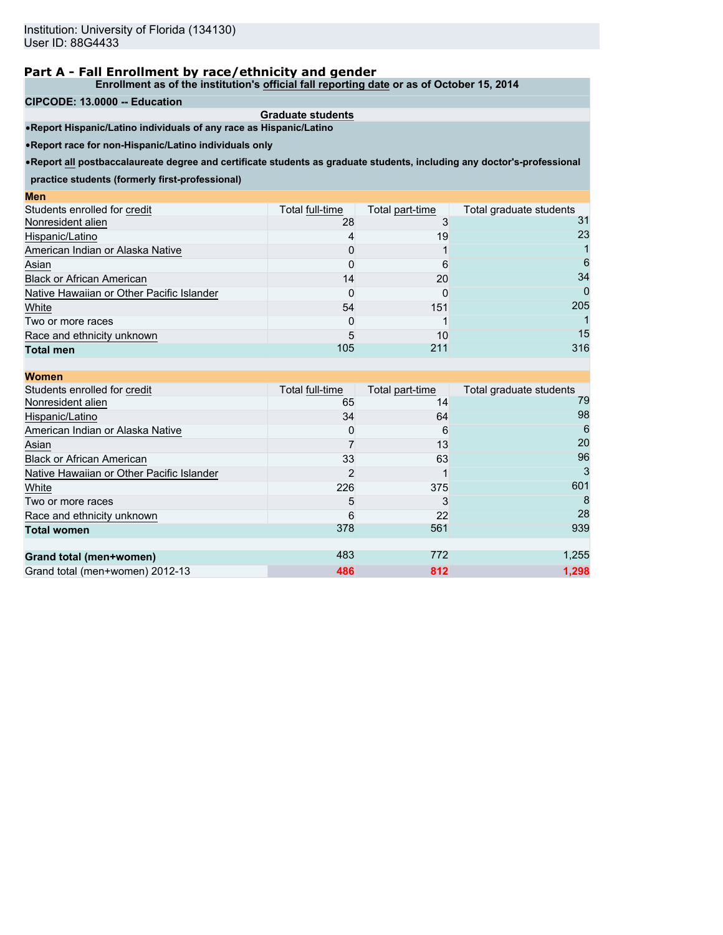**Enrollment as of the institution's official fall reporting date or as of October 15, 2014**

#### **CIPCODE: 13.0000 -- Education**

**Men**

**Graduate students** •**Report Hispanic/Latino individuals of any race as Hispanic/Latino**

•**Report race for non-Hispanic/Latino individuals only**

•**Report all postbaccalaureate degree and certificate students as graduate students, including any doctor's-professional**

**practice students (formerly first-professional)**

| wcu                                       |                 |                 |                         |
|-------------------------------------------|-----------------|-----------------|-------------------------|
| Students enrolled for credit              | Total full-time | Total part-time | Total graduate students |
| Nonresident alien                         | 28              |                 | 31                      |
| Hispanic/Latino                           |                 | 19              | 23                      |
| American Indian or Alaska Native          |                 |                 |                         |
| Asian                                     |                 |                 | 6                       |
| <b>Black or African American</b>          | 14              | 20              | 34                      |
| Native Hawaiian or Other Pacific Islander |                 |                 | 0                       |
| White                                     | 54              | 151             | 205                     |
| Two or more races                         |                 |                 |                         |
| Race and ethnicity unknown                |                 | 10              | 15                      |
| <b>Total men</b>                          | 105             | 211             | 316                     |
|                                           |                 |                 |                         |

| <b>Women</b>                              |                 |                 |                         |
|-------------------------------------------|-----------------|-----------------|-------------------------|
| Students enrolled for credit              | Total full-time | Total part-time | Total graduate students |
| Nonresident alien                         | 65              | 14              | 79                      |
| Hispanic/Latino                           | 34              | 64              | 98                      |
| American Indian or Alaska Native          |                 | 6               | 6                       |
| Asian                                     |                 | 13              | 20                      |
| <b>Black or African American</b>          | 33              | 63              | 96                      |
| Native Hawaiian or Other Pacific Islander | 2               |                 | 3                       |
| White                                     | 226             | 375             | 601                     |
| Two or more races                         | 5               |                 |                         |
| Race and ethnicity unknown                | 6               | 22              | 28                      |
| <b>Total women</b>                        | 378             | 561             | 939                     |
|                                           |                 |                 |                         |
| Grand total (men+women)                   | 483             | 772             | 1,255                   |
| Grand total (men+women) 2012-13           | 486             | 812             | 1.298                   |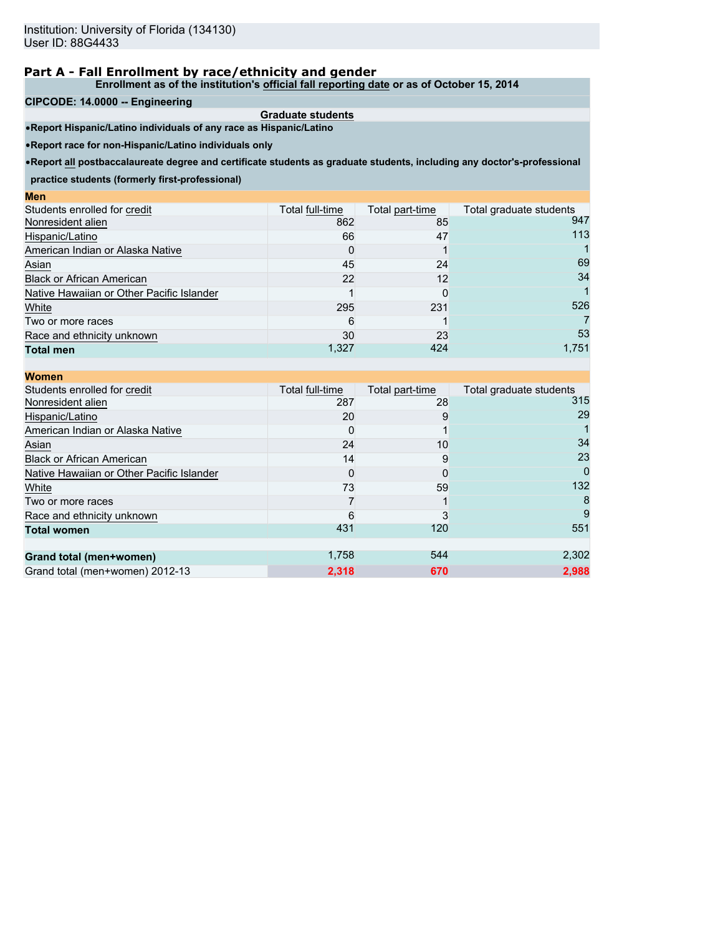**Enrollment as of the institution's official fall reporting date or as of October 15, 2014**

#### **CIPCODE: 14.0000 -- Engineering**

**Men**

**Graduate students** •**Report Hispanic/Latino individuals of any race as Hispanic/Latino**

•**Report race for non-Hispanic/Latino individuals only**

•**Report all postbaccalaureate degree and certificate students as graduate students, including any doctor's-professional**

**practice students (formerly first-professional)**

| ww                                        |                 |                 |                         |
|-------------------------------------------|-----------------|-----------------|-------------------------|
| Students enrolled for credit              | Total full-time | Total part-time | Total graduate students |
| Nonresident alien                         | 862             | 85              | 947                     |
| Hispanic/Latino                           | 66              | 47              | 113                     |
| American Indian or Alaska Native          |                 |                 |                         |
| Asian                                     | 45              | 24              | 69                      |
| <b>Black or African American</b>          | 22              | 12              | 34                      |
| Native Hawaiian or Other Pacific Islander |                 |                 |                         |
| White                                     | 295             | 231             | 526                     |
| Two or more races                         | 6               |                 |                         |
| Race and ethnicity unknown                | 30              | 23              | 53                      |
| <b>Total men</b>                          | 1,327           | 424             | 1,751                   |
|                                           |                 |                 |                         |

| <b>Women</b>                              |                 |                 |                         |
|-------------------------------------------|-----------------|-----------------|-------------------------|
| Students enrolled for credit              | Total full-time | Total part-time | Total graduate students |
| Nonresident alien                         | 287             | 28              | 315                     |
| Hispanic/Latino                           | 20              | 9               | 29                      |
| American Indian or Alaska Native          |                 |                 |                         |
| Asian                                     | 24              | 10              | 34                      |
| <b>Black or African American</b>          | 14              | 9               | 23                      |
| Native Hawaiian or Other Pacific Islander |                 |                 | $\Omega$                |
| White                                     | 73              | 59              | 132                     |
| Two or more races                         |                 |                 |                         |
| Race and ethnicity unknown                | 6               |                 | 9                       |
| <b>Total women</b>                        | 431             | 120             | 551                     |
|                                           |                 |                 |                         |
| Grand total (men+women)                   | 1,758           | 544             | 2,302                   |
| Grand total (men+women) 2012-13           | 2,318           | 670             | 2.988                   |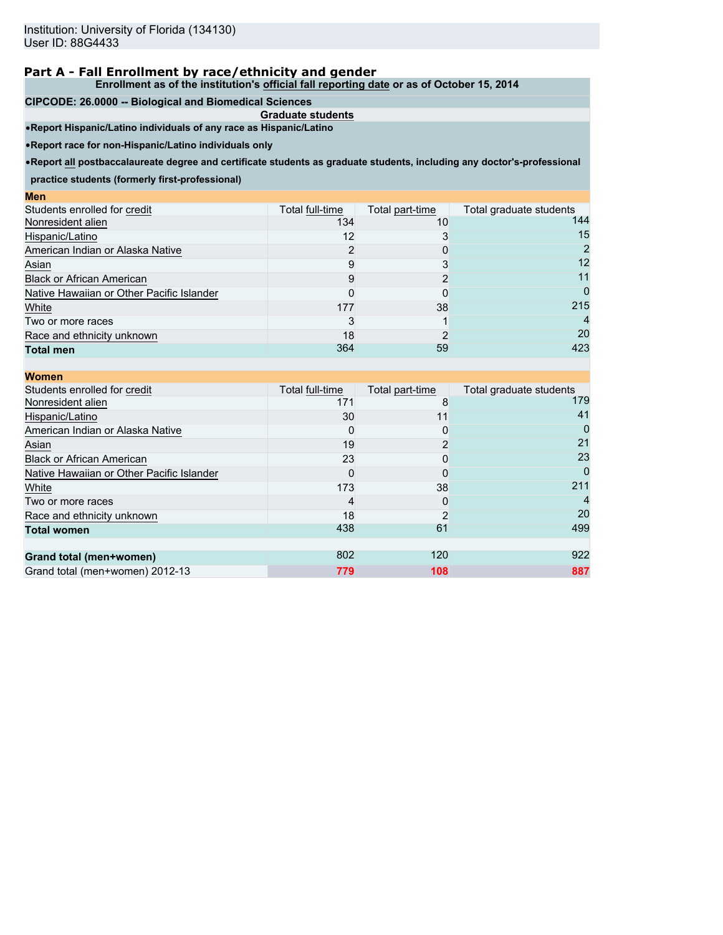**Enrollment as of the institution's official fall reporting date or as of October 15, 2014**

#### **CIPCODE: 26.0000 -- Biological and Biomedical Sciences**

**Graduate students** •**Report Hispanic/Latino individuals of any race as Hispanic/Latino**

•**Report race for non-Hispanic/Latino individuals only**

•**Report all postbaccalaureate degree and certificate students as graduate students, including any doctor's-professional**

**practice students (formerly first-professional)**

| шы                                        |                 |                 |                         |
|-------------------------------------------|-----------------|-----------------|-------------------------|
| Students enrolled for credit              | Total full-time | Total part-time | Total graduate students |
| Nonresident alien                         | 134             | 10              | 144                     |
| Hispanic/Latino                           | 12              |                 | 15                      |
| American Indian or Alaska Native          |                 |                 |                         |
| Asian                                     |                 |                 | 12                      |
| <b>Black or African American</b>          |                 |                 | 11                      |
| Native Hawaiian or Other Pacific Islander |                 |                 | 0                       |
| White                                     | 177             | 38              | 215                     |
| Two or more races                         |                 |                 | 4                       |
| Race and ethnicity unknown                | 18              |                 | 20                      |
| <b>Total men</b>                          | 364             | 59              | 423                     |
|                                           |                 |                 |                         |

| <b>Women</b>                              |                 |                 |                         |
|-------------------------------------------|-----------------|-----------------|-------------------------|
| Students enrolled for credit              | Total full-time | Total part-time | Total graduate students |
| Nonresident alien                         | 171             | 8               | 179                     |
| Hispanic/Latino                           | 30              | 11              | 41                      |
| American Indian or Alaska Native          |                 |                 |                         |
| Asian                                     | 19              |                 | 21                      |
| <b>Black or African American</b>          | 23              |                 | 23                      |
| Native Hawaiian or Other Pacific Islander | O               |                 | $\Omega$                |
| White                                     | 173             | 38              | 211                     |
| Two or more races                         |                 |                 |                         |
| Race and ethnicity unknown                | 18              |                 | 20                      |
| <b>Total women</b>                        | 438             | 61              | 499                     |
| Grand total (men+women)                   | 802             | 120             | 922                     |
| Grand total (men+women) 2012-13           | 779             | 108             | 887                     |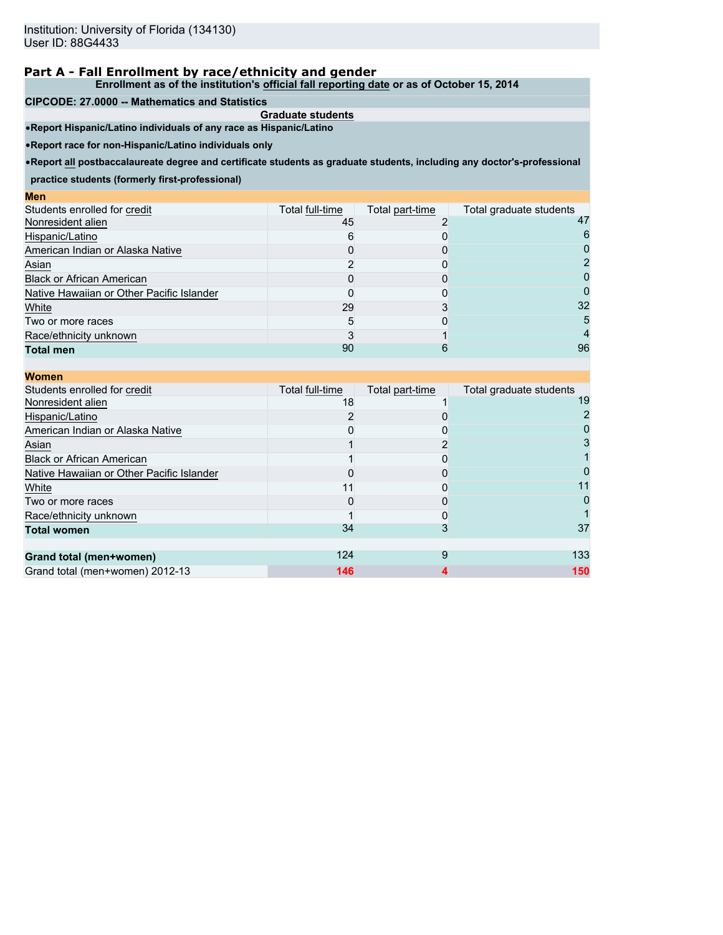**Enrollment as of the institution's official fall reporting date or as of October 15, 2014**

#### **CIPCODE: 27.0000 -- Mathematics and Statistics**

**Graduate students** •**Report Hispanic/Latino individuals of any race as Hispanic/Latino**

•**Report race for non-Hispanic/Latino individuals only**

•**Report all postbaccalaureate degree and certificate students as graduate students, including any doctor's-professional**

**practice students (formerly first-professional)**

| wcu                                       |                 |                 |                         |
|-------------------------------------------|-----------------|-----------------|-------------------------|
| Students enrolled for credit              | Total full-time | Total part-time | Total graduate students |
| Nonresident alien                         | 45              |                 | 47                      |
| Hispanic/Latino                           |                 |                 |                         |
| American Indian or Alaska Native          |                 |                 |                         |
| Asian                                     |                 |                 |                         |
| <b>Black or African American</b>          |                 |                 |                         |
| Native Hawaiian or Other Pacific Islander |                 |                 |                         |
| White                                     | 29              |                 | 32                      |
| Two or more races                         | ۰.              |                 | 5                       |
| Race/ethnicity unknown                    |                 |                 |                         |
| <b>Total men</b>                          | 90              | 6               | 96                      |
|                                           |                 |                 |                         |

| <b>Women</b>                              |                 |                 |                         |
|-------------------------------------------|-----------------|-----------------|-------------------------|
| Students enrolled for credit              | Total full-time | Total part-time | Total graduate students |
| Nonresident alien                         | 18              |                 | 19                      |
| Hispanic/Latino                           |                 |                 |                         |
| American Indian or Alaska Native          |                 |                 |                         |
| Asian                                     |                 |                 |                         |
| <b>Black or African American</b>          |                 |                 |                         |
| Native Hawaiian or Other Pacific Islander |                 |                 |                         |
| White                                     | 11              |                 |                         |
| Two or more races                         |                 |                 |                         |
| Race/ethnicity unknown                    |                 |                 |                         |
| <b>Total women</b>                        | 34              |                 | 37                      |
| Grand total (men+women)                   | 124             | 9               | 133                     |
| Grand total (men+women) 2012-13           | 146             |                 | 150                     |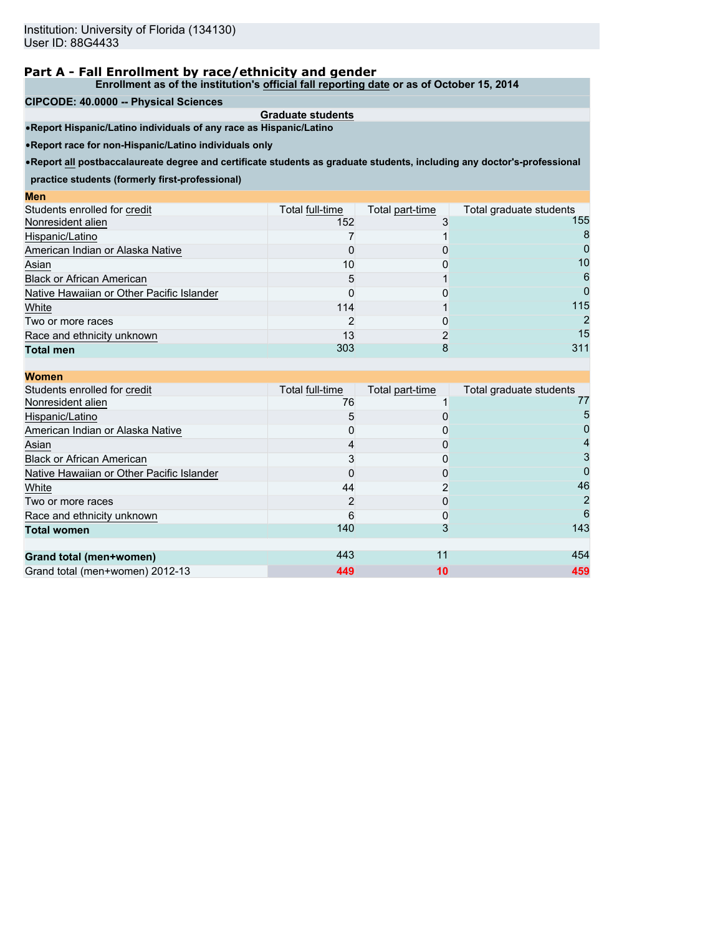**Enrollment as of the institution's official fall reporting date or as of October 15, 2014**

**CIPCODE: 40.0000 -- Physical Sciences**

**Graduate students** •**Report Hispanic/Latino individuals of any race as Hispanic/Latino**

•**Report race for non-Hispanic/Latino individuals only**

•**Report all postbaccalaureate degree and certificate students as graduate students, including any doctor's-professional**

**practice students (formerly first-professional)**

| wcu                                       |                 |                 |                         |
|-------------------------------------------|-----------------|-----------------|-------------------------|
| Students enrolled for credit              | Total full-time | Total part-time | Total graduate students |
| Nonresident alien                         | 152             |                 | 155                     |
| Hispanic/Latino                           |                 |                 | 8                       |
| American Indian or Alaska Native          |                 |                 |                         |
| Asian                                     | 10              |                 | 10                      |
| <b>Black or African American</b>          |                 |                 | 6                       |
| Native Hawaiian or Other Pacific Islander |                 |                 |                         |
| White                                     | 114             |                 | 115                     |
| Two or more races                         |                 |                 |                         |
| Race and ethnicity unknown                | 13              |                 | 15                      |
| <b>Total men</b>                          | 303             | 8               | 311                     |
|                                           |                 |                 |                         |

| <b>Women</b>                              |                 |                 |                         |
|-------------------------------------------|-----------------|-----------------|-------------------------|
| Students enrolled for credit              | Total full-time | Total part-time | Total graduate students |
| Nonresident alien                         | 76              |                 | 77                      |
| Hispanic/Latino                           | 5               |                 | 5                       |
| American Indian or Alaska Native          |                 |                 |                         |
| Asian                                     |                 |                 |                         |
| <b>Black or African American</b>          |                 |                 |                         |
| Native Hawaiian or Other Pacific Islander |                 |                 |                         |
| White                                     | 44              |                 | 46                      |
| Two or more races                         |                 |                 |                         |
| Race and ethnicity unknown                |                 |                 | 6                       |
| <b>Total women</b>                        | 140             |                 | 143                     |
| Grand total (men+women)                   | 443             | 11              | 454                     |
| Grand total (men+women) 2012-13           | 449             | 10              | 459                     |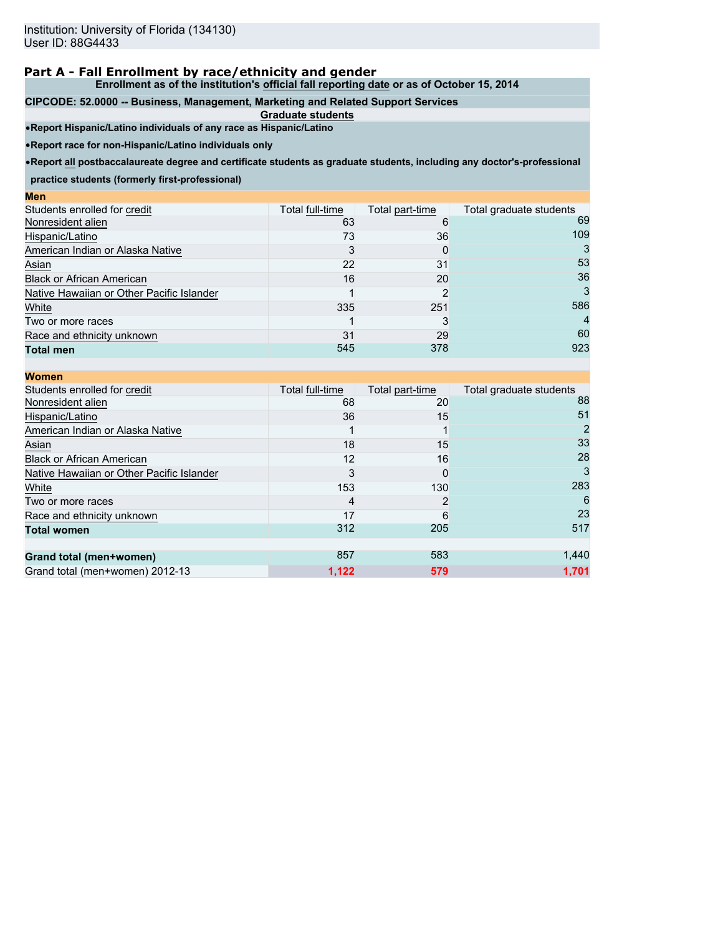**Enrollment as of the institution's official fall reporting date or as of October 15, 2014**

#### **CIPCODE: 52.0000 -- Business, Management, Marketing and Related Support Services**

**Graduate students** •**Report Hispanic/Latino individuals of any race as Hispanic/Latino**

•**Report race for non-Hispanic/Latino individuals only**

•**Report all postbaccalaureate degree and certificate students as graduate students, including any doctor's-professional**

**practice students (formerly first-professional)**

| ww                                        |                 |                 |                         |
|-------------------------------------------|-----------------|-----------------|-------------------------|
| Students enrolled for credit              | Total full-time | Total part-time | Total graduate students |
| Nonresident alien                         | 63              | 6               | 69                      |
| Hispanic/Latino                           | 73              | 36              | 109                     |
| American Indian or Alaska Native          |                 | 0               |                         |
| Asian                                     | 22              | 31              | 53                      |
| <b>Black or African American</b>          | 16              | 20              | 36                      |
| Native Hawaiian or Other Pacific Islander |                 | ົ               |                         |
| White                                     | 335             | 251             | 586                     |
| Two or more races                         |                 |                 | $\overline{4}$          |
| Race and ethnicity unknown                | 31              | 29              | 60                      |
| <b>Total men</b>                          | 545             | 378             | 923                     |
|                                           |                 |                 |                         |

| <b>Women</b>                              |                 |                 |                         |
|-------------------------------------------|-----------------|-----------------|-------------------------|
| Students enrolled for credit              | Total full-time | Total part-time | Total graduate students |
| Nonresident alien                         | 68              | 20              | 88                      |
| Hispanic/Latino                           | 36              | 15              | 51                      |
| American Indian or Alaska Native          |                 |                 |                         |
| Asian                                     | 18              | 15              | 33                      |
| <b>Black or African American</b>          | 12              | 16              | 28                      |
| Native Hawaiian or Other Pacific Islander | 3               |                 | 3                       |
| White                                     | 153             | 130             | 283                     |
| Two or more races                         |                 |                 | 6                       |
| Race and ethnicity unknown                | 17              | 6               | 23                      |
| <b>Total women</b>                        | 312             | 205             | 517                     |
|                                           |                 |                 |                         |
| Grand total (men+women)                   | 857             | 583             | 1,440                   |
| Grand total (men+women) 2012-13           | 1,122           | 579             | 1.701                   |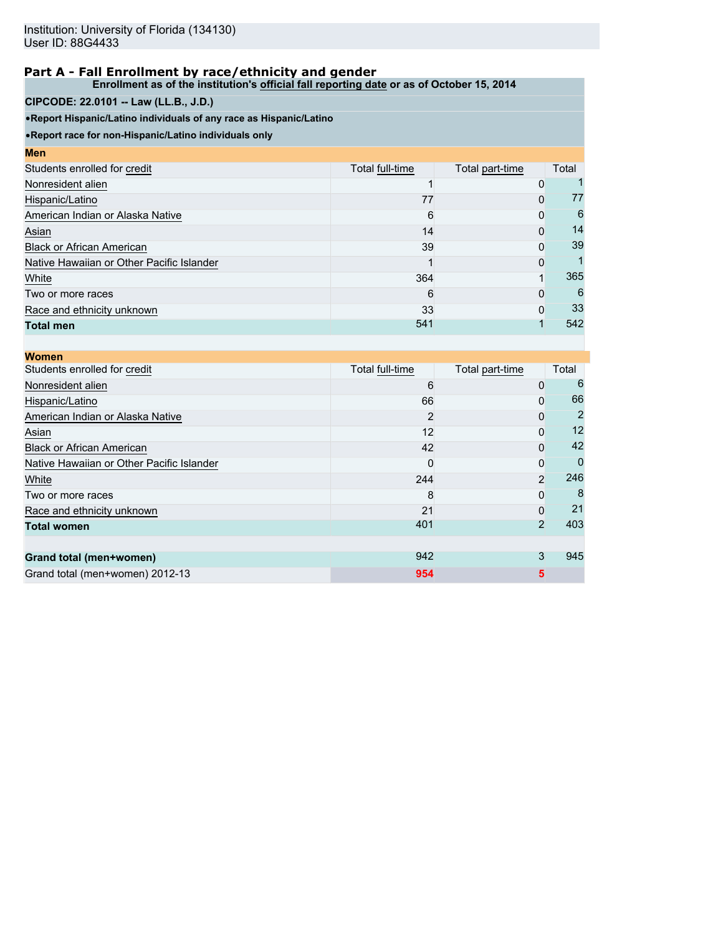**Enrollment as of the institution's official fall reporting date or as of October 15, 2014**

## **CIPCODE: 22.0101 -- Law (LL.B., J.D.)**

•**Report Hispanic/Latino individuals of any race as Hispanic/Latino**

| <b>Men</b>                                |                 |                 |       |
|-------------------------------------------|-----------------|-----------------|-------|
| Students enrolled for credit              | Total full-time | Total part-time | Total |
| Nonresident alien                         |                 | $\mathbf{0}$    |       |
| Hispanic/Latino                           | 77              | 0               | 77    |
| American Indian or Alaska Native          | 6               | 0               | 6     |
| Asian                                     | 14              | $\Omega$        | 14    |
| <b>Black or African American</b>          | 39              | $\Omega$        | 39    |
| Native Hawaiian or Other Pacific Islander |                 | $\Omega$        |       |
| White                                     | 364             |                 | 365   |
| Two or more races                         | 6               | $\Omega$        | 6     |
| Race and ethnicity unknown                | 33              | $\Omega$        | 33    |
| <b>Total men</b>                          | 541             |                 | 542   |

| <b>Women</b>                              |                 |                 |       |
|-------------------------------------------|-----------------|-----------------|-------|
| Students enrolled for credit              | Total full-time | Total part-time | Total |
| Nonresident alien                         | 6               | 0               |       |
| Hispanic/Latino                           | 66              | 0               | 66    |
| American Indian or Alaska Native          | 2               | 0               |       |
| Asian                                     | 12              | 0               | 12    |
| <b>Black or African American</b>          | 42              | 0               | 42    |
| Native Hawaiian or Other Pacific Islander | O               | 0               |       |
| White                                     | 244             | $\overline{2}$  | 246   |
| Two or more races                         | 8               | 0               |       |
| Race and ethnicity unknown                | 21              | 0               | 21    |
| <b>Total women</b>                        | 401             | $\overline{2}$  | 403   |
|                                           |                 |                 |       |
| Grand total (men+women)                   | 942             | 3               | 945   |
| Grand total (men+women) 2012-13           | 954             | 5               |       |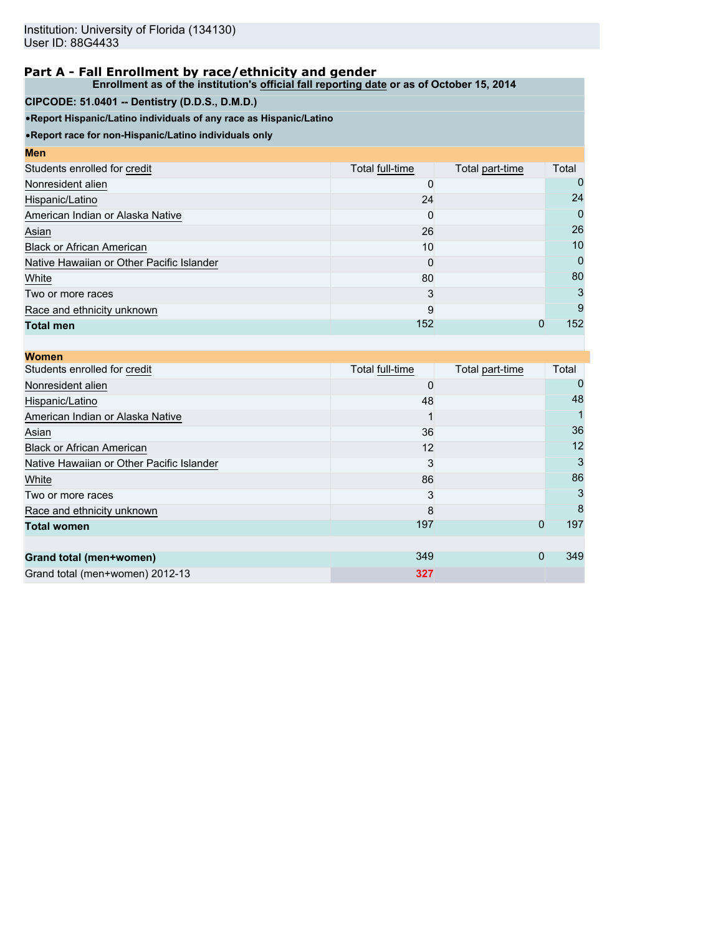**Enrollment as of the institution's official fall reporting date or as of October 15, 2014**

# **CIPCODE: 51.0401 -- Dentistry (D.D.S., D.M.D.)**

•**Report Hispanic/Latino individuals of any race as Hispanic/Latino**

| <b>Men</b>                                |                 |                 |       |
|-------------------------------------------|-----------------|-----------------|-------|
| Students enrolled for credit              | Total full-time | Total part-time | Total |
| Nonresident alien                         |                 |                 | 0     |
| Hispanic/Latino                           | 24              |                 | 24    |
| American Indian or Alaska Native          | 0               |                 | 0     |
| Asian                                     | 26              |                 | 26    |
| <b>Black or African American</b>          | 10              |                 | 10    |
| Native Hawaiian or Other Pacific Islander | 0               |                 | 0     |
| White                                     | 80              |                 | 80    |
| Two or more races                         | 3               |                 | 3     |
| Race and ethnicity unknown                | 9               |                 | 9     |
| <b>Total men</b>                          | 152             | $\Omega$        | 152   |

| <b>Women</b>                              |                 |                 |         |
|-------------------------------------------|-----------------|-----------------|---------|
| Students enrolled for credit              | Total full-time | Total part-time | Total   |
| Nonresident alien                         |                 |                 |         |
| Hispanic/Latino                           | 48              |                 | 48      |
| American Indian or Alaska Native          |                 |                 |         |
| Asian                                     | 36              |                 | 36      |
| <b>Black or African American</b>          | 12              |                 | $12 \,$ |
| Native Hawaiian or Other Pacific Islander | 3               |                 | 3       |
| White                                     | 86              |                 | 86      |
| Two or more races                         |                 |                 |         |
| Race and ethnicity unknown                | 8               |                 | 8       |
| <b>Total women</b>                        | 197             | 0               | 197     |
|                                           |                 |                 |         |
| Grand total (men+women)                   | 349             | $\mathbf 0$     | 349     |
| Grand total (men+women) 2012-13           | 327             |                 |         |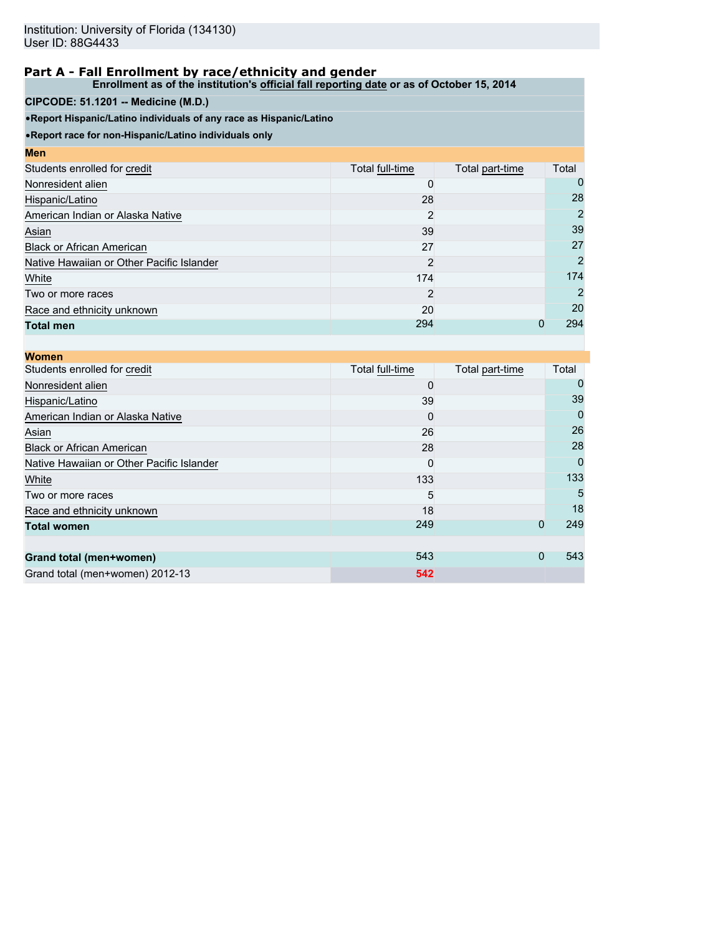**Enrollment as of the institution's official fall reporting date or as of October 15, 2014**

# **CIPCODE: 51.1201 -- Medicine (M.D.)**

•**Report Hispanic/Latino individuals of any race as Hispanic/Latino**

| <b>Men</b>                                |                 |                 |                |
|-------------------------------------------|-----------------|-----------------|----------------|
| Students enrolled for credit              | Total full-time | Total part-time | Total          |
| Nonresident alien                         |                 |                 |                |
| Hispanic/Latino                           | 28              |                 | 28             |
| American Indian or Alaska Native          | 2               |                 | 2              |
| Asian                                     | 39              |                 | 39             |
| <b>Black or African American</b>          | 27              |                 | 27             |
| Native Hawaiian or Other Pacific Islander | 2               |                 | $\overline{2}$ |
| White                                     | 174             |                 | 174            |
| Two or more races                         | 2               |                 | 2              |
| Race and ethnicity unknown                | 20              |                 | 20             |
| <b>Total men</b>                          | 294             |                 | 294            |

| <b>Women</b>                              |                 |                 |       |
|-------------------------------------------|-----------------|-----------------|-------|
| Students enrolled for credit              | Total full-time | Total part-time | Total |
| Nonresident alien                         |                 |                 |       |
| Hispanic/Latino                           | 39              |                 | 39    |
| American Indian or Alaska Native          | $\Omega$        |                 |       |
| Asian                                     | 26              |                 | 26    |
| <b>Black or African American</b>          | 28              |                 | 28    |
| Native Hawaiian or Other Pacific Islander | $\Omega$        |                 | 0     |
| White                                     | 133             |                 | 133   |
| Two or more races                         | 5               |                 | 5     |
| Race and ethnicity unknown                | 18              |                 | 18    |
| <b>Total women</b>                        | 249             | $\mathbf 0$     | 249   |
|                                           |                 |                 |       |
| Grand total (men+women)                   | 543             | 0               | 543   |
| Grand total (men+women) 2012-13           | 542             |                 |       |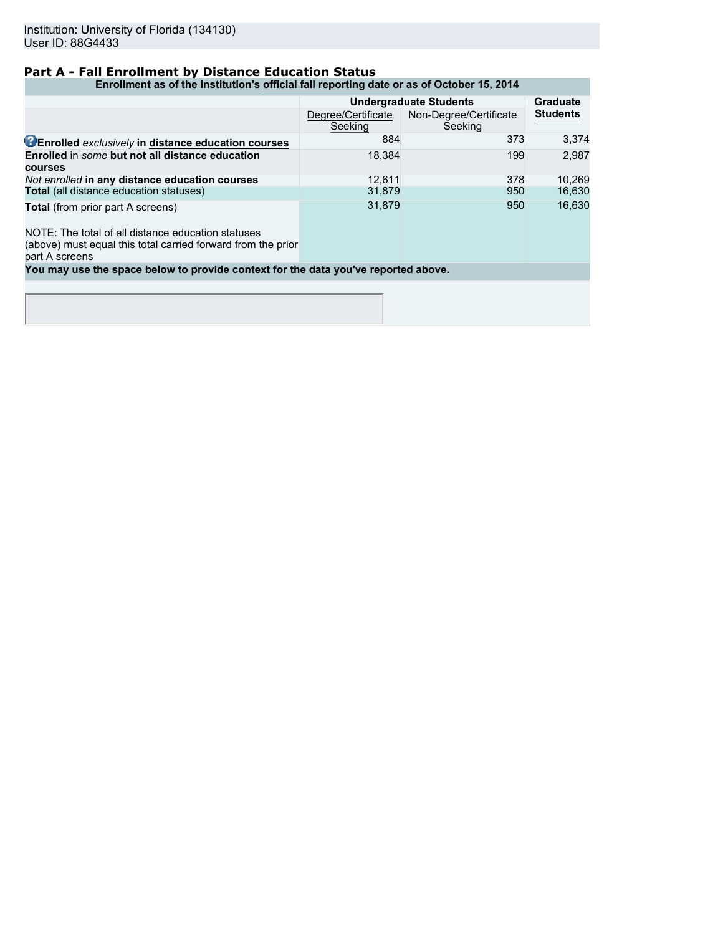# **Part A - Fall Enrollment by Distance Education Status**

**Enrollment as of the institution's official fall reporting date or as of October 15, 2014**

|                                                                   | <b>Undergraduate Students</b> | <b>Graduate</b>                   |                 |
|-------------------------------------------------------------------|-------------------------------|-----------------------------------|-----------------|
|                                                                   | Degree/Certificate<br>Seeking | Non-Degree/Certificate<br>Seeking | <b>Students</b> |
| <b>CEnrolled exclusively in distance education courses</b>        | 884                           | 373                               | 3.374           |
| Enrolled in some but not all distance education<br><b>courses</b> | 18.384                        | 199                               | 2.987           |
| Not enrolled in any distance education courses                    | 12.611                        | 378                               | 10.269          |
| Total (all distance education statuses)                           | 31.879                        | 950                               | 16,630          |
| Total (from prior part A screens)                                 | 31.879                        | 950                               | 16.630          |

NOTE: The total of all distance education statuses

(above) must equal this total carried forward from the prior part A screens

**You may use the space below to provide context for the data you've reported above.**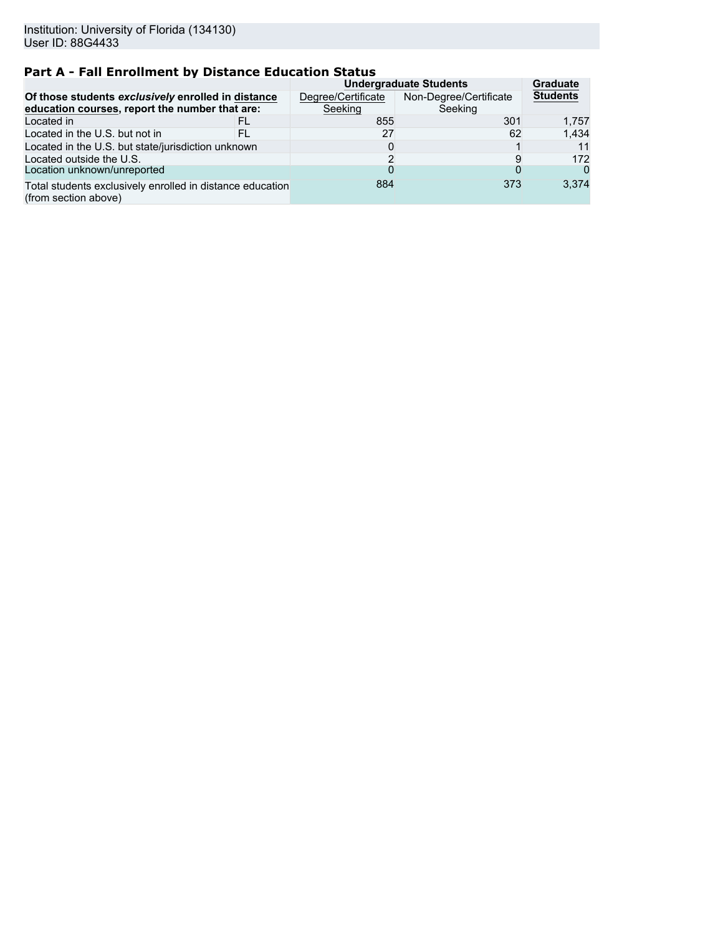# **Part A - Fall Enrollment by Distance Education Status**

|                                                                                                      |     | <b>Undergraduate Students</b> | <b>Graduate</b>                   |                 |
|------------------------------------------------------------------------------------------------------|-----|-------------------------------|-----------------------------------|-----------------|
| Of those students exclusively enrolled in distance<br>education courses, report the number that are: |     | Degree/Certificate<br>Seeking | Non-Degree/Certificate<br>Seeking | <b>Students</b> |
| Located in                                                                                           | FL  | 855                           | 301                               | 1.757           |
| Located in the U.S. but not in                                                                       | FI. | 27                            | 62                                | 1.434           |
| Located in the U.S. but state/jurisdiction unknown                                                   |     | O                             |                                   | 11              |
| Located outside the U.S.                                                                             |     | ົ                             |                                   | 172             |
| Location unknown/unreported                                                                          |     |                               |                                   | $\Omega$        |
| Total students exclusively enrolled in distance education<br>(from section above)                    |     | 884                           | 373                               | 3.374           |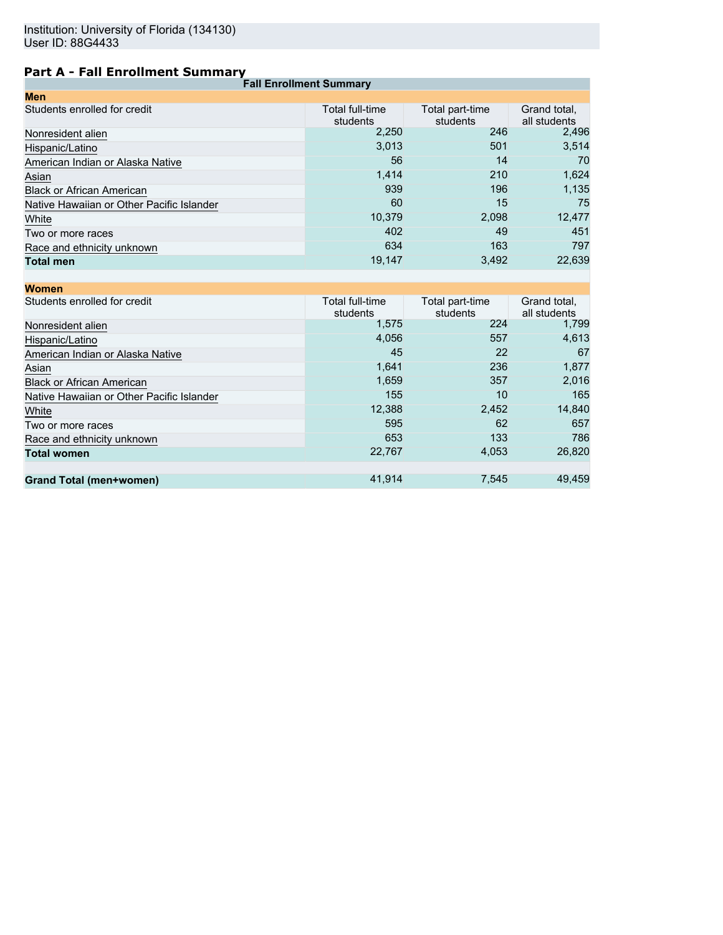# **Part A - Fall Enrollment Summary**

| <b>Fall Enrollment Summary</b>            |                             |                             |                              |
|-------------------------------------------|-----------------------------|-----------------------------|------------------------------|
| <b>Men</b>                                |                             |                             |                              |
| Students enrolled for credit              | Total full-time<br>students | Total part-time<br>students | Grand total,<br>all students |
| Nonresident alien                         | 2,250                       | 246                         | 2,496                        |
| Hispanic/Latino                           | 3,013                       | 501                         | 3,514                        |
| American Indian or Alaska Native          | 56                          | 14                          | 70                           |
| Asian                                     | 1,414                       | 210                         | 1,624                        |
| <b>Black or African American</b>          | 939                         | 196                         | 1,135                        |
| Native Hawaiian or Other Pacific Islander | 60                          | 15                          | 75                           |
| White                                     | 10,379                      | 2,098                       | 12,477                       |
| Two or more races                         | 402                         | 49                          | 451                          |
| Race and ethnicity unknown                | 634                         | 163                         | 797                          |
| <b>Total men</b>                          | 19,147                      | 3,492                       | 22,639                       |
|                                           |                             |                             |                              |

| <b>Women</b>                              |                             |                             |                              |
|-------------------------------------------|-----------------------------|-----------------------------|------------------------------|
| Students enrolled for credit              | Total full-time<br>students | Total part-time<br>students | Grand total,<br>all students |
| Nonresident alien                         | 1,575                       | 224                         | 1,799                        |
| Hispanic/Latino                           | 4,056                       | 557                         | 4,613                        |
| American Indian or Alaska Native          | 45                          | 22                          | 67                           |
| Asian                                     | 1,641                       | 236                         | 1,877                        |
| <b>Black or African American</b>          | 1,659                       | 357                         | 2,016                        |
| Native Hawaiian or Other Pacific Islander | 155                         | 10                          | 165                          |
| White                                     | 12,388                      | 2,452                       | 14,840                       |
| Two or more races                         | 595                         | 62                          | 657                          |
| Race and ethnicity unknown                | 653                         | 133                         | 786                          |
| <b>Total women</b>                        | 22,767                      | 4,053                       | 26,820                       |
|                                           |                             |                             |                              |
| <b>Grand Total (men+women)</b>            | 41,914                      | 7,545                       | 49,459                       |
|                                           |                             |                             |                              |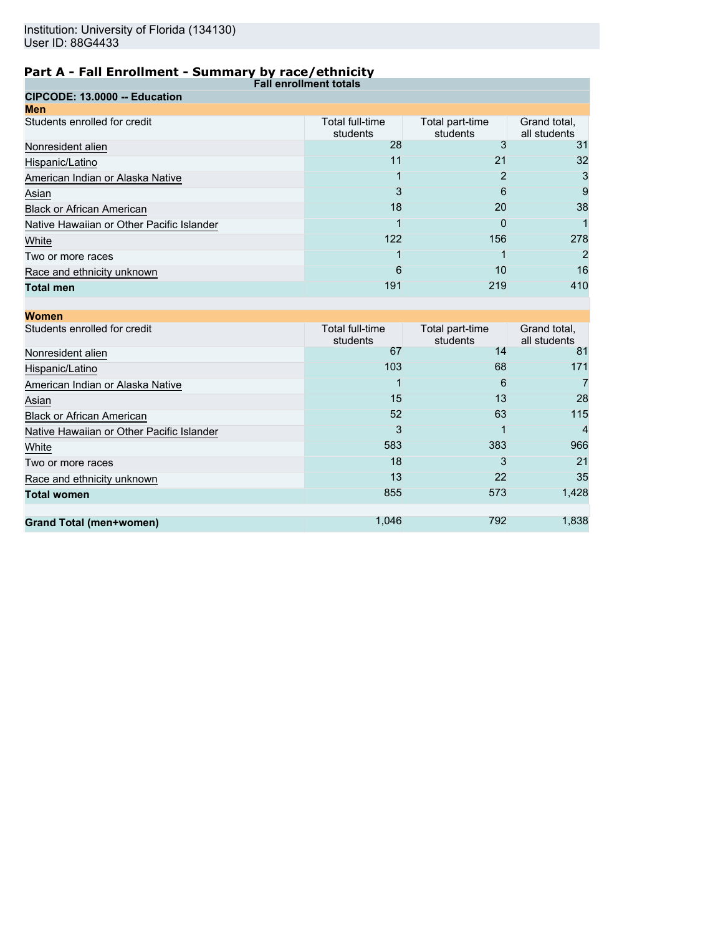| ------<br><b>Fall enrollment totals</b>   |                             |                             |                              |
|-------------------------------------------|-----------------------------|-----------------------------|------------------------------|
| CIPCODE: 13.0000 -- Education             |                             |                             |                              |
| <b>Men</b>                                |                             |                             |                              |
| Students enrolled for credit              | Total full-time<br>students | Total part-time<br>students | Grand total,<br>all students |
| Nonresident alien                         | 28                          |                             | 31                           |
| Hispanic/Latino                           | 11                          | 21                          | 32                           |
| American Indian or Alaska Native          |                             |                             | 3                            |
| Asian                                     | 3                           | 6                           | 9                            |
| <b>Black or African American</b>          | 18                          | 20                          | 38                           |
| Native Hawaiian or Other Pacific Islander |                             | 0                           |                              |
| White                                     | 122                         | 156                         | 278                          |
| Two or more races                         |                             |                             | 2                            |
| Race and ethnicity unknown                | 6                           | 10                          | 16                           |
| <b>Total men</b>                          | 191                         | 219                         | 410                          |

| <b>Women</b>                              |                             |                             |                              |
|-------------------------------------------|-----------------------------|-----------------------------|------------------------------|
| Students enrolled for credit              | Total full-time<br>students | Total part-time<br>students | Grand total,<br>all students |
| Nonresident alien                         | 67                          | 14                          | 81                           |
| Hispanic/Latino                           | 103                         | 68                          | 171                          |
| American Indian or Alaska Native          |                             | 6                           |                              |
| Asian                                     | 15                          | 13                          | 28                           |
| <b>Black or African American</b>          | 52                          | 63                          | 115                          |
| Native Hawaiian or Other Pacific Islander | 3                           |                             |                              |
| White                                     | 583                         | 383                         | 966                          |
| Two or more races                         | 18                          | 3                           | 21                           |
| Race and ethnicity unknown                | 13                          | 22                          | 35                           |
| <b>Total women</b>                        | 855                         | 573                         | 1,428                        |
|                                           |                             |                             |                              |
| <b>Grand Total (men+women)</b>            | 1,046                       | 792                         | 1,838                        |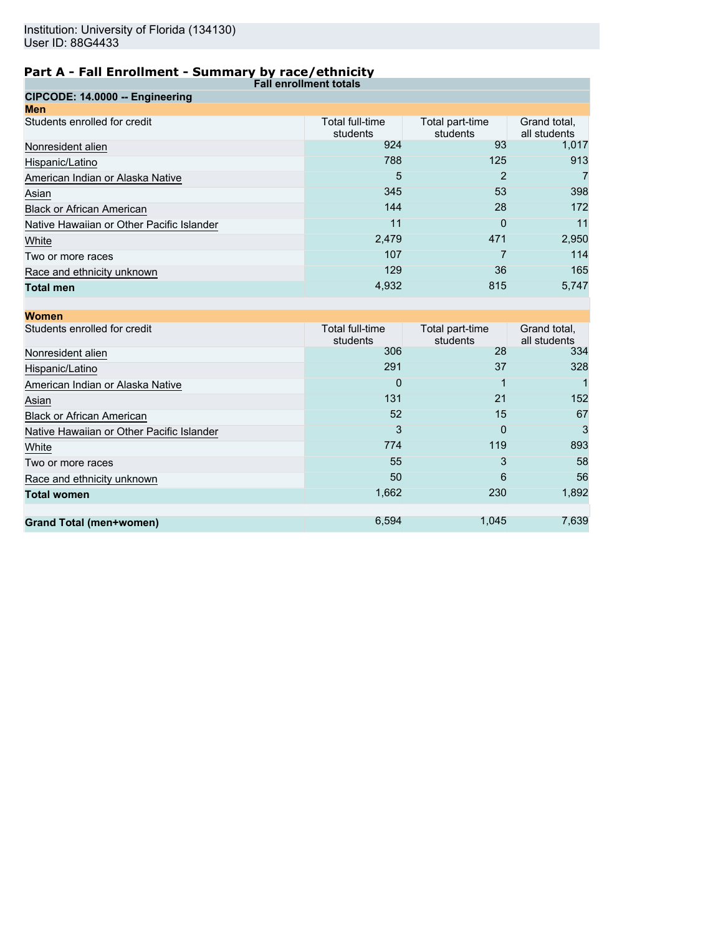| <b>Fall enrollment totals</b>             |                             |                             |                              |
|-------------------------------------------|-----------------------------|-----------------------------|------------------------------|
| CIPCODE: 14.0000 -- Engineering           |                             |                             |                              |
| <b>Men</b>                                |                             |                             |                              |
| Students enrolled for credit              | Total full-time<br>students | Total part-time<br>students | Grand total,<br>all students |
| Nonresident alien                         | 924                         | 93                          | 1,017                        |
| Hispanic/Latino                           | 788                         | 125                         | 913                          |
| American Indian or Alaska Native          | 5                           | 2                           |                              |
| Asian                                     | 345                         | 53                          | 398                          |
| <b>Black or African American</b>          | 144                         | 28                          | 172                          |
| Native Hawaiian or Other Pacific Islander | 11                          | 0                           | 11                           |
| White                                     | 2,479                       | 471                         | 2,950                        |
| Two or more races                         | 107                         |                             | 114                          |
| Race and ethnicity unknown                | 129                         | 36                          | 165                          |
| <b>Total men</b>                          | 4,932                       | 815                         | 5,747                        |

| <b>Women</b>                              |                             |                             |                              |
|-------------------------------------------|-----------------------------|-----------------------------|------------------------------|
| Students enrolled for credit              | Total full-time<br>students | Total part-time<br>students | Grand total,<br>all students |
| Nonresident alien                         | 306                         | 28                          | 334                          |
| Hispanic/Latino                           | 291                         | 37                          | 328                          |
| American Indian or Alaska Native          | 0                           |                             |                              |
| Asian                                     | 131                         | 21                          | 152                          |
| <b>Black or African American</b>          | 52                          | 15                          | 67                           |
| Native Hawaiian or Other Pacific Islander | 3                           | 0                           | 3                            |
| White                                     | 774                         | 119                         | 893                          |
| Two or more races                         | 55                          | 3                           | 58                           |
| Race and ethnicity unknown                | 50                          | 6                           | 56                           |
| <b>Total women</b>                        | 1,662                       | 230                         | 1,892                        |
|                                           |                             |                             |                              |
| <b>Grand Total (men+women)</b>            | 6,594                       | 1,045                       | 7,639                        |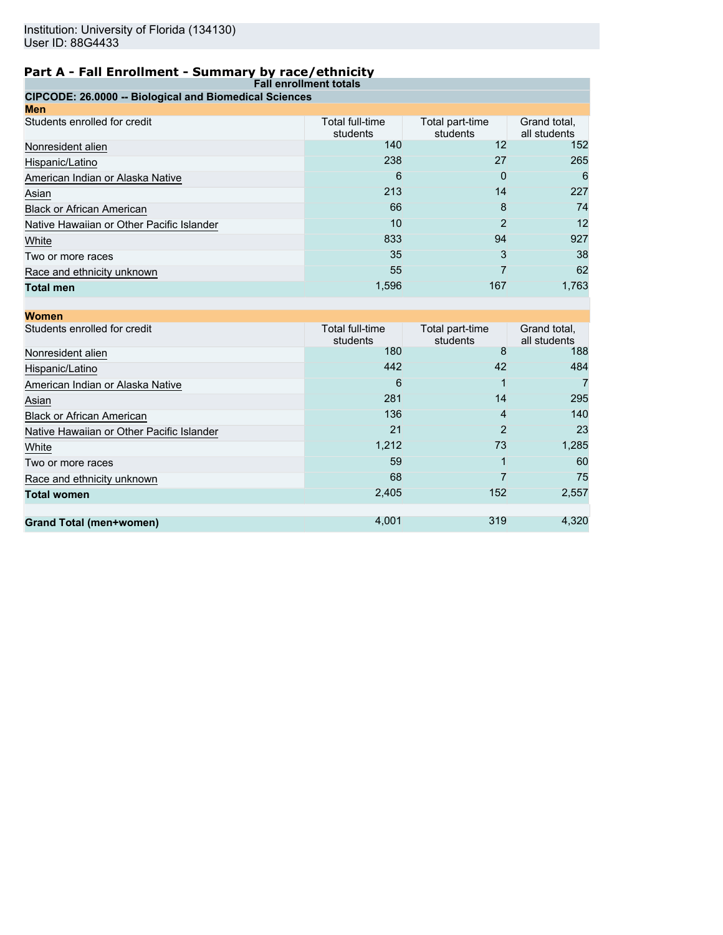| <b>Fall enrollment totals</b>                          |                             |                             |                              |
|--------------------------------------------------------|-----------------------------|-----------------------------|------------------------------|
| CIPCODE: 26.0000 -- Biological and Biomedical Sciences |                             |                             |                              |
| Men                                                    |                             |                             |                              |
| Students enrolled for credit                           | Total full-time<br>students | Total part-time<br>students | Grand total,<br>all students |
| Nonresident alien                                      | 140                         | 12                          | 152                          |
| Hispanic/Latino                                        | 238                         | 27                          | 265                          |
| American Indian or Alaska Native                       | 6                           | 0                           | 6                            |
| Asian                                                  | 213                         | 14                          | 227                          |
| <b>Black or African American</b>                       | 66                          | 8                           | 74                           |
| Native Hawaiian or Other Pacific Islander              | 10                          | 2                           | 12                           |
| White                                                  | 833                         | 94                          | 927                          |
| Two or more races                                      | 35                          | 3                           | 38                           |
| Race and ethnicity unknown                             | 55                          |                             | 62                           |
| <b>Total men</b>                                       | 1,596                       | 167                         | 1,763                        |

| <b>Women</b>                              |                             |                             |                              |
|-------------------------------------------|-----------------------------|-----------------------------|------------------------------|
| Students enrolled for credit              | Total full-time<br>students | Total part-time<br>students | Grand total,<br>all students |
| Nonresident alien                         | 180                         | 8                           | 188                          |
| Hispanic/Latino                           | 442                         | 42                          | 484                          |
| American Indian or Alaska Native          | 6                           |                             |                              |
| Asian                                     | 281                         | 14                          | 295                          |
| <b>Black or African American</b>          | 136                         | 4                           | 140                          |
| Native Hawaiian or Other Pacific Islander | 21                          | 2                           | 23                           |
| White                                     | 1,212                       | 73                          | 1,285                        |
| Two or more races                         | 59                          |                             | 60                           |
| Race and ethnicity unknown                | 68                          |                             | 75                           |
| <b>Total women</b>                        | 2,405                       | 152                         | 2,557                        |
|                                           |                             |                             |                              |
| <b>Grand Total (men+women)</b>            | 4,001                       | 319                         | 4,320                        |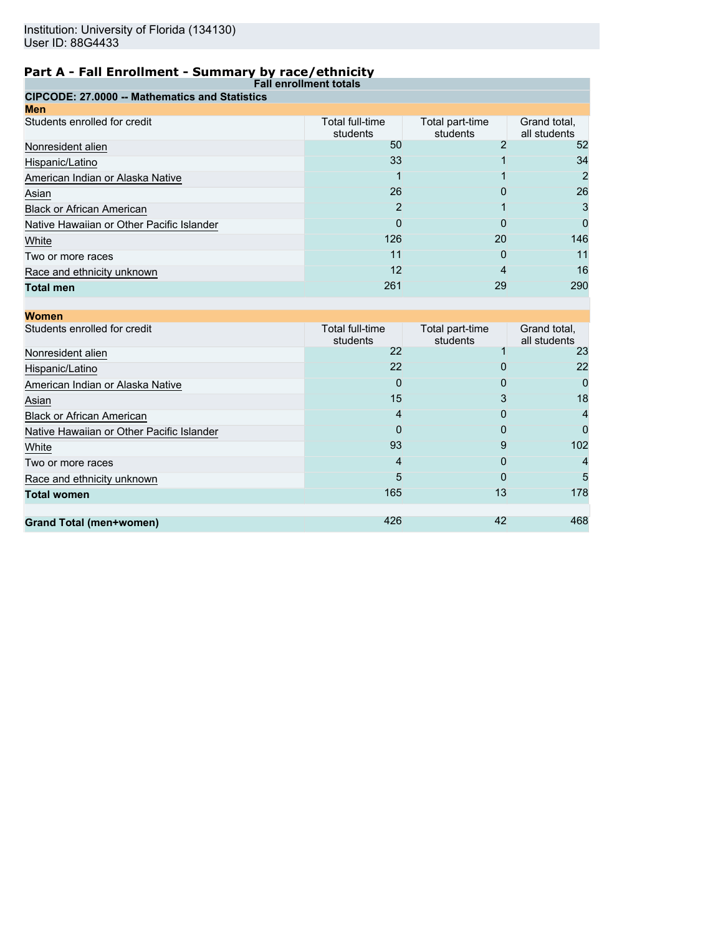| <b>Fall enrollment totals</b>                         |                             |                             |                              |
|-------------------------------------------------------|-----------------------------|-----------------------------|------------------------------|
| <b>CIPCODE: 27,0000 -- Mathematics and Statistics</b> |                             |                             |                              |
| <b>Men</b>                                            |                             |                             |                              |
| Students enrolled for credit                          | Total full-time<br>students | Total part-time<br>students | Grand total,<br>all students |
| Nonresident alien                                     | 50                          | ◠                           | 52                           |
| Hispanic/Latino                                       | 33                          |                             | 34                           |
| American Indian or Alaska Native                      |                             |                             | 2                            |
| Asian                                                 | 26                          | 0                           | 26                           |
| <b>Black or African American</b>                      | 2                           |                             | 3                            |
| Native Hawaiian or Other Pacific Islander             | 0                           | 0                           | 0                            |
| White                                                 | 126                         | 20                          | 146                          |
| Two or more races                                     | 11                          | 0                           | 11                           |
| Race and ethnicity unknown                            | 12                          |                             | 16                           |
| <b>Total men</b>                                      | 261                         | 29                          | 290                          |

| <b>Women</b>                              |                             |                             |                              |
|-------------------------------------------|-----------------------------|-----------------------------|------------------------------|
| Students enrolled for credit              | Total full-time<br>students | Total part-time<br>students | Grand total,<br>all students |
| Nonresident alien                         | 22                          |                             | 23                           |
| Hispanic/Latino                           | 22                          | O                           | 22                           |
| American Indian or Alaska Native          | 0                           | 0                           | O                            |
| Asian                                     | 15                          | 3                           | 18                           |
| <b>Black or African American</b>          | 4                           | 0                           |                              |
| Native Hawaiian or Other Pacific Islander | 0                           | 0                           |                              |
| White                                     | 93                          | 9                           | 102                          |
| Two or more races                         | 4                           | 0                           |                              |
| Race and ethnicity unknown                | 5                           | O                           | 5                            |
| <b>Total women</b>                        | 165                         | 13                          | 178                          |
|                                           |                             |                             |                              |
| <b>Grand Total (men+women)</b>            | 426                         | 42                          | 468                          |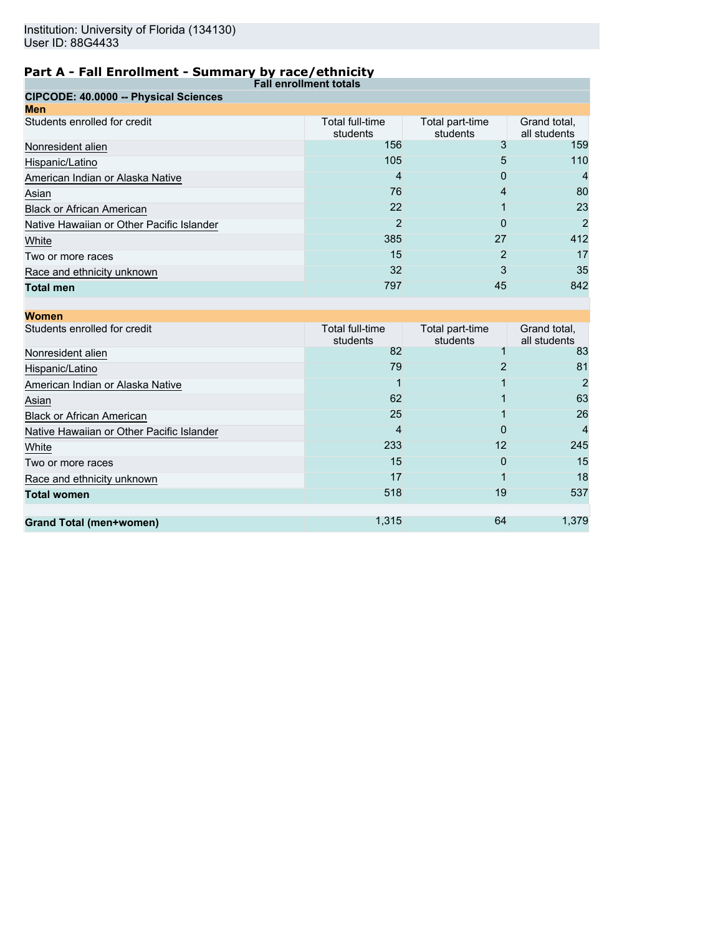| <b>Fall enrollment totals</b>             |                             |                             |                              |
|-------------------------------------------|-----------------------------|-----------------------------|------------------------------|
| CIPCODE: 40.0000 -- Physical Sciences     |                             |                             |                              |
| <b>Men</b>                                |                             |                             |                              |
| Students enrolled for credit              | Total full-time<br>students | Total part-time<br>students | Grand total,<br>all students |
| Nonresident alien                         | 156                         |                             | 159                          |
| Hispanic/Latino                           | 105                         | 5                           | 110                          |
| American Indian or Alaska Native          | 4                           | 0                           | 4                            |
| Asian                                     | 76                          | 4                           | 80                           |
| <b>Black or African American</b>          | 22                          |                             | 23                           |
| Native Hawaiian or Other Pacific Islander | 2                           | O                           | 2                            |
| White                                     | 385                         | 27                          | 412                          |
| Two or more races                         | 15                          | 2                           | 17                           |
| Race and ethnicity unknown                | 32                          | 3                           | 35                           |
| <b>Total men</b>                          | 797                         | 45                          | 842                          |

| <b>Women</b>                              |                             |                             |                              |
|-------------------------------------------|-----------------------------|-----------------------------|------------------------------|
| Students enrolled for credit              | Total full-time<br>students | Total part-time<br>students | Grand total,<br>all students |
| Nonresident alien                         | 82                          |                             | 83                           |
| Hispanic/Latino                           | 79                          |                             | 81                           |
| American Indian or Alaska Native          |                             |                             | 2                            |
| Asian                                     | 62                          |                             | 63                           |
| <b>Black or African American</b>          | 25                          |                             | 26                           |
| Native Hawaiian or Other Pacific Islander | 4                           | 0                           |                              |
| White                                     | 233                         | 12                          | 245                          |
| Two or more races                         | 15                          | 0                           | 15                           |
| Race and ethnicity unknown                | 17                          |                             | 18                           |
| <b>Total women</b>                        | 518                         | 19                          | 537                          |
|                                           |                             |                             |                              |
| <b>Grand Total (men+women)</b>            | 1,315                       | 64                          | 1,379                        |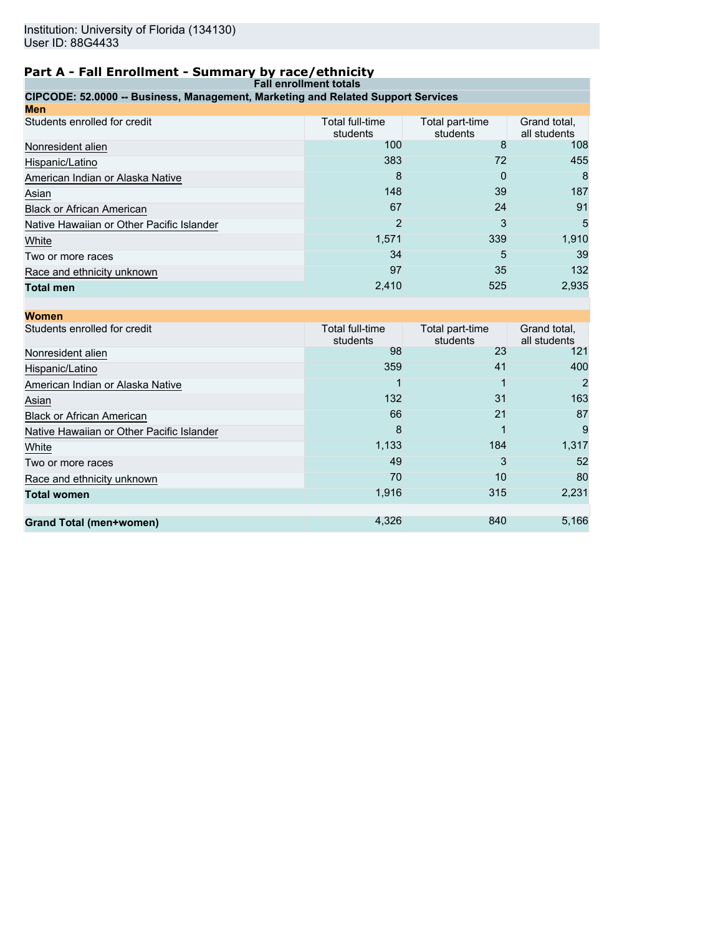# **Part A - Fall Enrollment - Summary by race/ethnicity**

| <b>Fall enrollment totals</b>                                                    |                             |                             |  |  |  |
|----------------------------------------------------------------------------------|-----------------------------|-----------------------------|--|--|--|
| CIPCODE: 52.0000 -- Business, Management, Marketing and Related Support Services |                             |                             |  |  |  |
| Men                                                                              |                             |                             |  |  |  |
| Students enrolled for credit                                                     | Total full-time<br>students | Total part-time<br>students |  |  |  |
|                                                                                  | $\sim$ $\sim$               |                             |  |  |  |

|                                           | students | students | all students |
|-------------------------------------------|----------|----------|--------------|
| Nonresident alien                         | 100      | 8        | 108          |
| Hispanic/Latino                           | 383      | 72       | 455          |
| American Indian or Alaska Native          | 8        | 0        | 8            |
| Asian                                     | 148      | 39       | 187          |
| <b>Black or African American</b>          | 67       | 24       | 91           |
| Native Hawaiian or Other Pacific Islander | 2        | 3        | 5            |
| White                                     | 1,571    | 339      | 1,910        |
| Two or more races                         | 34       | 5        | 39           |
| Race and ethnicity unknown                | 97       | 35       | 132          |
| Total men                                 | 2,410    | 525      | 2,935        |

Grand total,

| <b>Women</b>                              |                             |                             |                              |
|-------------------------------------------|-----------------------------|-----------------------------|------------------------------|
| Students enrolled for credit              | Total full-time<br>students | Total part-time<br>students | Grand total,<br>all students |
| Nonresident alien                         | 98                          | 23                          | 121                          |
| Hispanic/Latino                           | 359                         | 41                          | 400                          |
| American Indian or Alaska Native          |                             |                             |                              |
| Asian                                     | 132                         | 31                          | 163                          |
| <b>Black or African American</b>          | 66                          | 21                          | 87                           |
| Native Hawaiian or Other Pacific Islander | 8                           |                             | 9                            |
| White                                     | 1,133                       | 184                         | 1,317                        |
| Two or more races                         | 49                          | 3                           | 52                           |
| Race and ethnicity unknown                | 70                          | 10                          | 80                           |
| <b>Total women</b>                        | 1,916                       | 315                         | 2,231                        |
|                                           |                             |                             |                              |
| <b>Grand Total (men+women)</b>            | 4,326                       | 840                         | 5,166                        |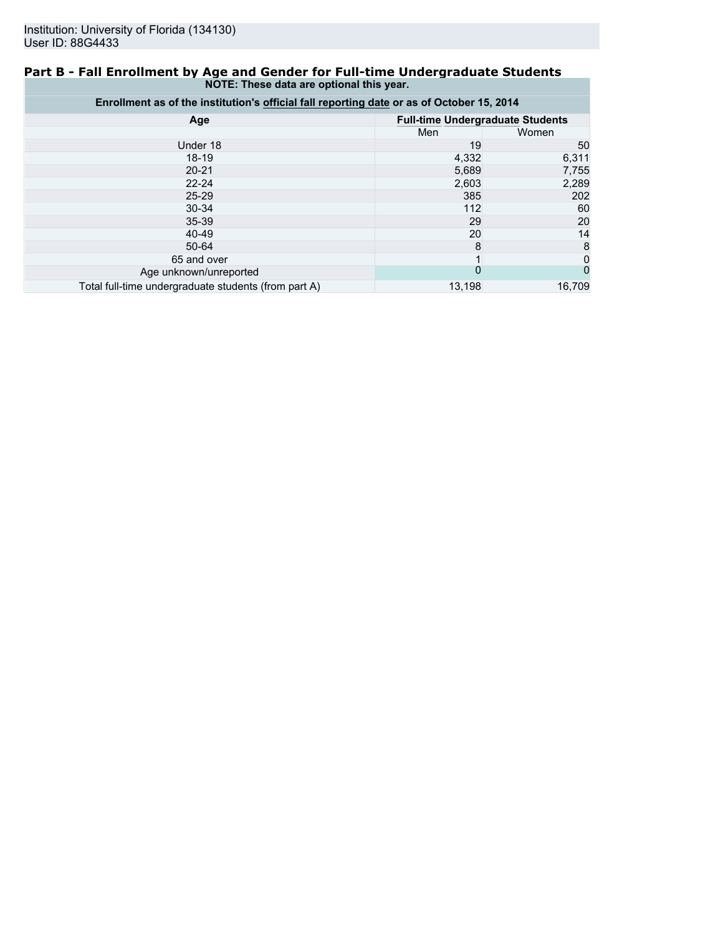### **Part B - Fall Enrollment by Age and Gender for Full-time Undergraduate Students NOTE: These data are optional this year.**

| Enrollment as of the institution's official fall reporting date or as of October 15, 2014 |                                         |        |  |  |  |
|-------------------------------------------------------------------------------------------|-----------------------------------------|--------|--|--|--|
| Age                                                                                       | <b>Full-time Undergraduate Students</b> |        |  |  |  |
|                                                                                           | Men                                     | Women  |  |  |  |
| Under 18                                                                                  | 19                                      | 50     |  |  |  |
| $18 - 19$                                                                                 | 4,332                                   | 6,311  |  |  |  |
| $20 - 21$                                                                                 | 5,689                                   | 7,755  |  |  |  |
| $22 - 24$                                                                                 | 2,603                                   | 2,289  |  |  |  |
| $25 - 29$                                                                                 | 385                                     | 202    |  |  |  |
| $30 - 34$                                                                                 | 112                                     | 60     |  |  |  |
| $35 - 39$                                                                                 | 29                                      | 20     |  |  |  |
| 40-49                                                                                     | 20                                      | 14     |  |  |  |
| 50-64                                                                                     | 8                                       | 8      |  |  |  |
| 65 and over                                                                               |                                         | 0      |  |  |  |
| Age unknown/unreported                                                                    | 0                                       | 0      |  |  |  |
| Total full-time undergraduate students (from part A)                                      | 13,198                                  | 16,709 |  |  |  |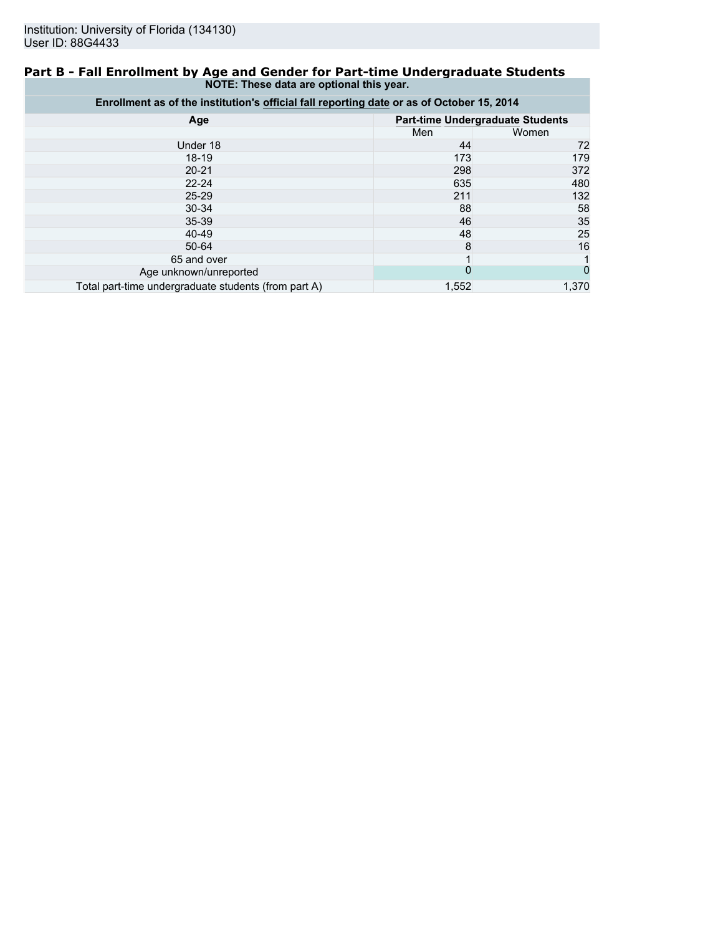### **Part B - Fall Enrollment by Age and Gender for Part-time Undergraduate Students NOTE: These data are optional this year.**

| Enrollment as of the institution's official fall reporting date or as of October 15, 2014 |                                         |       |  |  |  |
|-------------------------------------------------------------------------------------------|-----------------------------------------|-------|--|--|--|
| Age                                                                                       | <b>Part-time Undergraduate Students</b> |       |  |  |  |
|                                                                                           | Men                                     | Women |  |  |  |
| Under 18                                                                                  | 44                                      | 72    |  |  |  |
| $18-19$                                                                                   | 173                                     | 179   |  |  |  |
| $20 - 21$                                                                                 | 298                                     | 372   |  |  |  |
| $22 - 24$                                                                                 | 635                                     | 480   |  |  |  |
| $25 - 29$                                                                                 | 211                                     | 132   |  |  |  |
| 30-34                                                                                     | 88                                      | 58    |  |  |  |
| $35 - 39$                                                                                 | 46                                      | 35    |  |  |  |
| 40-49                                                                                     | 48                                      | 25    |  |  |  |
| $50 - 64$                                                                                 | 8                                       | 16    |  |  |  |
| 65 and over                                                                               |                                         |       |  |  |  |
| Age unknown/unreported                                                                    | 0                                       |       |  |  |  |
| Total part-time undergraduate students (from part A)                                      | 1,552                                   | 1.370 |  |  |  |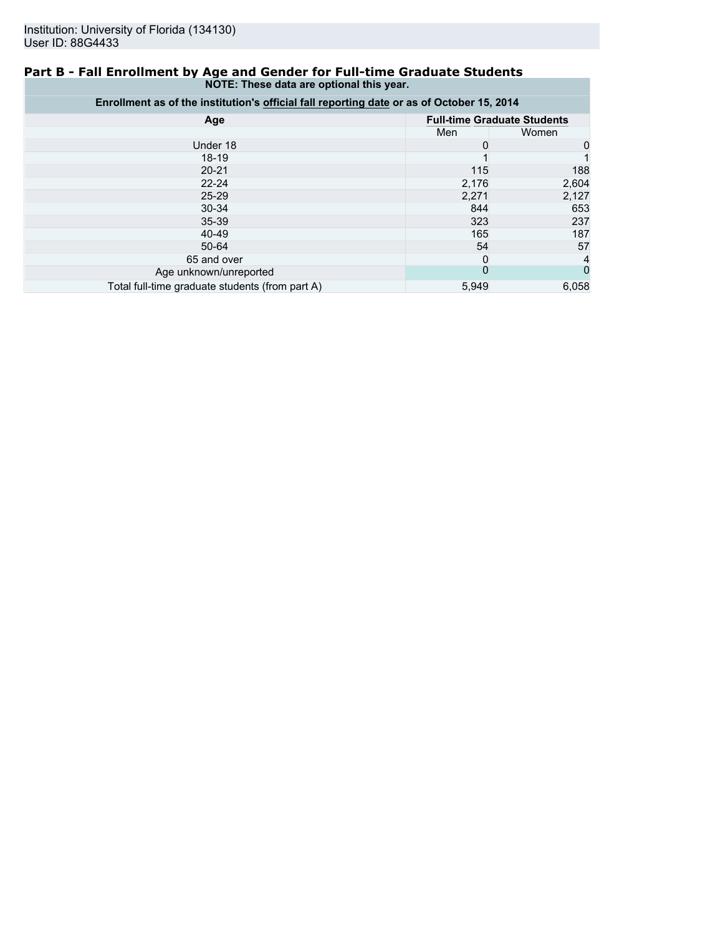### **Part B - Fall Enrollment by Age and Gender for Full-time Graduate Students NOTE: These data are optional this year.**

| Enrollment as of the institution's official fall reporting date or as of October 15, 2014 |                |                                    |  |  |  |
|-------------------------------------------------------------------------------------------|----------------|------------------------------------|--|--|--|
| Age                                                                                       |                | <b>Full-time Graduate Students</b> |  |  |  |
|                                                                                           | Men            | Women                              |  |  |  |
| Under 18                                                                                  | 0              | 0                                  |  |  |  |
| $18-19$                                                                                   |                |                                    |  |  |  |
| $20 - 21$                                                                                 | 115            | 188                                |  |  |  |
| $22 - 24$                                                                                 | 2,176          | 2,604                              |  |  |  |
| $25 - 29$                                                                                 | 2,271          | 2,127                              |  |  |  |
| $30 - 34$                                                                                 | 844            | 653                                |  |  |  |
| $35 - 39$                                                                                 | 323            | 237                                |  |  |  |
| $40 - 49$                                                                                 | 165            | 187                                |  |  |  |
| 50-64                                                                                     | 54             | 57                                 |  |  |  |
| 65 and over                                                                               | 0              |                                    |  |  |  |
| Age unknown/unreported                                                                    | $\overline{0}$ |                                    |  |  |  |
| Total full-time graduate students (from part A)                                           | 5,949          | 6,058                              |  |  |  |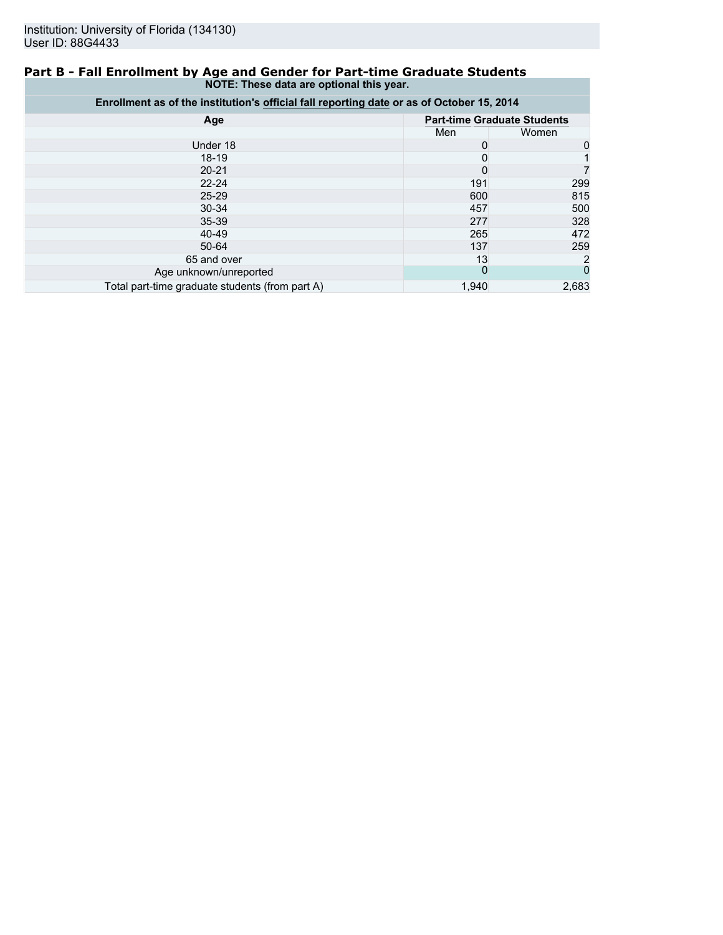### **Part B - Fall Enrollment by Age and Gender for Part-time Graduate Students NOTE: These data are optional this year.**

| Enrollment as of the institution's official fall reporting date or as of October 15, 2014 |          |                                    |  |  |
|-------------------------------------------------------------------------------------------|----------|------------------------------------|--|--|
| Age                                                                                       |          | <b>Part-time Graduate Students</b> |  |  |
|                                                                                           | Men      | Women                              |  |  |
| Under 18                                                                                  |          |                                    |  |  |
| $18 - 19$                                                                                 | 0        |                                    |  |  |
| $20 - 21$                                                                                 | 0        |                                    |  |  |
| $22 - 24$                                                                                 | 191      | 299                                |  |  |
| $25 - 29$                                                                                 | 600      | 815                                |  |  |
| $30 - 34$                                                                                 | 457      | 500                                |  |  |
| $35 - 39$                                                                                 | 277      | 328                                |  |  |
| 40-49                                                                                     | 265      | 472                                |  |  |
| 50-64                                                                                     | 137      | 259                                |  |  |
| 65 and over                                                                               | 13       |                                    |  |  |
| Age unknown/unreported                                                                    | $\Omega$ | 0                                  |  |  |
| Total part-time graduate students (from part A)                                           | 1,940    | 2,683                              |  |  |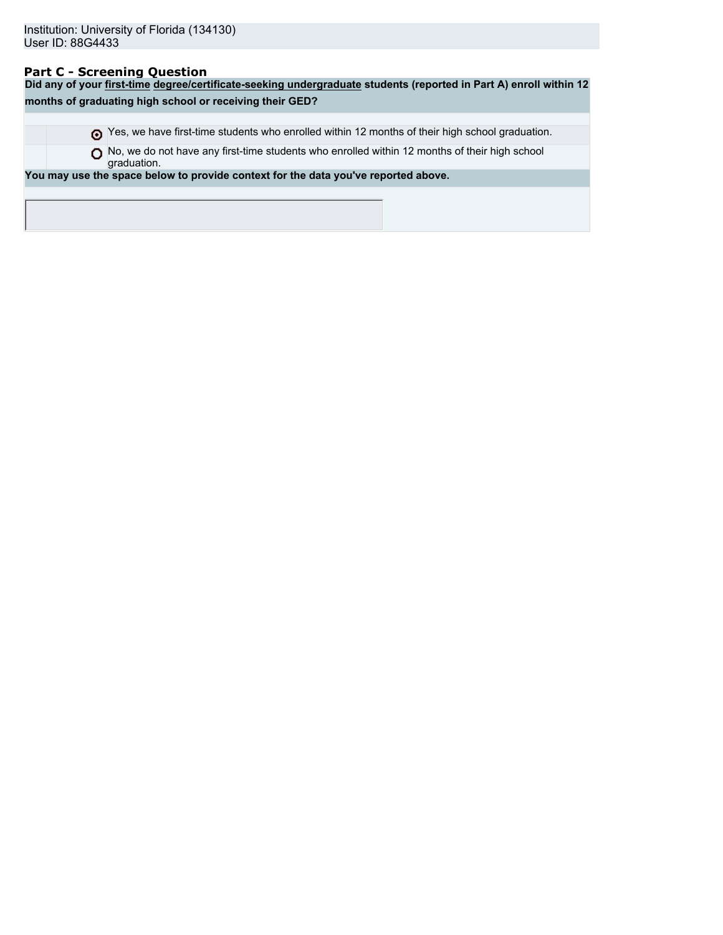## **Part C - Screening Question**

**Did any of your first-time degree/certificate-seeking undergraduate students (reported in Part A) enroll within 12 months of graduating high school or receiving their GED?** Yes, we have first-time students who enrolled within 12 months of their high school graduation. ◯ No, we do not have any first-time students who enrolled within 12 months of their high school graduation. **You may use the space below to provide context for the data you've reported above.**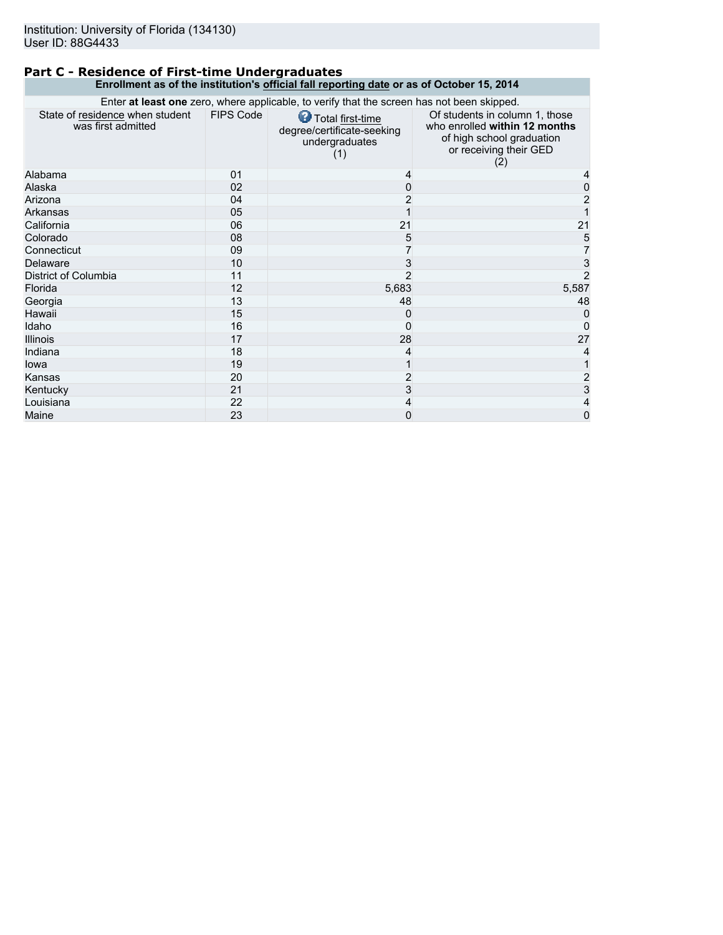## **Part C - Residence of First-time Undergraduates Enrollment as of the institution's official fall reporting date or as of October 15, 2014**

| Enter at least one zero, where applicable, to verify that the screen has not been skipped. |                  |                                                                         |                                                                                                                               |  |  |
|--------------------------------------------------------------------------------------------|------------------|-------------------------------------------------------------------------|-------------------------------------------------------------------------------------------------------------------------------|--|--|
| State of residence when student<br>was first admitted                                      | <b>FIPS Code</b> | Total first-time<br>degree/certificate-seeking<br>undergraduates<br>(1) | Of students in column 1, those<br>who enrolled within 12 months<br>of high school graduation<br>or receiving their GED<br>(2) |  |  |
| Alabama                                                                                    | 01               | 4                                                                       |                                                                                                                               |  |  |
| Alaska                                                                                     | 02               | 0                                                                       | 0                                                                                                                             |  |  |
| Arizona                                                                                    | 04               | 2                                                                       | 2                                                                                                                             |  |  |
| Arkansas                                                                                   | 05               |                                                                         |                                                                                                                               |  |  |
| California                                                                                 | 06               | 21                                                                      | 21                                                                                                                            |  |  |
| Colorado                                                                                   | 08               | 5                                                                       | 5                                                                                                                             |  |  |
| Connecticut                                                                                | 09               |                                                                         |                                                                                                                               |  |  |
| Delaware                                                                                   | 10               | 3                                                                       | 3                                                                                                                             |  |  |
| District of Columbia                                                                       | 11               | 2                                                                       | 2                                                                                                                             |  |  |
| Florida                                                                                    | 12               | 5,683                                                                   | 5,587                                                                                                                         |  |  |
| Georgia                                                                                    | 13               | 48                                                                      | 48                                                                                                                            |  |  |
| Hawaii                                                                                     | 15               | 0                                                                       |                                                                                                                               |  |  |
| Idaho                                                                                      | 16               | 0                                                                       |                                                                                                                               |  |  |
| <b>Illinois</b>                                                                            | 17               | 28                                                                      | 27                                                                                                                            |  |  |
| Indiana                                                                                    | 18               | 4                                                                       |                                                                                                                               |  |  |
| lowa                                                                                       | 19               |                                                                         |                                                                                                                               |  |  |
| Kansas                                                                                     | 20               | 2                                                                       |                                                                                                                               |  |  |
| Kentucky                                                                                   | 21               | 3                                                                       | 2<br>3                                                                                                                        |  |  |
| Louisiana                                                                                  | 22               | 4                                                                       | 4                                                                                                                             |  |  |
| Maine                                                                                      | 23               | 0                                                                       | 0                                                                                                                             |  |  |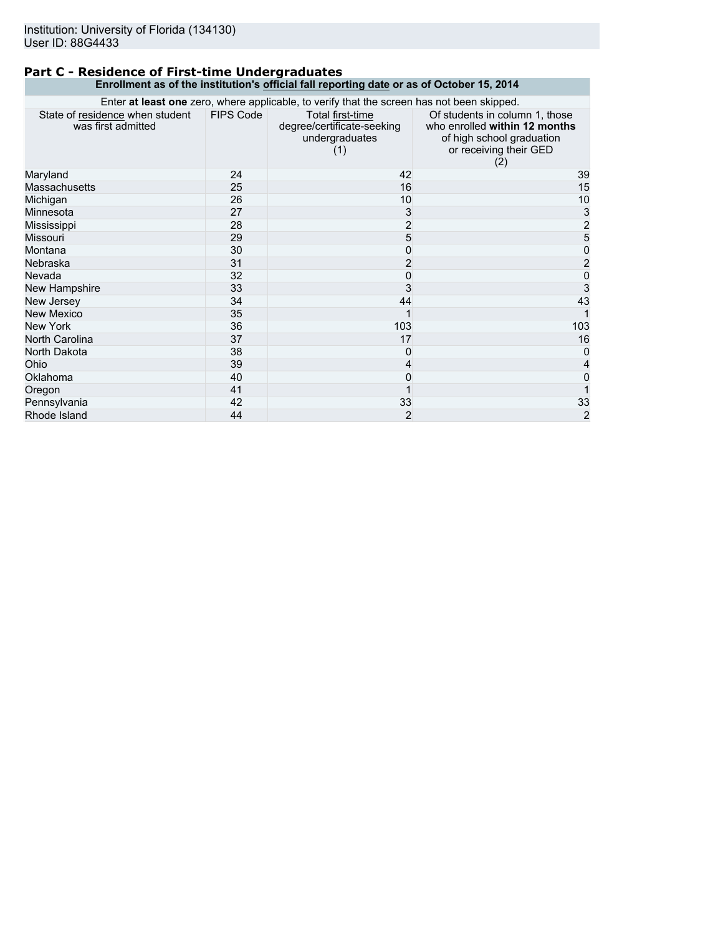## **Part C - Residence of First-time Undergraduates Enrollment as of the institution's official fall reporting date or as of October 15, 2014**

| Enter at least one zero, where applicable, to verify that the screen has not been skipped. |                  |                                                                         |                                                                                                                               |  |  |
|--------------------------------------------------------------------------------------------|------------------|-------------------------------------------------------------------------|-------------------------------------------------------------------------------------------------------------------------------|--|--|
| State of residence when student<br>was first admitted                                      | <b>FIPS Code</b> | Total first-time<br>degree/certificate-seeking<br>undergraduates<br>(1) | Of students in column 1, those<br>who enrolled within 12 months<br>of high school graduation<br>or receiving their GED<br>(2) |  |  |
| Maryland                                                                                   | 24               | 42                                                                      | 39                                                                                                                            |  |  |
| Massachusetts                                                                              | 25               | 16                                                                      | 15                                                                                                                            |  |  |
| Michigan                                                                                   | 26               | 10                                                                      | 10                                                                                                                            |  |  |
| Minnesota                                                                                  | 27               | 3                                                                       |                                                                                                                               |  |  |
| Mississippi                                                                                | 28               | $\overline{c}$                                                          | $\begin{array}{c} 3 \\ 2 \\ 5 \\ 0 \end{array}$                                                                               |  |  |
| <b>Missouri</b>                                                                            | 29               | 5                                                                       |                                                                                                                               |  |  |
| Montana                                                                                    | 30               | 0                                                                       |                                                                                                                               |  |  |
| Nebraska                                                                                   | 31               | $\overline{2}$                                                          | $\overline{\mathbf{c}}$                                                                                                       |  |  |
| Nevada                                                                                     | 32               | 0                                                                       | $\pmb{0}$                                                                                                                     |  |  |
| New Hampshire                                                                              | 33               | 3                                                                       | $\overline{3}$                                                                                                                |  |  |
| New Jersey                                                                                 | 34               | 44                                                                      | 43                                                                                                                            |  |  |
| <b>New Mexico</b>                                                                          | 35               | 1                                                                       |                                                                                                                               |  |  |
| New York                                                                                   | 36               | 103                                                                     | 103                                                                                                                           |  |  |
| North Carolina                                                                             | 37               | 17                                                                      | 16                                                                                                                            |  |  |
| North Dakota                                                                               | 38               | 0                                                                       | $\Omega$                                                                                                                      |  |  |
| Ohio                                                                                       | 39               | 4                                                                       |                                                                                                                               |  |  |
| Oklahoma                                                                                   | 40               | 0                                                                       |                                                                                                                               |  |  |
| Oregon                                                                                     | 41               |                                                                         |                                                                                                                               |  |  |
| Pennsylvania                                                                               | 42               | 33                                                                      | 33                                                                                                                            |  |  |
| Rhode Island                                                                               | 44               | $\overline{2}$                                                          | $\overline{2}$                                                                                                                |  |  |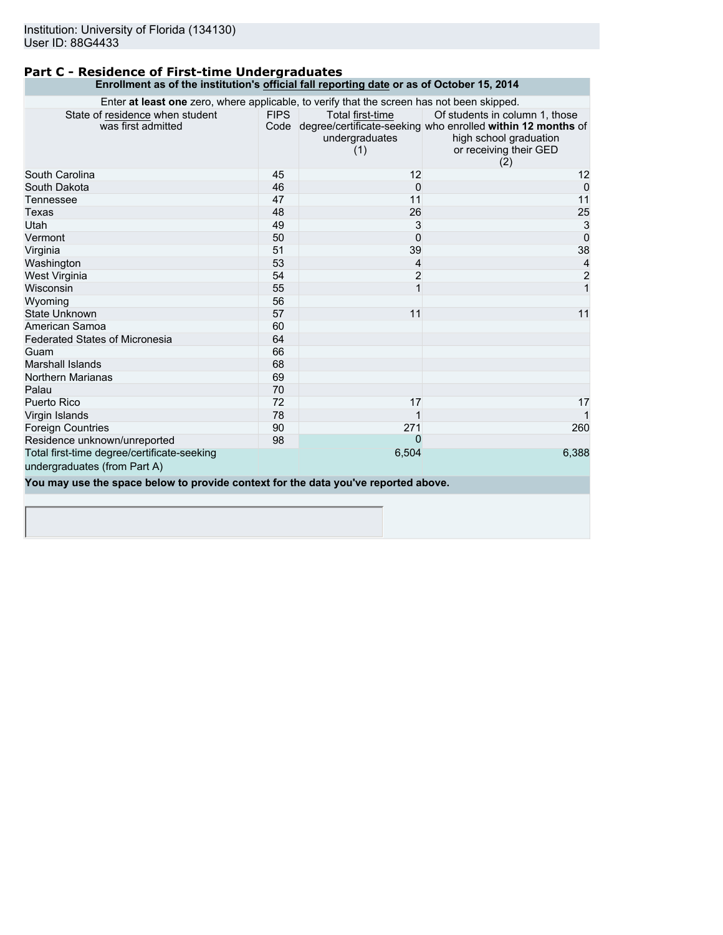### **Part C - Residence of First-time Undergraduates Enrollment as of the institution's official fall reporting date or as of October 15, 2014**

| Enter at least one zero, where applicable, to verify that the screen has not been skipped. |             |                                           |                                                                                                                                                               |  |
|--------------------------------------------------------------------------------------------|-------------|-------------------------------------------|---------------------------------------------------------------------------------------------------------------------------------------------------------------|--|
| State of residence when student<br>was first admitted                                      | <b>FIPS</b> | Total first-time<br>undergraduates<br>(1) | Of students in column 1, those<br>Code degree/certificate-seeking who enrolled within 12 months of<br>high school graduation<br>or receiving their GED<br>(2) |  |
| South Carolina                                                                             | 45          | 12                                        | 12                                                                                                                                                            |  |
| South Dakota                                                                               | 46          | $\Omega$                                  | $\mathbf{0}$                                                                                                                                                  |  |
| Tennessee                                                                                  | 47          | 11                                        | 11                                                                                                                                                            |  |
| Texas                                                                                      | 48          | 26                                        | 25                                                                                                                                                            |  |
| Utah                                                                                       | 49          | 3                                         | $\mathbf{3}$                                                                                                                                                  |  |
| Vermont                                                                                    | 50          | $\Omega$                                  | $\overline{0}$                                                                                                                                                |  |
| Virginia                                                                                   | 51          | 39                                        | 38                                                                                                                                                            |  |
| Washington                                                                                 | 53          | 4                                         | $\frac{4}{2}$                                                                                                                                                 |  |
| West Virginia                                                                              | 54          | $\overline{c}$                            |                                                                                                                                                               |  |
| Wisconsin                                                                                  | 55          | $\mathbf{1}$                              |                                                                                                                                                               |  |
| Wyoming                                                                                    | 56          |                                           |                                                                                                                                                               |  |
| State Unknown                                                                              | 57          | 11                                        | 11                                                                                                                                                            |  |
| American Samoa                                                                             | 60          |                                           |                                                                                                                                                               |  |
| <b>Federated States of Micronesia</b>                                                      | 64          |                                           |                                                                                                                                                               |  |
| Guam                                                                                       | 66          |                                           |                                                                                                                                                               |  |
| <b>Marshall Islands</b>                                                                    | 68          |                                           |                                                                                                                                                               |  |
| <b>Northern Marianas</b>                                                                   | 69          |                                           |                                                                                                                                                               |  |
| Palau                                                                                      | 70          |                                           |                                                                                                                                                               |  |
| Puerto Rico                                                                                | 72          | 17                                        | 17                                                                                                                                                            |  |
| Virgin Islands                                                                             | 78          |                                           |                                                                                                                                                               |  |
| <b>Foreign Countries</b>                                                                   | 90          | 271                                       | 260                                                                                                                                                           |  |
| Residence unknown/unreported                                                               | 98          | $\Omega$                                  |                                                                                                                                                               |  |
| Total first-time degree/certificate-seeking                                                |             | 6,504                                     | 6,388                                                                                                                                                         |  |
| undergraduates (from Part A)                                                               |             |                                           |                                                                                                                                                               |  |
| You may use the space below to provide context for the data you've reported above.         |             |                                           |                                                                                                                                                               |  |
|                                                                                            |             |                                           |                                                                                                                                                               |  |
|                                                                                            |             |                                           |                                                                                                                                                               |  |
|                                                                                            |             |                                           |                                                                                                                                                               |  |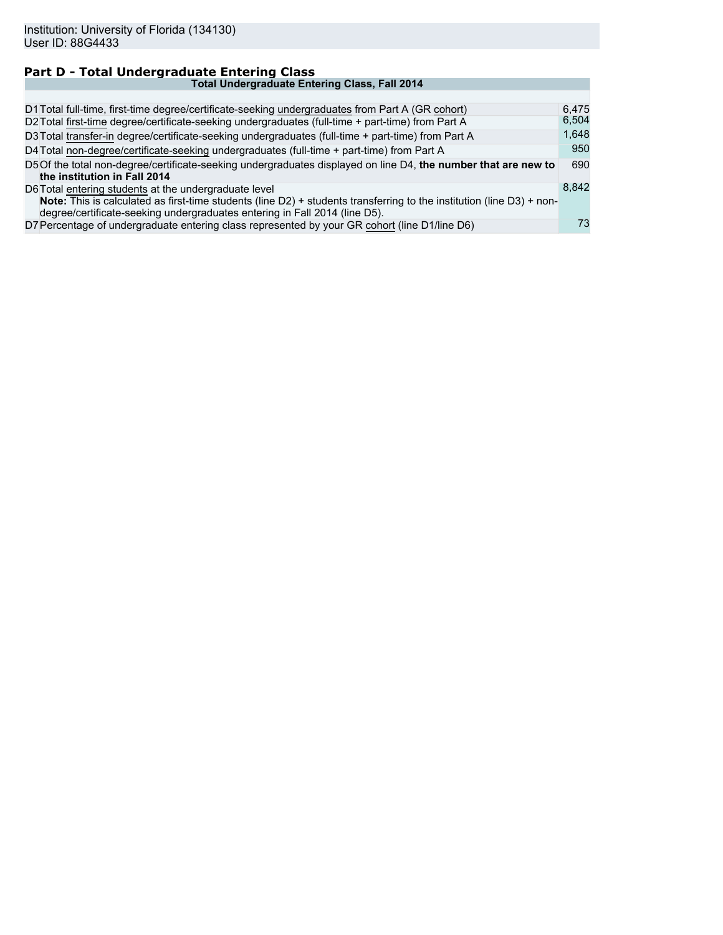#### **Part D - Total Undergraduate Entering Class Total Undergraduate Entering Class, Fall 2014** D1 Total full-time, first-time degree/certificate-seeking undergraduates from Part A (GR cohort) 6,475<br>D2 Total first-time degree/certificate-seeking undergraduates (full-time + part-time) from Part A 6,504 D2 Total first-time degree/certificate-seeking undergraduates (full-time + part-time) from Part A D3Total transfer-in degree/certificate-seeking undergraduates (full-time + part-time) from Part A 1,648<br>D4Total non-degree/certificate-seeking undergraduates (full-time + part-time) from Part A 950 D4 Total non-degree/certificate-seeking undergraduates (full-time + part-time) from Part A D5Of the total non-degree/certificate-seeking undergraduates displayed on line D4, **the number that are new to the institution in Fall 2014** 690 D6Total entering students at the undergraduate level **Note:** This is calculated as first-time students (line D2) + students transferring to the institution (line D3) + nondegree/certificate-seeking undergraduates entering in Fall 2014 (line D5). 8,842 D7 Percentage of undergraduate entering class represented by your GR cohort (line D1/line D6) 73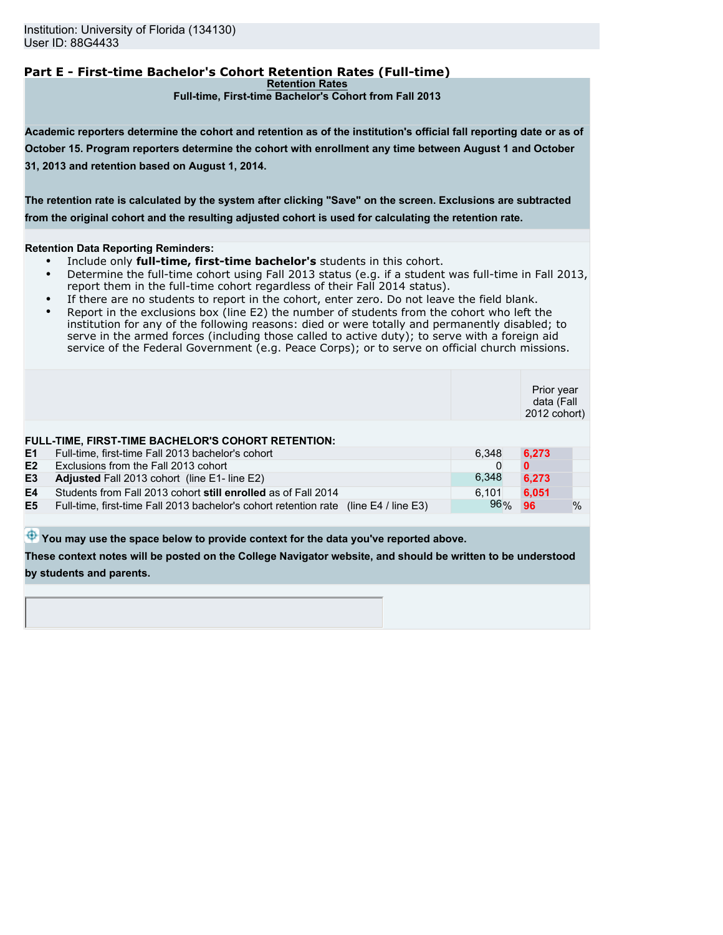# **Part E - First-time Bachelor's Cohort Retention Rates (Full-time)**

**Retention Rates**

**Full-time, First-time Bachelor's Cohort from Fall 2013**

**Academic reporters determine the cohort and retention as of the institution's official fall reporting date or as of October 15. Program reporters determine the cohort with enrollment any time between August 1 and October 31, 2013 and retention based on August 1, 2014.**

**The retention rate is calculated by the system after clicking "Save" on the screen. Exclusions are subtracted from the original cohort and the resulting adjusted cohort is used for calculating the retention rate.**

#### **Retention Data Reporting Reminders:**

- Include only **full-time, first-time bachelor's** students in this cohort.
- Determine the full-time cohort using Fall 2013 status (e.g. if a student was full-time in Fall 2013, report them in the full-time cohort regardless of their Fall 2014 status).
- If there are no students to report in the cohort, enter zero. Do not leave the field blank.
- Report in the exclusions box (line E2) the number of students from the cohort who left the institution for any of the following reasons: died or were totally and permanently disabled; to serve in the armed forces (including those called to active duty); to serve with a foreign aid service of the Federal Government (e.g. Peace Corps); or to serve on official church missions.

|                |                                                                                      |       | Prior year<br>data (Fall<br>2012 cohort) |      |
|----------------|--------------------------------------------------------------------------------------|-------|------------------------------------------|------|
|                | FULL-TIME, FIRST-TIME BACHELOR'S COHORT RETENTION:                                   |       |                                          |      |
| E1             | Full-time, first-time Fall 2013 bachelor's cohort                                    | 6.348 | 6.273                                    |      |
| E <sub>2</sub> | Exclusions from the Fall 2013 cohort                                                 |       |                                          |      |
| E <sub>3</sub> | Adjusted Fall 2013 cohort (line E1- line E2)                                         | 6,348 | 6,273                                    |      |
| E4             | Students from Fall 2013 cohort still enrolled as of Fall 2014                        | 6,101 | 6,051                                    |      |
| E <sub>5</sub> | Full-time, first-time Fall 2013 bachelor's cohort retention rate (line E4 / line E3) | 96%   | 96                                       | $\%$ |
|                |                                                                                      |       |                                          |      |

 $\bigoplus$  You may use the space below to provide context for the data you've reported above.

**These context notes will be posted on the College Navigator website, and should be written to be understood by students and parents.**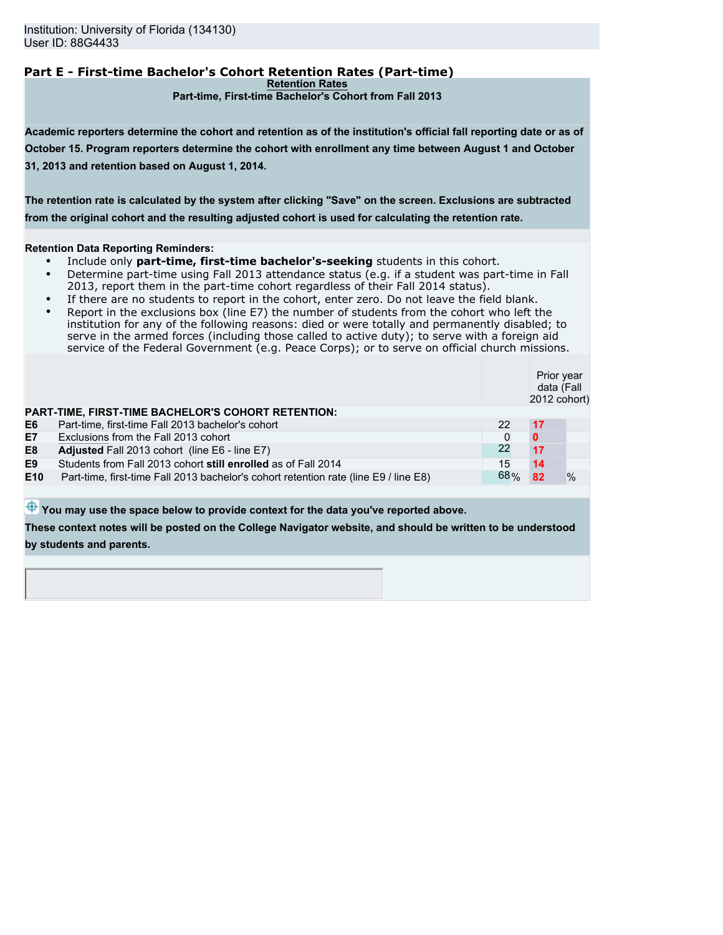# **Part E - First-time Bachelor's Cohort Retention Rates (Part-time)**

**Retention Rates**

**Part-time, First-time Bachelor's Cohort from Fall 2013**

**Academic reporters determine the cohort and retention as of the institution's official fall reporting date or as of October 15. Program reporters determine the cohort with enrollment any time between August 1 and October 31, 2013 and retention based on August 1, 2014.**

**The retention rate is calculated by the system after clicking "Save" on the screen. Exclusions are subtracted from the original cohort and the resulting adjusted cohort is used for calculating the retention rate.**

#### **Retention Data Reporting Reminders:**

- Include only **part-time, first-time bachelor's-seeking** students in this cohort.
- Determine part-time using Fall 2013 attendance status (e.g. if a student was part-time in Fall 2013, report them in the part-time cohort regardless of their Fall 2014 status).
- If there are no students to report in the cohort, enter zero. Do not leave the field blank.
- Report in the exclusions box (line E7) the number of students from the cohort who left the institution for any of the following reasons: died or were totally and permanently disabled; to serve in the armed forces (including those called to active duty); to serve with a foreign aid service of the Federal Government (e.g. Peace Corps); or to serve on official church missions.

|     |                                                                                     |     | Prior year<br>data (Fall<br>2012 cohort) |               |
|-----|-------------------------------------------------------------------------------------|-----|------------------------------------------|---------------|
|     | PART-TIME, FIRST-TIME BACHELOR'S COHORT RETENTION:                                  |     |                                          |               |
| E6  | Part-time, first-time Fall 2013 bachelor's cohort                                   | 22  | 17                                       |               |
| E7  | Exclusions from the Fall 2013 cohort                                                |     | $\bf{0}$                                 |               |
| E8  | Adjusted Fall 2013 cohort (line E6 - line E7)                                       | 22  | 17                                       |               |
| E9  | Students from Fall 2013 cohort still enrolled as of Fall 2014                       | 15  | 14                                       |               |
| E10 | Part-time, first-time Fall 2013 bachelor's cohort retention rate (line E9) line E8) | 68% | 82                                       | $\frac{0}{0}$ |
|     |                                                                                     |     |                                          |               |

 $\bigoplus$  You may use the space below to provide context for the data you've reported above.

**These context notes will be posted on the College Navigator website, and should be written to be understood by students and parents.**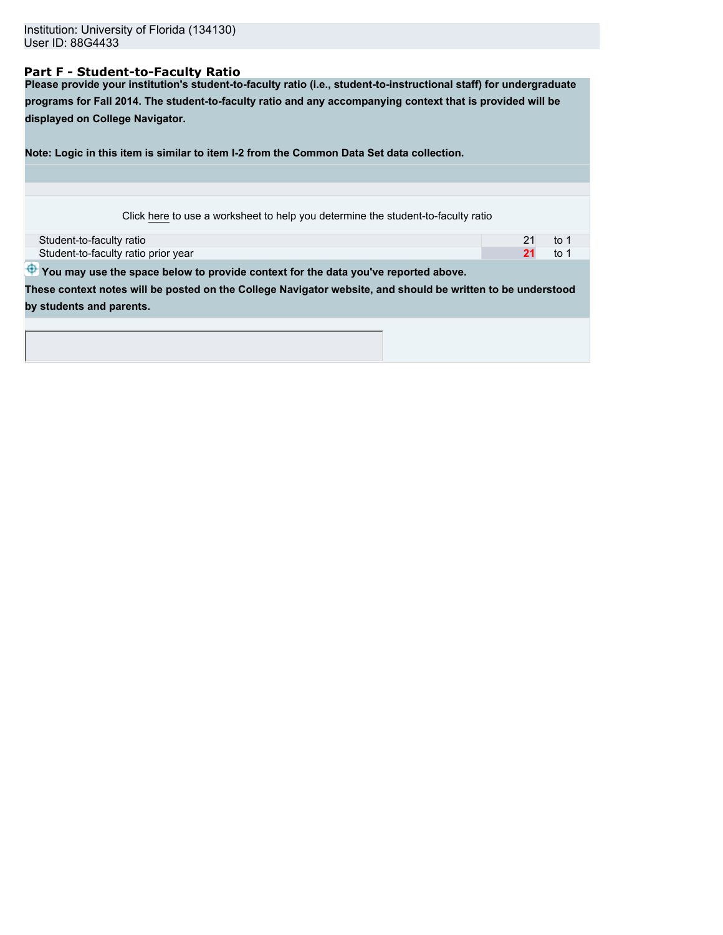## **Part F - Student-to-Faculty Ratio**

**Please provide your institution's student-to-faculty ratio (i.e., student-to-instructional staff) for undergraduate programs for Fall 2014. The student-to-faculty ratio and any accompanying context that is provided will be displayed on College Navigator.**

**Note: Logic in this item is similar to item I-2 from the Common Data Set data collection.**

| Click here to use a worksheet to help you determine the student-to-faculty ratio |
|----------------------------------------------------------------------------------|
|----------------------------------------------------------------------------------|

| Student-to-faculty ratio            |  |
|-------------------------------------|--|
| Student-to-faculty ratio prior year |  |

 $\bigoplus$  You may use the space below to provide context for the data you've reported above.

**These context notes will be posted on the College Navigator website, and should be written to be understood by students and parents.**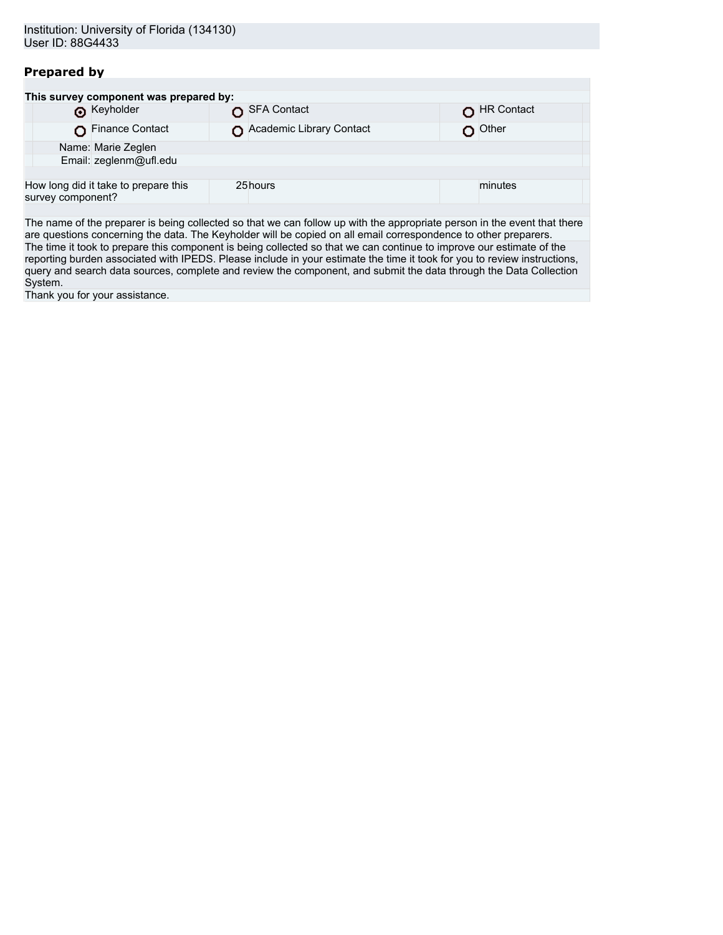# **Prepared by**

| This survey component was prepared by:                    |                          |            |
|-----------------------------------------------------------|--------------------------|------------|
| <b>O</b> Keyholder                                        | SFA Contact              | HR Contact |
| Finance Contact                                           | Academic Library Contact | Other      |
| Name: Marie Zeglen                                        |                          |            |
| Email: zeglenm@ufl.edu                                    |                          |            |
|                                                           |                          |            |
| How long did it take to prepare this<br>survey component? | 25hours                  | minutes    |
|                                                           |                          |            |

The name of the preparer is being collected so that we can follow up with the appropriate person in the event that there are questions concerning the data. The Keyholder will be copied on all email correspondence to other preparers. The time it took to prepare this component is being collected so that we can continue to improve our estimate of the reporting burden associated with IPEDS. Please include in your estimate the time it took for you to review instructions, query and search data sources, complete and review the component, and submit the data through the Data Collection System.

Thank you for your assistance.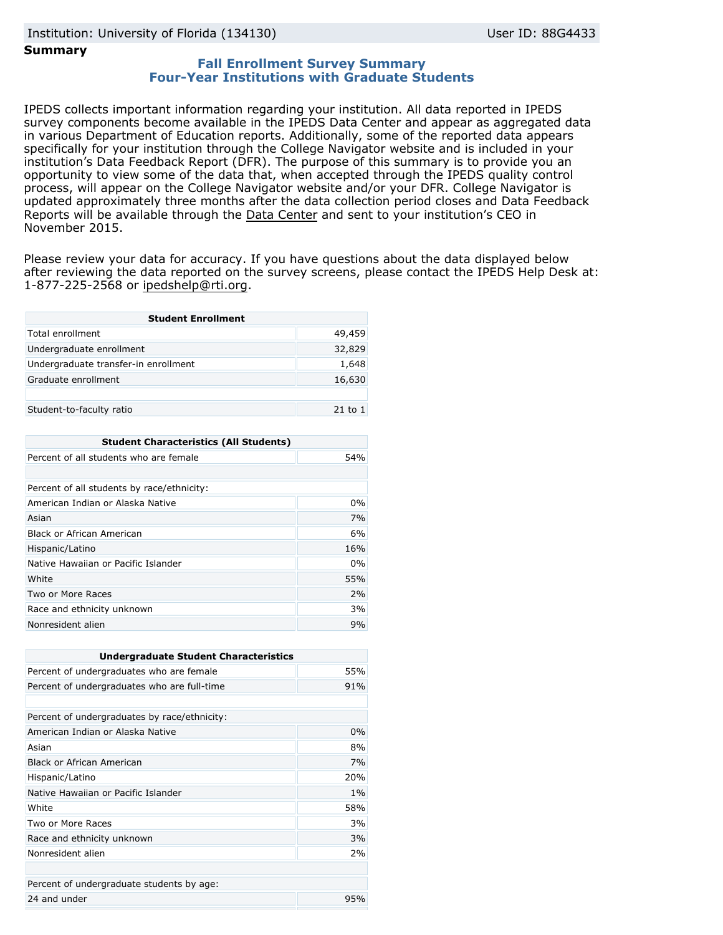## **Summary**

## **Fall Enrollment Survey Summary Four-Year Institutions with Graduate Students**

IPEDS collects important information regarding your institution. All data reported in IPEDS survey components become available in the IPEDS Data Center and appear as aggregated data in various Department of Education reports. Additionally, some of the reported data appears specifically for your institution through the College Navigator website and is included in your institution's Data Feedback Report (DFR). The purpose of this summary is to provide you an opportunity to view some of the data that, when accepted through the IPEDS quality control process, will appear on the College Navigator website and/or your DFR. College Navigator is updated approximately three months after the data collection period closes and Data Feedback Reports will be available through the [Data Center](http://nces.ed.gov/ipeds/datacenter/) and sent to your institution's CEO in November 2015.

Please review your data for accuracy. If you have questions about the data displayed below after reviewing the data reported on the survey screens, please contact the IPEDS Help Desk at: 1-877-225-2568 or ipedshelp@rti.org.

| <b>Student Enrollment</b>            |             |  |
|--------------------------------------|-------------|--|
| Total enrollment                     | 49,459      |  |
| Undergraduate enrollment             | 32,829      |  |
| Undergraduate transfer-in enrollment | 1,648       |  |
| Graduate enrollment                  | 16,630      |  |
|                                      |             |  |
| Student-to-faculty ratio             | $21$ to $1$ |  |

| <b>Student Characteristics (All Students)</b> |     |  |
|-----------------------------------------------|-----|--|
| Percent of all students who are female        | 54% |  |
|                                               |     |  |
| Percent of all students by race/ethnicity:    |     |  |
| American Indian or Alaska Native              | 0%  |  |
| Asian                                         | 7%  |  |
| Black or African American                     | 6%  |  |
| Hispanic/Latino                               | 16% |  |
| Native Hawaiian or Pacific Islander           | 0%  |  |
| White                                         | 55% |  |
| Two or More Races                             | 2%  |  |
| Race and ethnicity unknown                    | 3%  |  |
| Nonresident alien                             | 9%  |  |

| <b>Undergraduate Student Characteristics</b> |     |
|----------------------------------------------|-----|
| Percent of undergraduates who are female     | 55% |
| Percent of undergraduates who are full-time  | 91% |
|                                              |     |
| Percent of undergraduates by race/ethnicity: |     |
| American Indian or Alaska Native             | 0%  |
| Asian                                        | 8%  |
| <b>Black or African American</b>             | 7%  |
| Hispanic/Latino                              | 20% |
| Native Hawaiian or Pacific Islander          | 1%  |
| White                                        | 58% |
| Two or More Races                            | 3%  |
| Race and ethnicity unknown                   | 3%  |
| Nonresident alien                            | 2%  |
|                                              |     |
| Percent of undergraduate students by age:    |     |
| 24 and under                                 | 95% |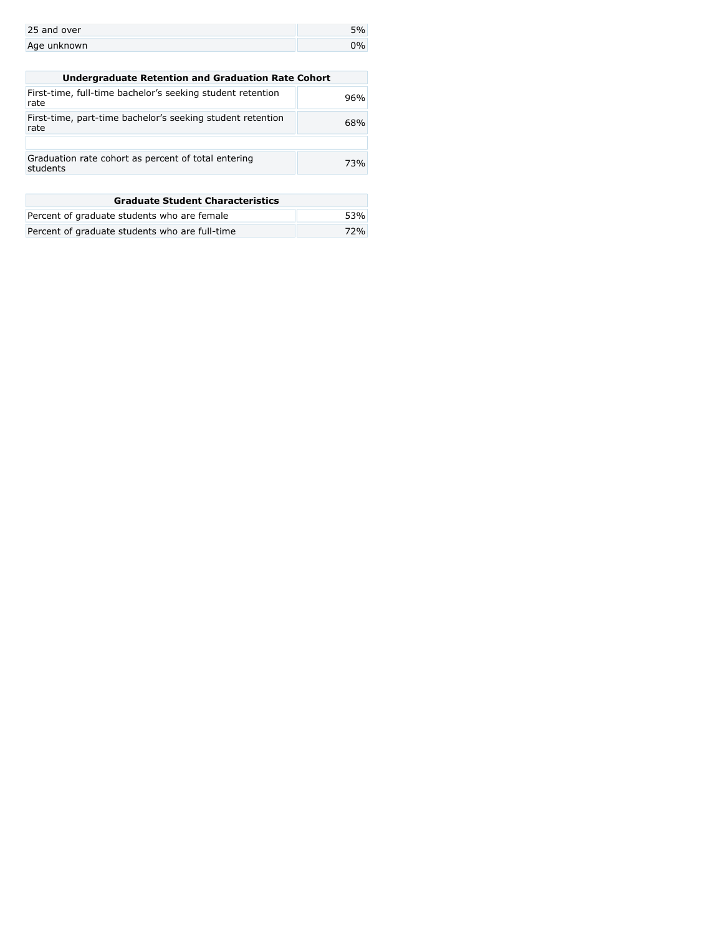| 25 and over |  |
|-------------|--|
| Age unknown |  |

| <b>Undergraduate Retention and Graduation Rate Cohort</b>          |     |
|--------------------------------------------------------------------|-----|
| First-time, full-time bachelor's seeking student retention<br>rate | 96% |
| First-time, part-time bachelor's seeking student retention<br>rate | 68% |
|                                                                    |     |
| Graduation rate cohort as percent of total entering<br>students    | 73% |
|                                                                    |     |

| <b>Graduate Student Characteristics</b>        |     |
|------------------------------------------------|-----|
| Percent of graduate students who are female    | 53% |
| Percent of graduate students who are full-time | 72% |